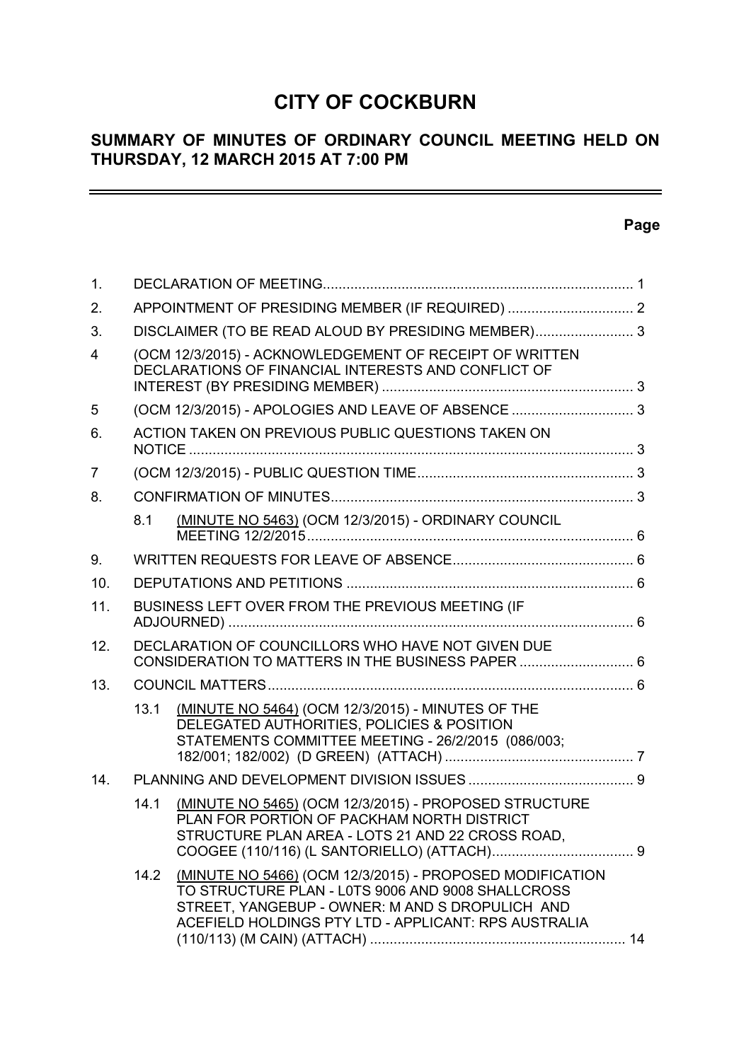# **CITY OF COCKBURN**

## **SUMMARY OF MINUTES OF ORDINARY COUNCIL MEETING HELD ON THURSDAY, 12 MARCH 2015 AT 7:00 PM**

## **Page**

 $\equiv$ 

| 1.             |                                                     |                                                                                                                                                                                                                          |  |  |  |
|----------------|-----------------------------------------------------|--------------------------------------------------------------------------------------------------------------------------------------------------------------------------------------------------------------------------|--|--|--|
| 2.             |                                                     |                                                                                                                                                                                                                          |  |  |  |
| 3.             | DISCLAIMER (TO BE READ ALOUD BY PRESIDING MEMBER) 3 |                                                                                                                                                                                                                          |  |  |  |
| $\overline{4}$ |                                                     | (OCM 12/3/2015) - ACKNOWLEDGEMENT OF RECEIPT OF WRITTEN<br>DECLARATIONS OF FINANCIAL INTERESTS AND CONFLICT OF                                                                                                           |  |  |  |
| 5              |                                                     |                                                                                                                                                                                                                          |  |  |  |
| 6.             |                                                     | ACTION TAKEN ON PREVIOUS PUBLIC QUESTIONS TAKEN ON                                                                                                                                                                       |  |  |  |
| $\overline{7}$ |                                                     |                                                                                                                                                                                                                          |  |  |  |
| 8.             |                                                     |                                                                                                                                                                                                                          |  |  |  |
|                | 8.1                                                 | (MINUTE NO 5463) (OCM 12/3/2015) - ORDINARY COUNCIL                                                                                                                                                                      |  |  |  |
| 9.             |                                                     |                                                                                                                                                                                                                          |  |  |  |
| 10.            |                                                     |                                                                                                                                                                                                                          |  |  |  |
| 11.            |                                                     | BUSINESS LEFT OVER FROM THE PREVIOUS MEETING (IF                                                                                                                                                                         |  |  |  |
| 12.            |                                                     | DECLARATION OF COUNCILLORS WHO HAVE NOT GIVEN DUE<br>CONSIDERATION TO MATTERS IN THE BUSINESS PAPER  6                                                                                                                   |  |  |  |
| 13.            |                                                     |                                                                                                                                                                                                                          |  |  |  |
|                | 13.1                                                | (MINUTE NO 5464) (OCM 12/3/2015) - MINUTES OF THE<br>DELEGATED AUTHORITIES, POLICIES & POSITION<br>STATEMENTS COMMITTEE MEETING - 26/2/2015 (086/003;                                                                    |  |  |  |
| 14.            |                                                     |                                                                                                                                                                                                                          |  |  |  |
|                | 14.1                                                | (MINUTE NO 5465) (OCM 12/3/2015) - PROPOSED STRUCTURE<br>PLAN FOR PORTION OF PACKHAM NORTH DISTRICT<br>STRUCTURE PLAN AREA - LOTS 21 AND 22 CROSS ROAD,                                                                  |  |  |  |
|                | 14.2                                                | (MINUTE NO 5466) (OCM 12/3/2015) - PROPOSED MODIFICATION<br>TO STRUCTURE PLAN - L0TS 9006 AND 9008 SHALLCROSS<br>STREET, YANGEBUP - OWNER: M AND S DROPULICH AND<br>ACEFIELD HOLDINGS PTY LTD - APPLICANT: RPS AUSTRALIA |  |  |  |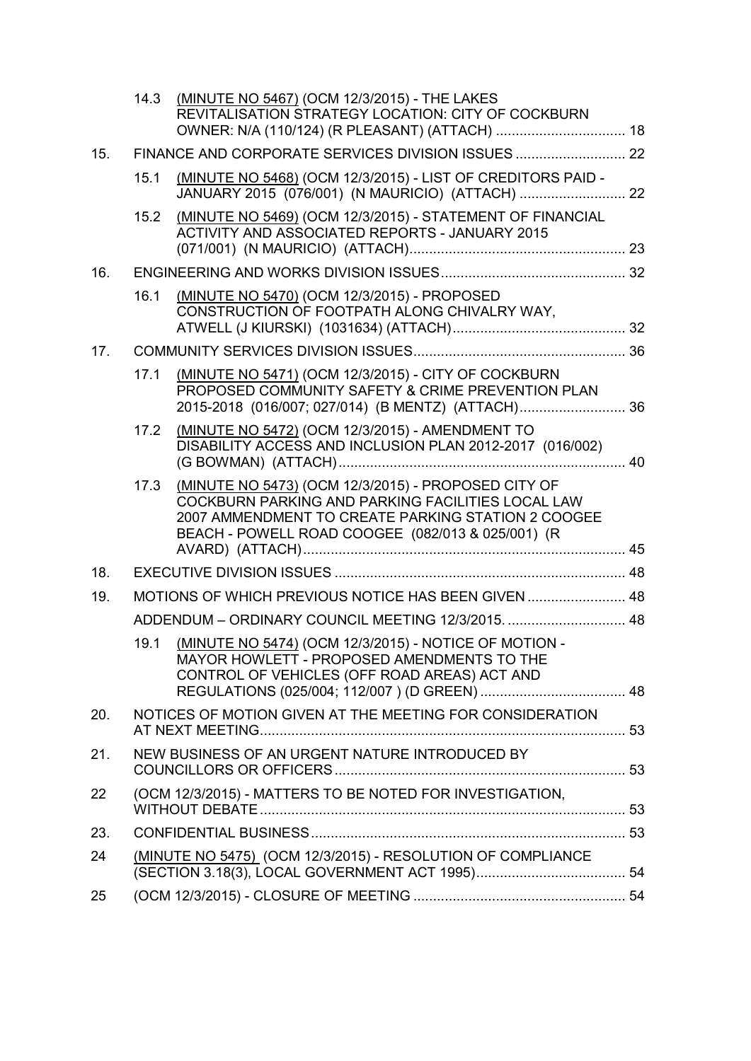|     | 14.3                                                        | (MINUTE NO 5467) (OCM 12/3/2015) - THE LAKES<br>REVITALISATION STRATEGY LOCATION: CITY OF COCKBURN                                                                                                                  |  |
|-----|-------------------------------------------------------------|---------------------------------------------------------------------------------------------------------------------------------------------------------------------------------------------------------------------|--|
| 15. |                                                             |                                                                                                                                                                                                                     |  |
|     | 15.1                                                        | (MINUTE NO 5468) (OCM 12/3/2015) - LIST OF CREDITORS PAID -                                                                                                                                                         |  |
|     | 15.2                                                        | (MINUTE NO 5469) (OCM 12/3/2015) - STATEMENT OF FINANCIAL<br>ACTIVITY AND ASSOCIATED REPORTS - JANUARY 2015                                                                                                         |  |
| 16. |                                                             |                                                                                                                                                                                                                     |  |
|     | 16.1                                                        | (MINUTE NO 5470) (OCM 12/3/2015) - PROPOSED<br>CONSTRUCTION OF FOOTPATH ALONG CHIVALRY WAY,                                                                                                                         |  |
| 17. |                                                             |                                                                                                                                                                                                                     |  |
|     | 17.1                                                        | (MINUTE NO 5471) (OCM 12/3/2015) - CITY OF COCKBURN<br>PROPOSED COMMUNITY SAFETY & CRIME PREVENTION PLAN<br>2015-2018 (016/007; 027/014) (B MENTZ) (ATTACH) 36                                                      |  |
|     | 17.2                                                        | (MINUTE NO 5472) (OCM 12/3/2015) - AMENDMENT TO<br>DISABILITY ACCESS AND INCLUSION PLAN 2012-2017 (016/002)                                                                                                         |  |
|     | 17.3                                                        | (MINUTE NO 5473) (OCM 12/3/2015) - PROPOSED CITY OF<br>COCKBURN PARKING AND PARKING FACILITIES LOCAL LAW<br>2007 AMMENDMENT TO CREATE PARKING STATION 2 COOGEE<br>BEACH - POWELL ROAD COOGEE (082/013 & 025/001) (R |  |
| 18. |                                                             |                                                                                                                                                                                                                     |  |
| 19. |                                                             | MOTIONS OF WHICH PREVIOUS NOTICE HAS BEEN GIVEN  48                                                                                                                                                                 |  |
|     |                                                             | ADDENDUM - ORDINARY COUNCIL MEETING 12/3/2015.  48                                                                                                                                                                  |  |
|     | 19.1                                                        | (MINUTE NO 5474) (OCM 12/3/2015) - NOTICE OF MOTION -<br>MAYOR HOWLETT - PROPOSED AMENDMENTS TO THE<br>CONTROL OF VEHICLES (OFF ROAD AREAS) ACT AND                                                                 |  |
|     |                                                             |                                                                                                                                                                                                                     |  |
| 20. |                                                             | NOTICES OF MOTION GIVEN AT THE MEETING FOR CONSIDERATION                                                                                                                                                            |  |
| 21. | NEW BUSINESS OF AN URGENT NATURE INTRODUCED BY              |                                                                                                                                                                                                                     |  |
| 22  |                                                             | (OCM 12/3/2015) - MATTERS TO BE NOTED FOR INVESTIGATION.                                                                                                                                                            |  |
| 23. |                                                             |                                                                                                                                                                                                                     |  |
| 24  | (MINUTE NO 5475) (OCM 12/3/2015) - RESOLUTION OF COMPLIANCE |                                                                                                                                                                                                                     |  |
| 25  |                                                             |                                                                                                                                                                                                                     |  |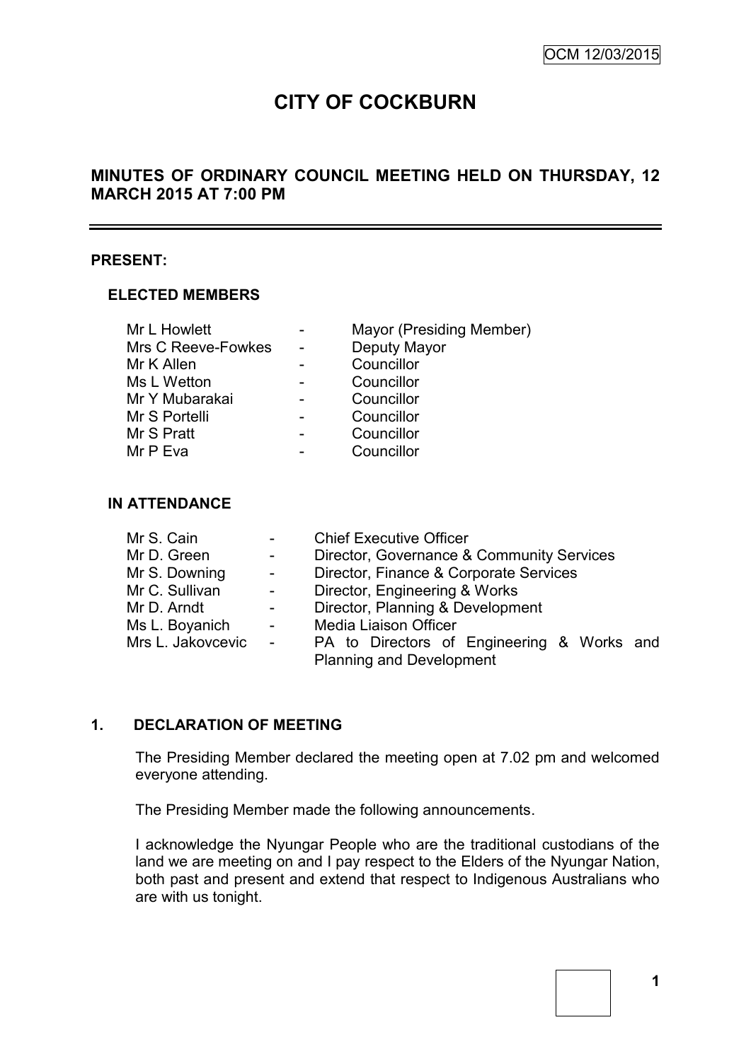# **CITY OF COCKBURN**

## **MINUTES OF ORDINARY COUNCIL MEETING HELD ON THURSDAY, 12 MARCH 2015 AT 7:00 PM**

#### **PRESENT:**

#### **ELECTED MEMBERS**

| Mr L Howlett       | Mayor (Presiding Member) |
|--------------------|--------------------------|
| Mrs C Reeve-Fowkes | Deputy Mayor             |
| Mr K Allen         | Councillor               |
| Ms L Wetton        | Councillor               |
| Mr Y Mubarakai     | Councillor               |
| Mr S Portelli      | Councillor               |
| Mr S Pratt         | Councillor               |
| Mr P Eva           | Councillor               |

#### **IN ATTENDANCE**

| Mr S. Cain        | $\blacksquare$                  | <b>Chief Executive Officer</b>             |  |  |  |  |
|-------------------|---------------------------------|--------------------------------------------|--|--|--|--|
| Mr D. Green       | $\sim$                          | Director, Governance & Community Services  |  |  |  |  |
| Mr S. Downing     | $\omega_{\rm{max}}$             | Director, Finance & Corporate Services     |  |  |  |  |
| Mr C. Sullivan    | $\frac{1}{2}$ and $\frac{1}{2}$ | Director, Engineering & Works              |  |  |  |  |
| Mr D. Arndt       | $\sim$ $-$                      | Director, Planning & Development           |  |  |  |  |
| Ms L. Boyanich    | $\sim 10^7$                     | <b>Media Liaison Officer</b>               |  |  |  |  |
| Mrs L. Jakovcevic | $\sim 10^{-10}$                 | PA to Directors of Engineering & Works and |  |  |  |  |
|                   |                                 | <b>Planning and Development</b>            |  |  |  |  |

## **1. DECLARATION OF MEETING**

The Presiding Member declared the meeting open at 7.02 pm and welcomed everyone attending.

The Presiding Member made the following announcements.

I acknowledge the Nyungar People who are the traditional custodians of the land we are meeting on and I pay respect to the Elders of the Nyungar Nation, both past and present and extend that respect to Indigenous Australians who are with us tonight.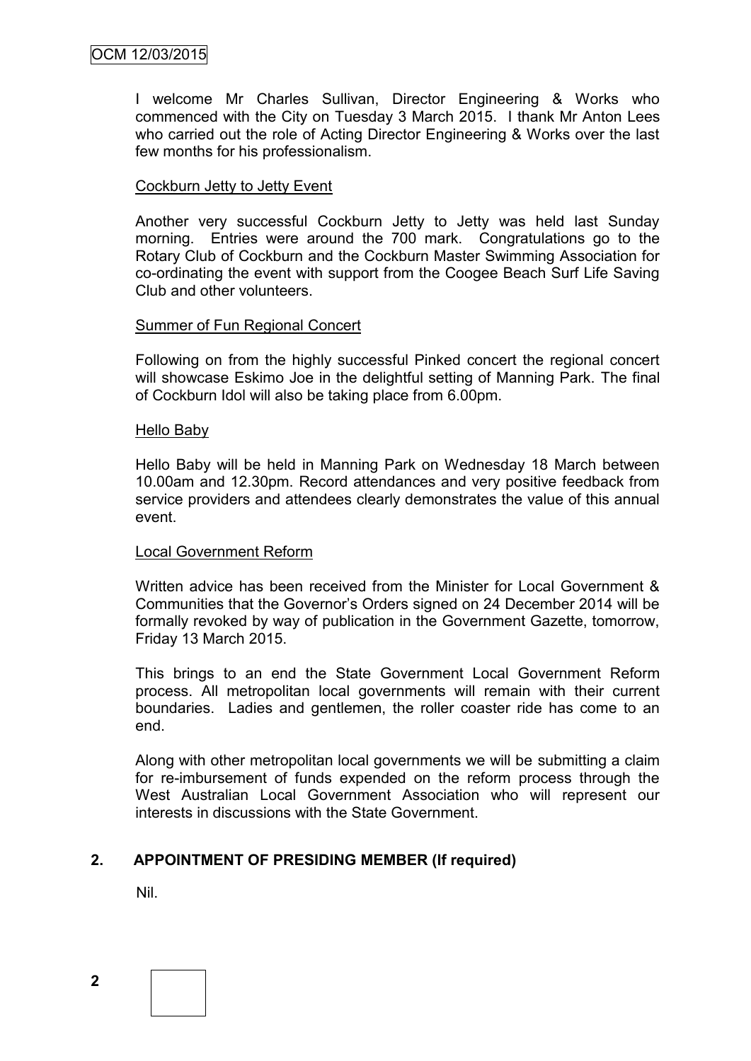I welcome Mr Charles Sullivan, Director Engineering & Works who commenced with the City on Tuesday 3 March 2015. I thank Mr Anton Lees who carried out the role of Acting Director Engineering & Works over the last few months for his professionalism.

#### Cockburn Jetty to Jetty Event

Another very successful Cockburn Jetty to Jetty was held last Sunday morning. Entries were around the 700 mark. Congratulations go to the Rotary Club of Cockburn and the Cockburn Master Swimming Association for co-ordinating the event with support from the Coogee Beach Surf Life Saving Club and other volunteers.

#### Summer of Fun Regional Concert

Following on from the highly successful Pinked concert the regional concert will showcase Eskimo Joe in the delightful setting of Manning Park. The final of Cockburn Idol will also be taking place from 6.00pm.

#### Hello Baby

Hello Baby will be held in Manning Park on Wednesday 18 March between 10.00am and 12.30pm. Record attendances and very positive feedback from service providers and attendees clearly demonstrates the value of this annual event.

#### Local Government Reform

Written advice has been received from the Minister for Local Government & Communities that the Governor's Orders signed on 24 December 2014 will be formally revoked by way of publication in the Government Gazette, tomorrow, Friday 13 March 2015.

This brings to an end the State Government Local Government Reform process. All metropolitan local governments will remain with their current boundaries. Ladies and gentlemen, the roller coaster ride has come to an end.

Along with other metropolitan local governments we will be submitting a claim for re-imbursement of funds expended on the reform process through the West Australian Local Government Association who will represent our interests in discussions with the State Government.

## **2. APPOINTMENT OF PRESIDING MEMBER (If required)**

Nil.

**2**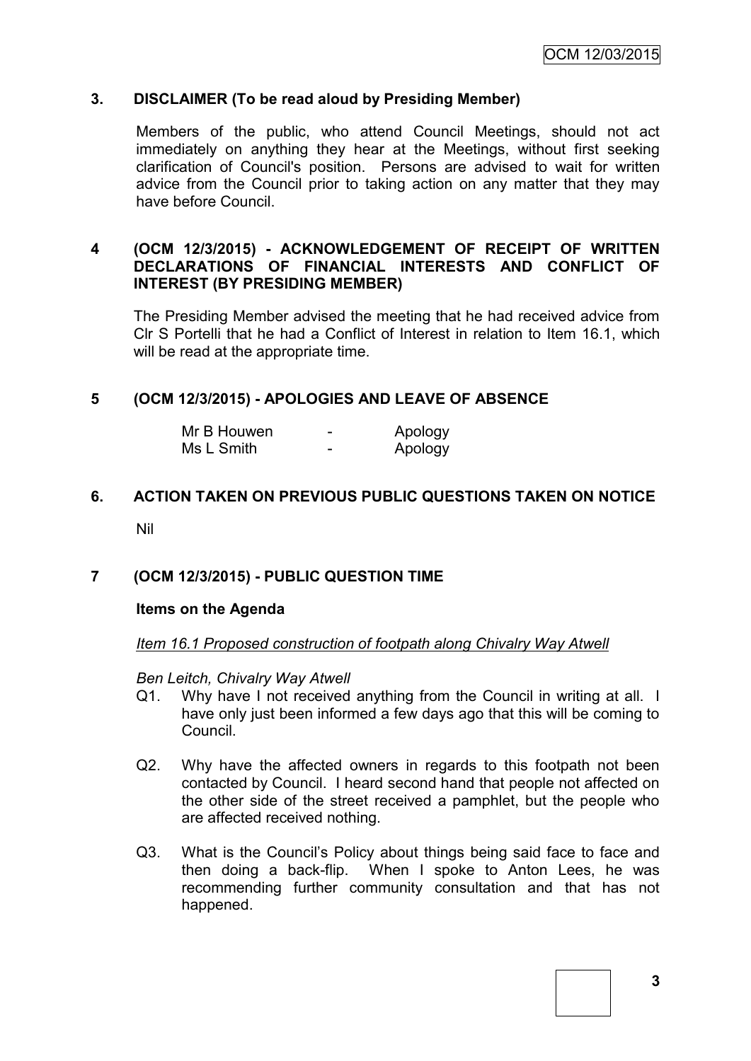#### **3. DISCLAIMER (To be read aloud by Presiding Member)**

Members of the public, who attend Council Meetings, should not act immediately on anything they hear at the Meetings, without first seeking clarification of Council's position. Persons are advised to wait for written advice from the Council prior to taking action on any matter that they may have before Council.

#### **4 (OCM 12/3/2015) - ACKNOWLEDGEMENT OF RECEIPT OF WRITTEN DECLARATIONS OF FINANCIAL INTERESTS AND CONFLICT OF INTEREST (BY PRESIDING MEMBER)**

The Presiding Member advised the meeting that he had received advice from Clr S Portelli that he had a Conflict of Interest in relation to Item 16.1, which will be read at the appropriate time.

#### **5 (OCM 12/3/2015) - APOLOGIES AND LEAVE OF ABSENCE**

| Mr B Houwen | - | Apology |
|-------------|---|---------|
| Ms L Smith  | - | Apology |

# **6. ACTION TAKEN ON PREVIOUS PUBLIC QUESTIONS TAKEN ON NOTICE**

Nil

#### **7 (OCM 12/3/2015) - PUBLIC QUESTION TIME**

#### **Items on the Agenda**

#### *Item 16.1 Proposed construction of footpath along Chivalry Way Atwell*

*Ben Leitch, Chivalry Way Atwell* 

- Q1. Why have I not received anything from the Council in writing at all. I have only just been informed a few days ago that this will be coming to Council.
- Q2. Why have the affected owners in regards to this footpath not been contacted by Council. I heard second hand that people not affected on the other side of the street received a pamphlet, but the people who are affected received nothing.
- Q3. What is the Council's Policy about things being said face to face and then doing a back-flip. When I spoke to Anton Lees, he was recommending further community consultation and that has not happened.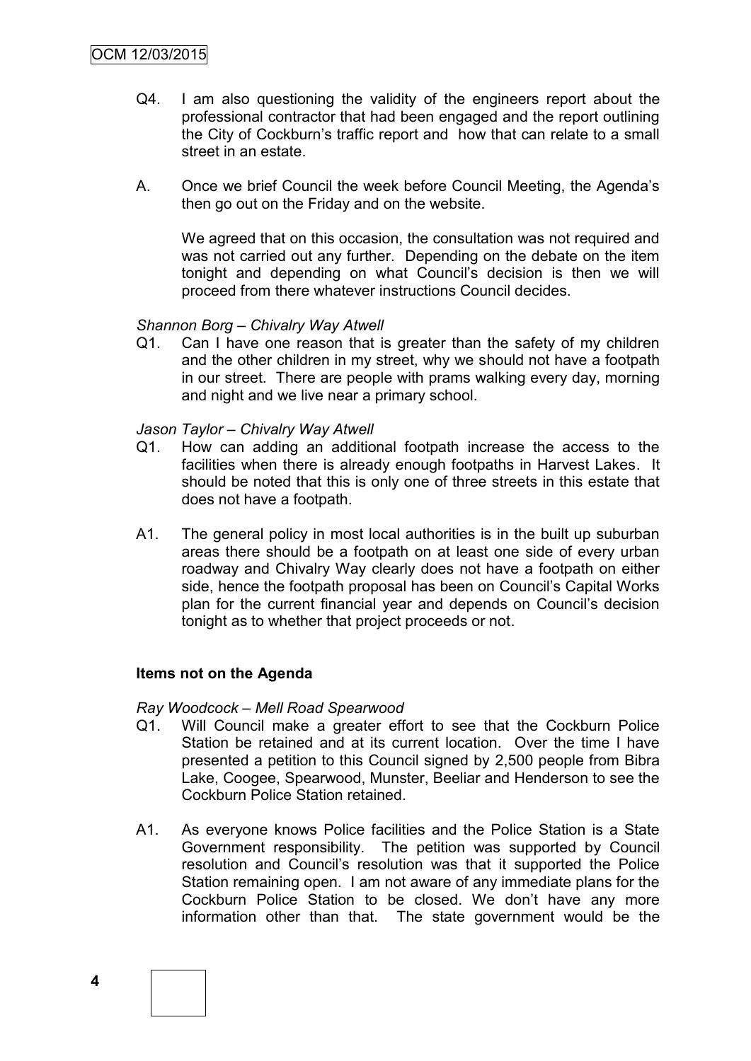- Q4. I am also questioning the validity of the engineers report about the professional contractor that had been engaged and the report outlining the City of Cockburn's traffic report and how that can relate to a small street in an estate.
- A. Once we brief Council the week before Council Meeting, the Agenda's then go out on the Friday and on the website.

We agreed that on this occasion, the consultation was not required and was not carried out any further. Depending on the debate on the item tonight and depending on what Council's decision is then we will proceed from there whatever instructions Council decides.

#### *Shannon Borg – Chivalry Way Atwell*

Q1. Can I have one reason that is greater than the safety of my children and the other children in my street, why we should not have a footpath in our street. There are people with prams walking every day, morning and night and we live near a primary school.

#### *Jason Taylor – Chivalry Way Atwell*

- Q1. How can adding an additional footpath increase the access to the facilities when there is already enough footpaths in Harvest Lakes. It should be noted that this is only one of three streets in this estate that does not have a footpath.
- A1. The general policy in most local authorities is in the built up suburban areas there should be a footpath on at least one side of every urban roadway and Chivalry Way clearly does not have a footpath on either side, hence the footpath proposal has been on Council's Capital Works plan for the current financial year and depends on Council's decision tonight as to whether that project proceeds or not.

#### **Items not on the Agenda**

#### *Ray Woodcock – Mell Road Spearwood*

- Q1. Will Council make a greater effort to see that the Cockburn Police Station be retained and at its current location. Over the time I have presented a petition to this Council signed by 2,500 people from Bibra Lake, Coogee, Spearwood, Munster, Beeliar and Henderson to see the Cockburn Police Station retained.
- A1. As everyone knows Police facilities and the Police Station is a State Government responsibility. The petition was supported by Council resolution and Council's resolution was that it supported the Police Station remaining open. I am not aware of any immediate plans for the Cockburn Police Station to be closed. We don't have any more information other than that. The state government would be the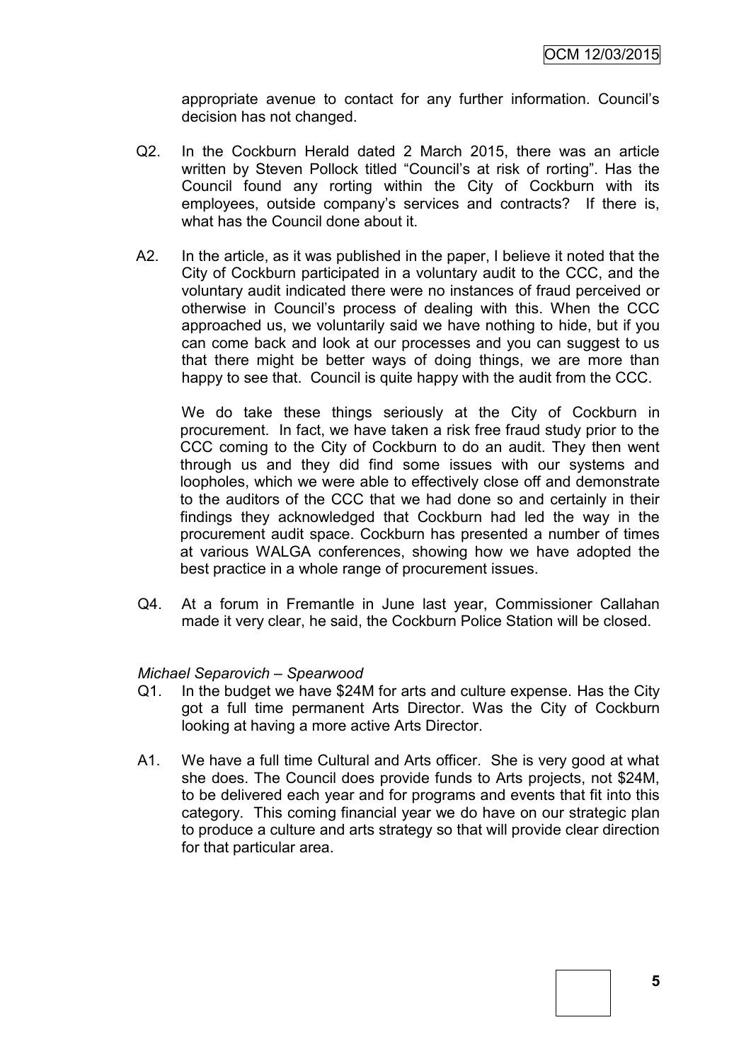appropriate avenue to contact for any further information. Council's decision has not changed.

- Q2. In the Cockburn Herald dated 2 March 2015, there was an article written by Steven Pollock titled "Council's at risk of rorting". Has the Council found any rorting within the City of Cockburn with its employees, outside company's services and contracts? If there is, what has the Council done about it.
- A2. In the article, as it was published in the paper, I believe it noted that the City of Cockburn participated in a voluntary audit to the CCC, and the voluntary audit indicated there were no instances of fraud perceived or otherwise in Council's process of dealing with this. When the CCC approached us, we voluntarily said we have nothing to hide, but if you can come back and look at our processes and you can suggest to us that there might be better ways of doing things, we are more than happy to see that. Council is quite happy with the audit from the CCC.

We do take these things seriously at the City of Cockburn in procurement. In fact, we have taken a risk free fraud study prior to the CCC coming to the City of Cockburn to do an audit. They then went through us and they did find some issues with our systems and loopholes, which we were able to effectively close off and demonstrate to the auditors of the CCC that we had done so and certainly in their findings they acknowledged that Cockburn had led the way in the procurement audit space. Cockburn has presented a number of times at various WALGA conferences, showing how we have adopted the best practice in a whole range of procurement issues.

Q4. At a forum in Fremantle in June last year, Commissioner Callahan made it very clear, he said, the Cockburn Police Station will be closed.

#### *Michael Separovich – Spearwood*

- Q1. In the budget we have \$24M for arts and culture expense. Has the City got a full time permanent Arts Director. Was the City of Cockburn looking at having a more active Arts Director.
- A1. We have a full time Cultural and Arts officer. She is very good at what she does. The Council does provide funds to Arts projects, not \$24M, to be delivered each year and for programs and events that fit into this category. This coming financial year we do have on our strategic plan to produce a culture and arts strategy so that will provide clear direction for that particular area.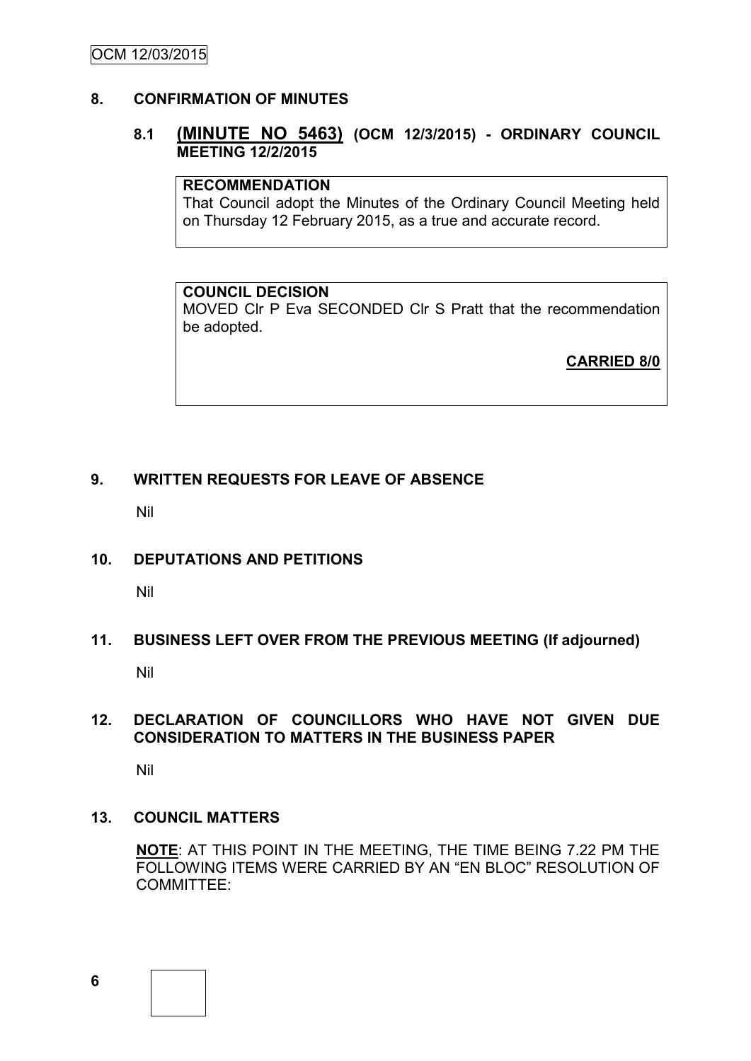## **8. CONFIRMATION OF MINUTES**

## **8.1 (MINUTE NO 5463) (OCM 12/3/2015) - ORDINARY COUNCIL MEETING 12/2/2015**

## **RECOMMENDATION**

That Council adopt the Minutes of the Ordinary Council Meeting held on Thursday 12 February 2015, as a true and accurate record.

#### **COUNCIL DECISION**

MOVED Clr P Eva SECONDED Clr S Pratt that the recommendation be adopted.

**CARRIED 8/0**

## **9. WRITTEN REQUESTS FOR LEAVE OF ABSENCE**

Nil

## **10. DEPUTATIONS AND PETITIONS**

Nil

## **11. BUSINESS LEFT OVER FROM THE PREVIOUS MEETING (If adjourned)**

Nil

## **12. DECLARATION OF COUNCILLORS WHO HAVE NOT GIVEN DUE CONSIDERATION TO MATTERS IN THE BUSINESS PAPER**

Nil

#### **13. COUNCIL MATTERS**

**NOTE**: AT THIS POINT IN THE MEETING, THE TIME BEING 7.22 PM THE FOLLOWING ITEMS WERE CARRIED BY AN "EN BLOC" RESOLUTION OF COMMITTEE:

**6**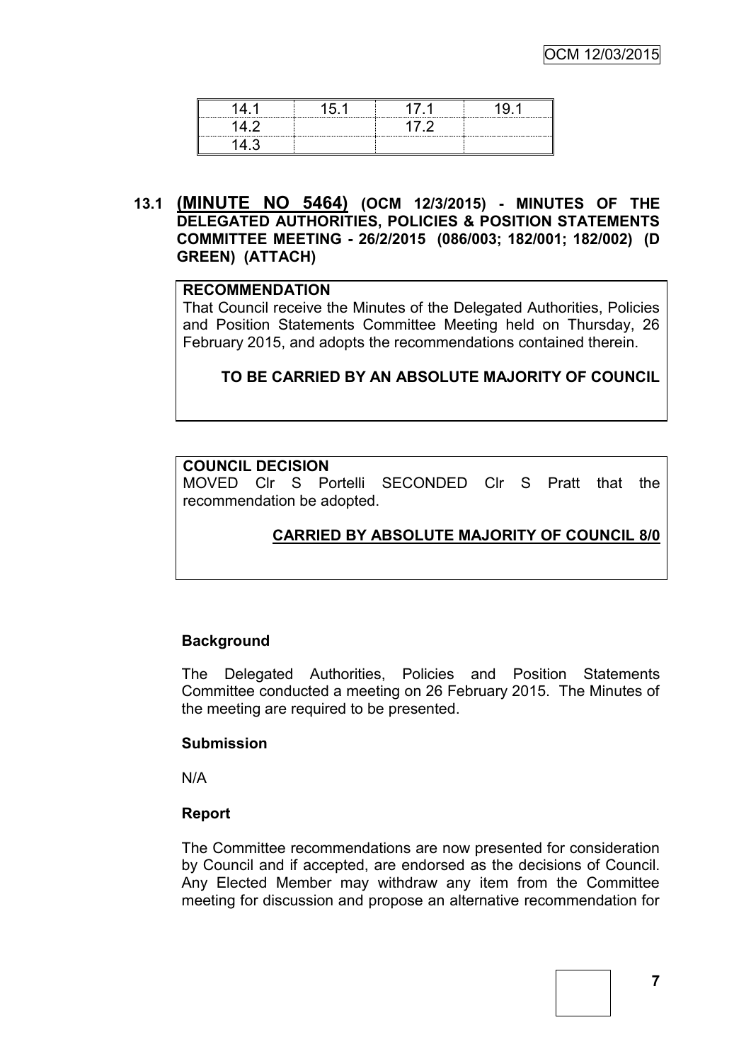**13.1 (MINUTE NO 5464) (OCM 12/3/2015) - MINUTES OF THE DELEGATED AUTHORITIES, POLICIES & POSITION STATEMENTS COMMITTEE MEETING - 26/2/2015 (086/003; 182/001; 182/002) (D GREEN) (ATTACH)**

## **RECOMMENDATION**

That Council receive the Minutes of the Delegated Authorities, Policies and Position Statements Committee Meeting held on Thursday, 26 February 2015, and adopts the recommendations contained therein.

#### **TO BE CARRIED BY AN ABSOLUTE MAJORITY OF COUNCIL**

#### **COUNCIL DECISION**

MOVED Clr S Portelli SECONDED Clr S Pratt that the recommendation be adopted.

## **CARRIED BY ABSOLUTE MAJORITY OF COUNCIL 8/0**

#### **Background**

The Delegated Authorities, Policies and Position Statements Committee conducted a meeting on 26 February 2015. The Minutes of the meeting are required to be presented.

#### **Submission**

N/A

#### **Report**

The Committee recommendations are now presented for consideration by Council and if accepted, are endorsed as the decisions of Council. Any Elected Member may withdraw any item from the Committee meeting for discussion and propose an alternative recommendation for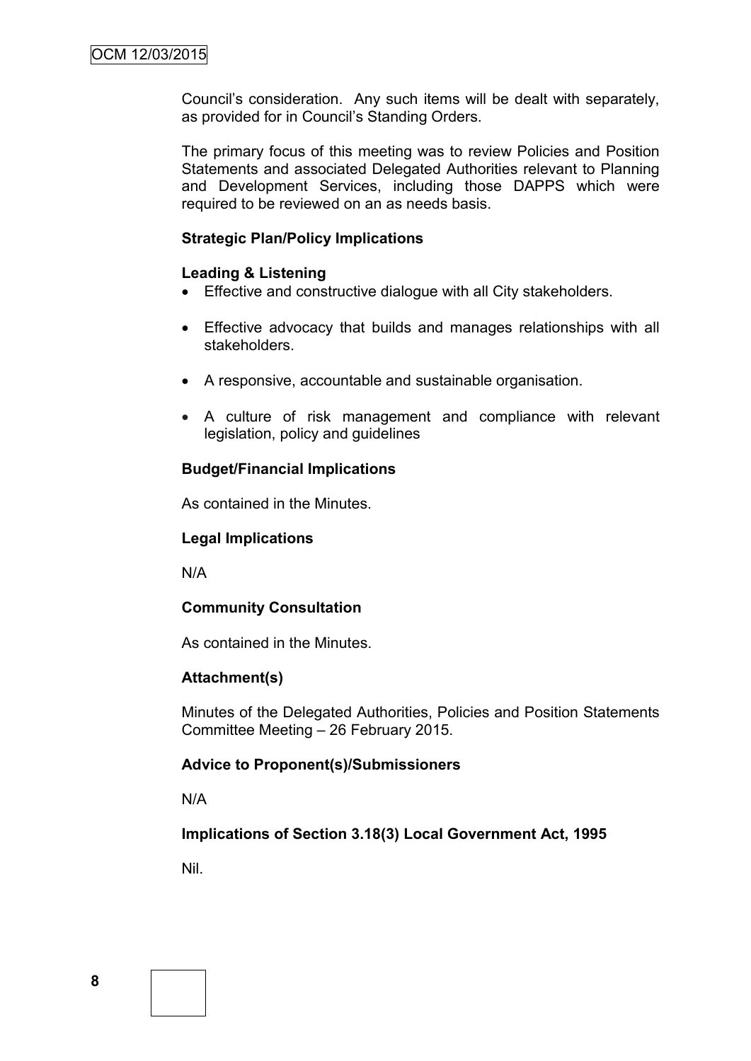Council's consideration. Any such items will be dealt with separately, as provided for in Council's Standing Orders.

The primary focus of this meeting was to review Policies and Position Statements and associated Delegated Authorities relevant to Planning and Development Services, including those DAPPS which were required to be reviewed on an as needs basis.

#### **Strategic Plan/Policy Implications**

## **Leading & Listening**

- Effective and constructive dialogue with all City stakeholders.
- Effective advocacy that builds and manages relationships with all stakeholders.
- A responsive, accountable and sustainable organisation.
- A culture of risk management and compliance with relevant legislation, policy and guidelines

#### **Budget/Financial Implications**

As contained in the Minutes.

#### **Legal Implications**

N/A

#### **Community Consultation**

As contained in the Minutes.

#### **Attachment(s)**

Minutes of the Delegated Authorities, Policies and Position Statements Committee Meeting – 26 February 2015.

#### **Advice to Proponent(s)/Submissioners**

N/A

#### **Implications of Section 3.18(3) Local Government Act, 1995**

Nil.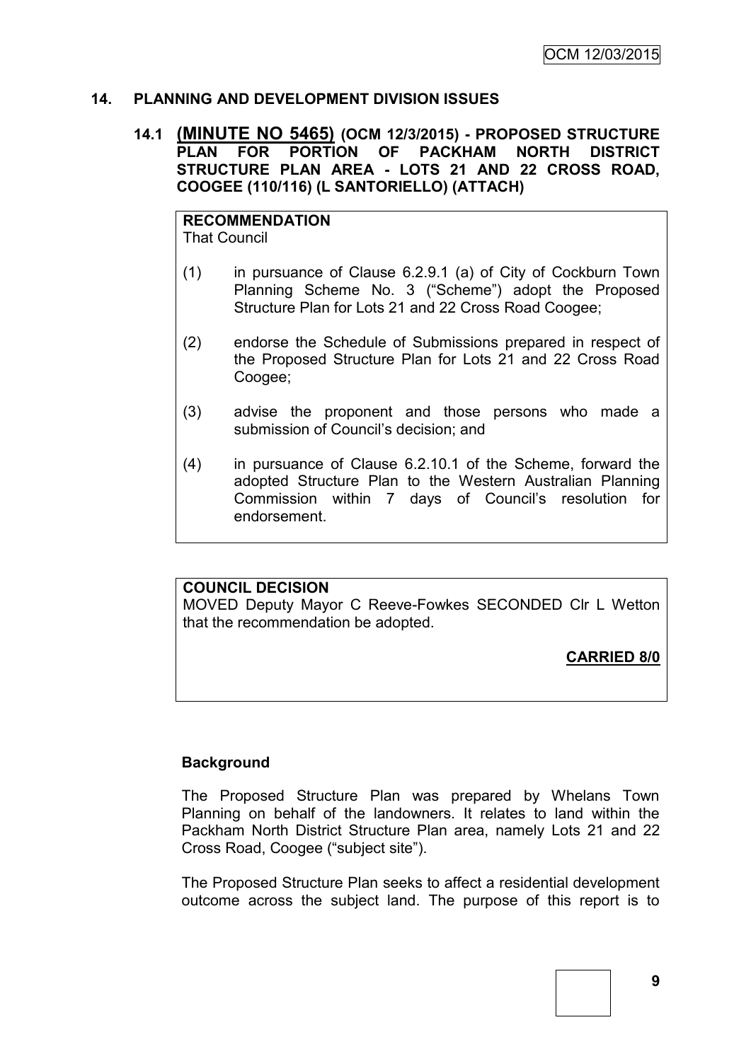## **14. PLANNING AND DEVELOPMENT DIVISION ISSUES**

#### **14.1 (MINUTE NO 5465) (OCM 12/3/2015) - PROPOSED STRUCTURE PLAN FOR PORTION OF PACKHAM NORTH DISTRICT STRUCTURE PLAN AREA - LOTS 21 AND 22 CROSS ROAD, COOGEE (110/116) (L SANTORIELLO) (ATTACH)**

#### **RECOMMENDATION** That Council

(1) in pursuance of Clause 6.2.9.1 (a) of City of Cockburn Town Planning Scheme No. 3 ("Scheme") adopt the Proposed Structure Plan for Lots 21 and 22 Cross Road Coogee;

- (2) endorse the Schedule of Submissions prepared in respect of the Proposed Structure Plan for Lots 21 and 22 Cross Road Coogee;
- (3) advise the proponent and those persons who made a submission of Council's decision; and
- (4) in pursuance of Clause 6.2.10.1 of the Scheme, forward the adopted Structure Plan to the Western Australian Planning Commission within 7 days of Council's resolution for endorsement.

#### **COUNCIL DECISION**

MOVED Deputy Mayor C Reeve-Fowkes SECONDED Clr L Wetton that the recommendation be adopted.

**CARRIED 8/0**

## **Background**

The Proposed Structure Plan was prepared by Whelans Town Planning on behalf of the landowners. It relates to land within the Packham North District Structure Plan area, namely Lots 21 and 22 Cross Road, Coogee ("subject site").

The Proposed Structure Plan seeks to affect a residential development outcome across the subject land. The purpose of this report is to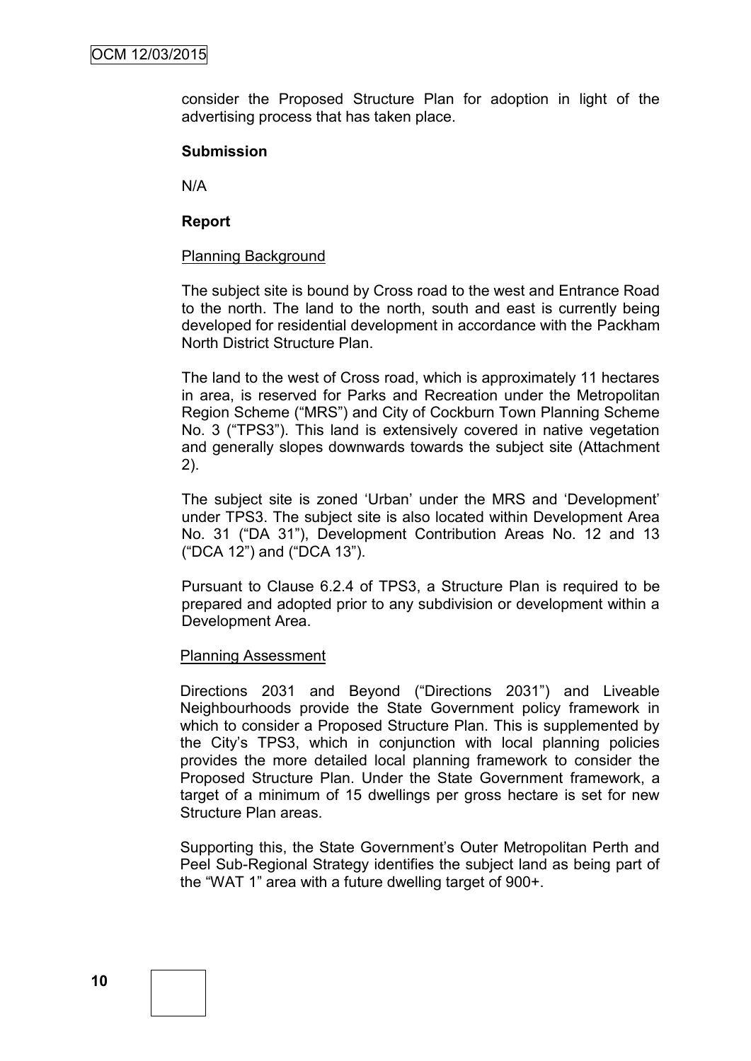consider the Proposed Structure Plan for adoption in light of the advertising process that has taken place.

#### **Submission**

N/A

#### **Report**

#### Planning Background

The subject site is bound by Cross road to the west and Entrance Road to the north. The land to the north, south and east is currently being developed for residential development in accordance with the Packham North District Structure Plan.

The land to the west of Cross road, which is approximately 11 hectares in area, is reserved for Parks and Recreation under the Metropolitan Region Scheme ("MRS") and City of Cockburn Town Planning Scheme No. 3 ("TPS3"). This land is extensively covered in native vegetation and generally slopes downwards towards the subject site (Attachment 2).

The subject site is zoned 'Urban' under the MRS and 'Development' under TPS3. The subject site is also located within Development Area No. 31 ("DA 31"), Development Contribution Areas No. 12 and 13 ("DCA 12") and ("DCA 13").

Pursuant to Clause 6.2.4 of TPS3, a Structure Plan is required to be prepared and adopted prior to any subdivision or development within a Development Area.

#### Planning Assessment

Directions 2031 and Beyond ("Directions 2031") and Liveable Neighbourhoods provide the State Government policy framework in which to consider a Proposed Structure Plan. This is supplemented by the City's TPS3, which in conjunction with local planning policies provides the more detailed local planning framework to consider the Proposed Structure Plan. Under the State Government framework, a target of a minimum of 15 dwellings per gross hectare is set for new Structure Plan areas.

Supporting this, the State Government's Outer Metropolitan Perth and Peel Sub-Regional Strategy identifies the subject land as being part of the "WAT 1" area with a future dwelling target of 900+.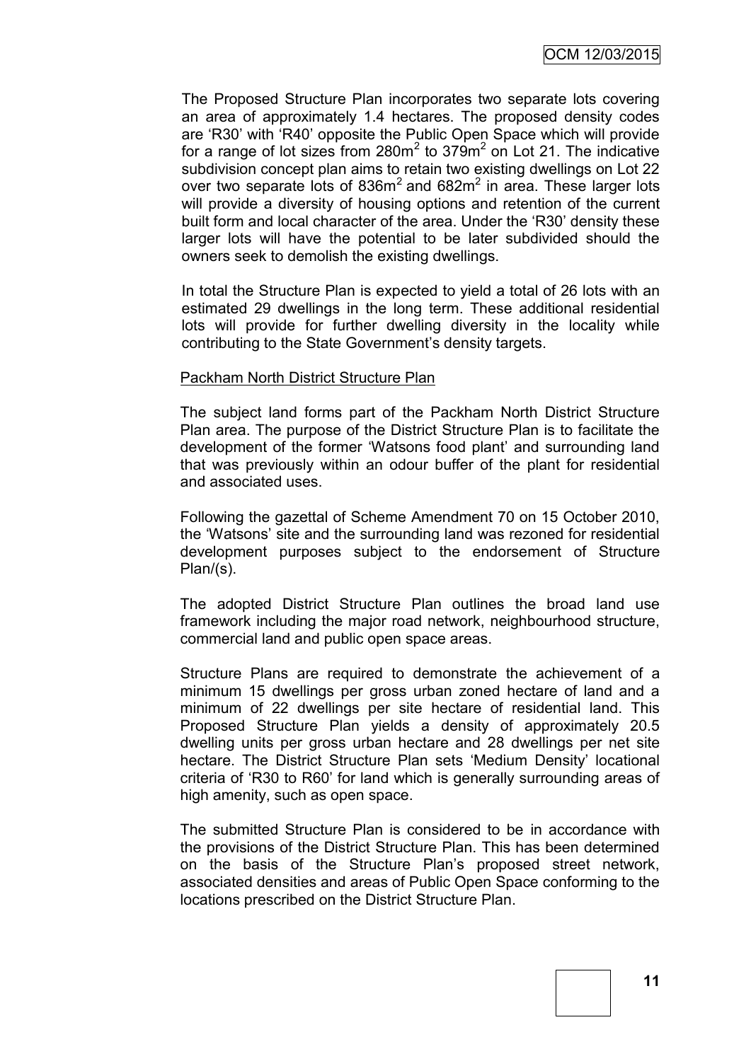The Proposed Structure Plan incorporates two separate lots covering an area of approximately 1.4 hectares. The proposed density codes are 'R30' with 'R40' opposite the Public Open Space which will provide for a range of lot sizes from 280 $m^2$  to 379 $m^2$  on Lot 21. The indicative subdivision concept plan aims to retain two existing dwellings on Lot 22 over two separate lots of  $836m^2$  and  $682m^2$  in area. These larger lots will provide a diversity of housing options and retention of the current built form and local character of the area. Under the 'R30' density these larger lots will have the potential to be later subdivided should the owners seek to demolish the existing dwellings.

In total the Structure Plan is expected to yield a total of 26 lots with an estimated 29 dwellings in the long term. These additional residential lots will provide for further dwelling diversity in the locality while contributing to the State Government's density targets.

#### Packham North District Structure Plan

The subject land forms part of the Packham North District Structure Plan area. The purpose of the District Structure Plan is to facilitate the development of the former 'Watsons food plant' and surrounding land that was previously within an odour buffer of the plant for residential and associated uses.

Following the gazettal of Scheme Amendment 70 on 15 October 2010, the 'Watsons' site and the surrounding land was rezoned for residential development purposes subject to the endorsement of Structure Plan/(s).

The adopted District Structure Plan outlines the broad land use framework including the major road network, neighbourhood structure, commercial land and public open space areas.

Structure Plans are required to demonstrate the achievement of a minimum 15 dwellings per gross urban zoned hectare of land and a minimum of 22 dwellings per site hectare of residential land. This Proposed Structure Plan yields a density of approximately 20.5 dwelling units per gross urban hectare and 28 dwellings per net site hectare. The District Structure Plan sets 'Medium Density' locational criteria of 'R30 to R60' for land which is generally surrounding areas of high amenity, such as open space.

The submitted Structure Plan is considered to be in accordance with the provisions of the District Structure Plan. This has been determined on the basis of the Structure Plan's proposed street network, associated densities and areas of Public Open Space conforming to the locations prescribed on the District Structure Plan.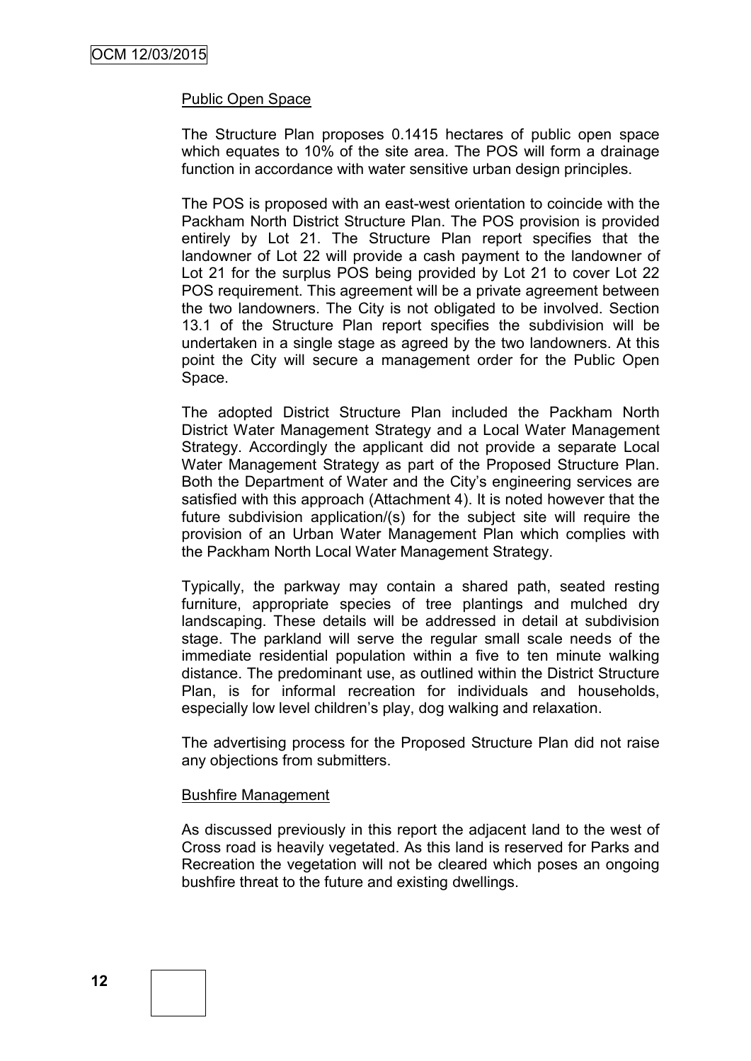#### Public Open Space

The Structure Plan proposes 0.1415 hectares of public open space which equates to 10% of the site area. The POS will form a drainage function in accordance with water sensitive urban design principles.

The POS is proposed with an east-west orientation to coincide with the Packham North District Structure Plan. The POS provision is provided entirely by Lot 21. The Structure Plan report specifies that the landowner of Lot 22 will provide a cash payment to the landowner of Lot 21 for the surplus POS being provided by Lot 21 to cover Lot 22 POS requirement. This agreement will be a private agreement between the two landowners. The City is not obligated to be involved. Section 13.1 of the Structure Plan report specifies the subdivision will be undertaken in a single stage as agreed by the two landowners. At this point the City will secure a management order for the Public Open Space.

The adopted District Structure Plan included the Packham North District Water Management Strategy and a Local Water Management Strategy. Accordingly the applicant did not provide a separate Local Water Management Strategy as part of the Proposed Structure Plan. Both the Department of Water and the City's engineering services are satisfied with this approach (Attachment 4). It is noted however that the future subdivision application/(s) for the subject site will require the provision of an Urban Water Management Plan which complies with the Packham North Local Water Management Strategy.

Typically, the parkway may contain a shared path, seated resting furniture, appropriate species of tree plantings and mulched dry landscaping. These details will be addressed in detail at subdivision stage. The parkland will serve the regular small scale needs of the immediate residential population within a five to ten minute walking distance. The predominant use, as outlined within the District Structure Plan, is for informal recreation for individuals and households, especially low level children's play, dog walking and relaxation.

The advertising process for the Proposed Structure Plan did not raise any objections from submitters.

#### Bushfire Management

As discussed previously in this report the adjacent land to the west of Cross road is heavily vegetated. As this land is reserved for Parks and Recreation the vegetation will not be cleared which poses an ongoing bushfire threat to the future and existing dwellings.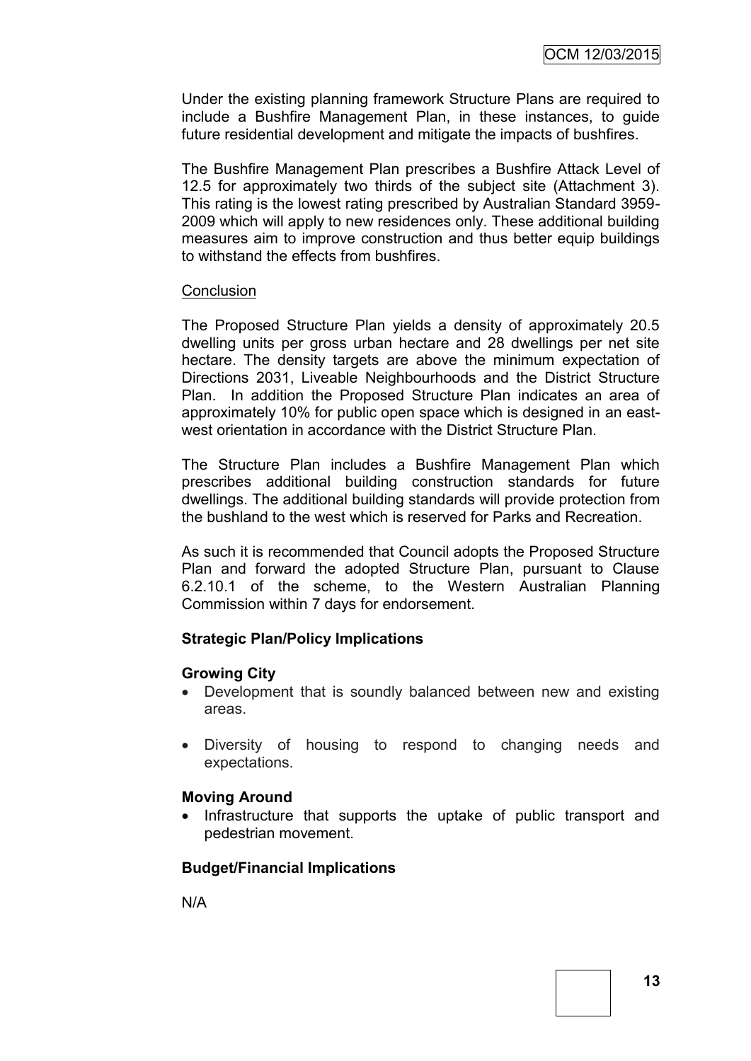Under the existing planning framework Structure Plans are required to include a Bushfire Management Plan, in these instances, to guide future residential development and mitigate the impacts of bushfires.

The Bushfire Management Plan prescribes a Bushfire Attack Level of 12.5 for approximately two thirds of the subject site (Attachment 3). This rating is the lowest rating prescribed by Australian Standard 3959- 2009 which will apply to new residences only. These additional building measures aim to improve construction and thus better equip buildings to withstand the effects from bushfires.

#### **Conclusion**

The Proposed Structure Plan yields a density of approximately 20.5 dwelling units per gross urban hectare and 28 dwellings per net site hectare. The density targets are above the minimum expectation of Directions 2031, Liveable Neighbourhoods and the District Structure Plan. In addition the Proposed Structure Plan indicates an area of approximately 10% for public open space which is designed in an eastwest orientation in accordance with the District Structure Plan.

The Structure Plan includes a Bushfire Management Plan which prescribes additional building construction standards for future dwellings. The additional building standards will provide protection from the bushland to the west which is reserved for Parks and Recreation.

As such it is recommended that Council adopts the Proposed Structure Plan and forward the adopted Structure Plan, pursuant to Clause 6.2.10.1 of the scheme, to the Western Australian Planning Commission within 7 days for endorsement.

#### **Strategic Plan/Policy Implications**

#### **Growing City**

- Development that is soundly balanced between new and existing areas.
- Diversity of housing to respond to changing needs and expectations.

#### **Moving Around**

• Infrastructure that supports the uptake of public transport and pedestrian movement.

## **Budget/Financial Implications**

N/A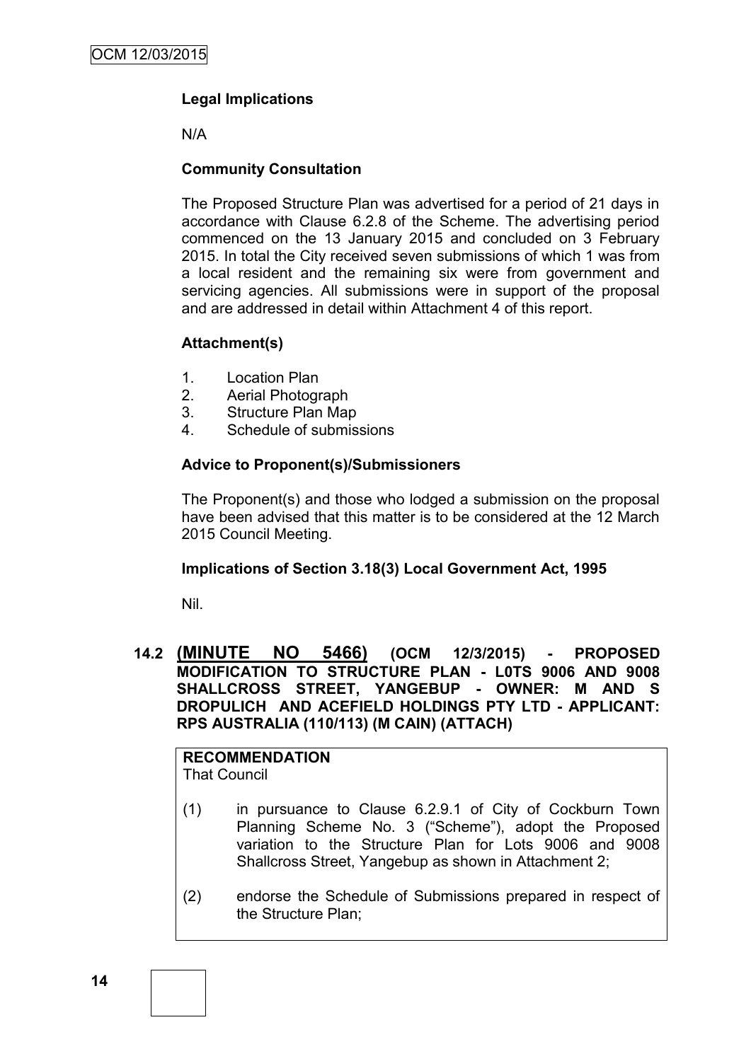## **Legal Implications**

N/A

## **Community Consultation**

The Proposed Structure Plan was advertised for a period of 21 days in accordance with Clause 6.2.8 of the Scheme. The advertising period commenced on the 13 January 2015 and concluded on 3 February 2015. In total the City received seven submissions of which 1 was from a local resident and the remaining six were from government and servicing agencies. All submissions were in support of the proposal and are addressed in detail within Attachment 4 of this report.

## **Attachment(s)**

- 1. Location Plan
- 2. Aerial Photograph
- 3. Structure Plan Map
- 4. Schedule of submissions

## **Advice to Proponent(s)/Submissioners**

The Proponent(s) and those who lodged a submission on the proposal have been advised that this matter is to be considered at the 12 March 2015 Council Meeting.

## **Implications of Section 3.18(3) Local Government Act, 1995**

Nil.

## **14.2 (MINUTE NO 5466) (OCM 12/3/2015) - PROPOSED MODIFICATION TO STRUCTURE PLAN - L0TS 9006 AND 9008 SHALLCROSS STREET, YANGEBUP - OWNER: M AND S DROPULICH AND ACEFIELD HOLDINGS PTY LTD - APPLICANT: RPS AUSTRALIA (110/113) (M CAIN) (ATTACH)**

#### **RECOMMENDATION** That Council

(1) in pursuance to Clause 6.2.9.1 of City of Cockburn Town Planning Scheme No. 3 ("Scheme"), adopt the Proposed variation to the Structure Plan for Lots 9006 and 9008 Shallcross Street, Yangebup as shown in Attachment 2;

(2) endorse the Schedule of Submissions prepared in respect of the Structure Plan;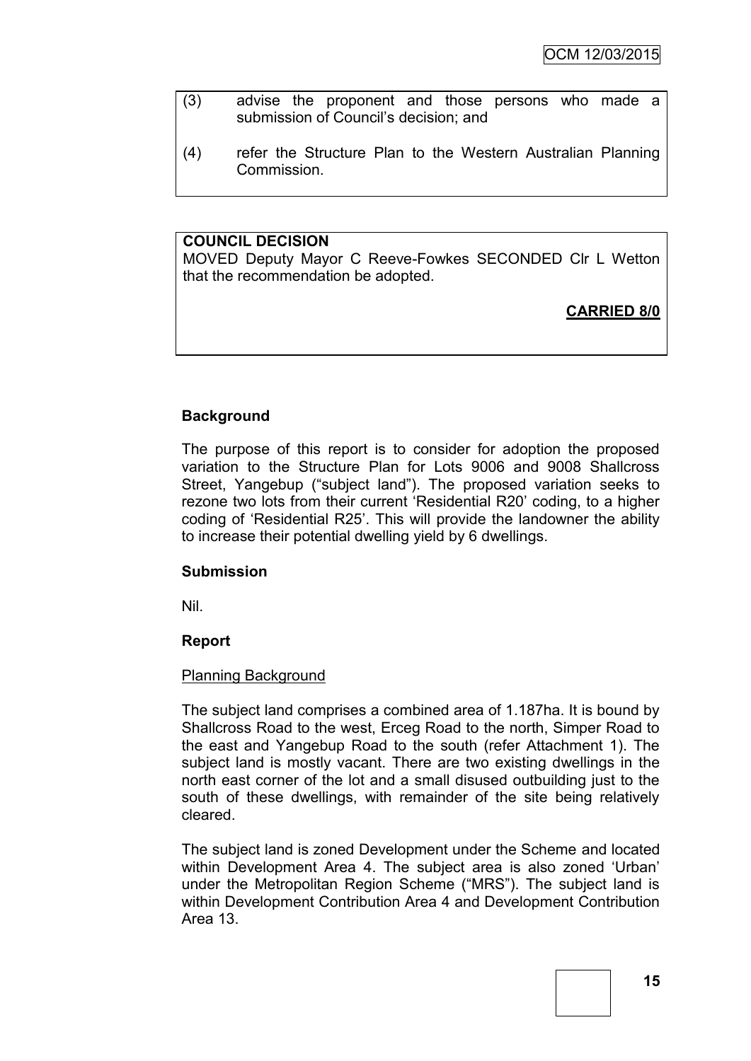- (3) advise the proponent and those persons who made a submission of Council's decision; and
- (4) refer the Structure Plan to the Western Australian Planning Commission.

## **COUNCIL DECISION**

MOVED Deputy Mayor C Reeve-Fowkes SECONDED Clr L Wetton that the recommendation be adopted.

## **CARRIED 8/0**

## **Background**

The purpose of this report is to consider for adoption the proposed variation to the Structure Plan for Lots 9006 and 9008 Shallcross Street, Yangebup ("subject land"). The proposed variation seeks to rezone two lots from their current 'Residential R20' coding, to a higher coding of 'Residential R25'. This will provide the landowner the ability to increase their potential dwelling yield by 6 dwellings.

#### **Submission**

Nil.

#### **Report**

#### Planning Background

The subject land comprises a combined area of 1.187ha. It is bound by Shallcross Road to the west, Erceg Road to the north, Simper Road to the east and Yangebup Road to the south (refer Attachment 1). The subject land is mostly vacant. There are two existing dwellings in the north east corner of the lot and a small disused outbuilding just to the south of these dwellings, with remainder of the site being relatively cleared.

The subject land is zoned Development under the Scheme and located within Development Area 4. The subject area is also zoned 'Urban' under the Metropolitan Region Scheme ("MRS"). The subject land is within Development Contribution Area 4 and Development Contribution Area 13.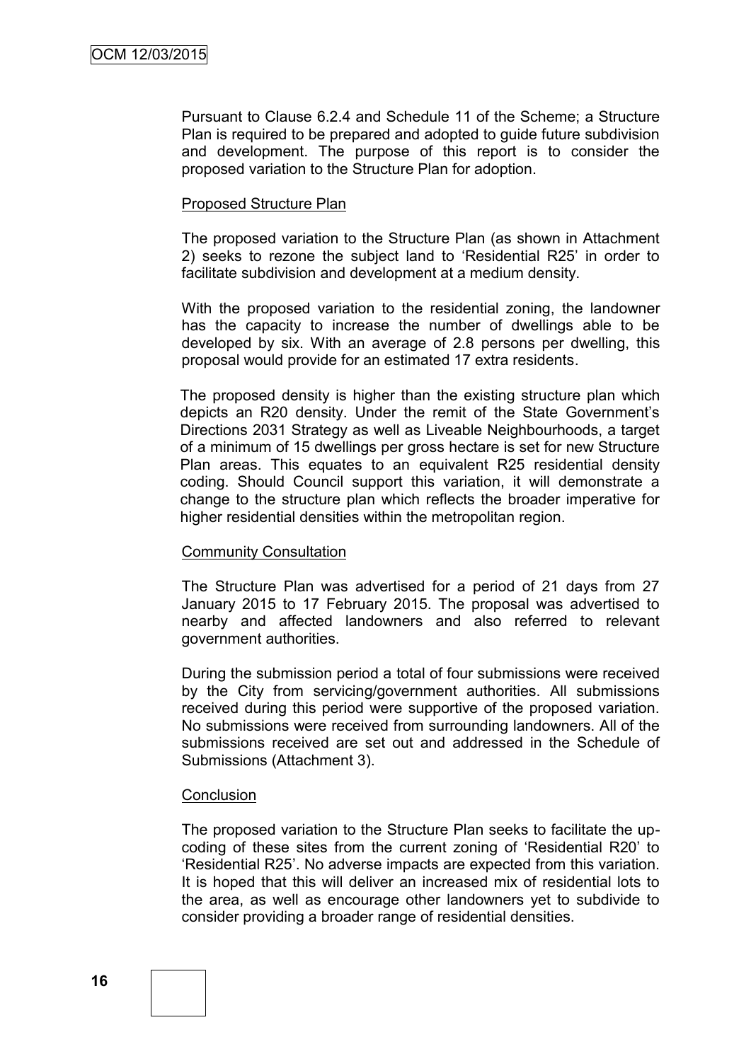Pursuant to Clause 6.2.4 and Schedule 11 of the Scheme; a Structure Plan is required to be prepared and adopted to guide future subdivision and development. The purpose of this report is to consider the proposed variation to the Structure Plan for adoption.

#### Proposed Structure Plan

The proposed variation to the Structure Plan (as shown in Attachment 2) seeks to rezone the subject land to 'Residential R25' in order to facilitate subdivision and development at a medium density.

With the proposed variation to the residential zoning, the landowner has the capacity to increase the number of dwellings able to be developed by six. With an average of 2.8 persons per dwelling, this proposal would provide for an estimated 17 extra residents.

The proposed density is higher than the existing structure plan which depicts an R20 density. Under the remit of the State Government's Directions 2031 Strategy as well as Liveable Neighbourhoods, a target of a minimum of 15 dwellings per gross hectare is set for new Structure Plan areas. This equates to an equivalent R25 residential density coding. Should Council support this variation, it will demonstrate a change to the structure plan which reflects the broader imperative for higher residential densities within the metropolitan region.

#### Community Consultation

The Structure Plan was advertised for a period of 21 days from 27 January 2015 to 17 February 2015. The proposal was advertised to nearby and affected landowners and also referred to relevant government authorities.

During the submission period a total of four submissions were received by the City from servicing/government authorities. All submissions received during this period were supportive of the proposed variation. No submissions were received from surrounding landowners. All of the submissions received are set out and addressed in the Schedule of Submissions (Attachment 3).

#### **Conclusion**

The proposed variation to the Structure Plan seeks to facilitate the upcoding of these sites from the current zoning of 'Residential R20' to 'Residential R25'. No adverse impacts are expected from this variation. It is hoped that this will deliver an increased mix of residential lots to the area, as well as encourage other landowners yet to subdivide to consider providing a broader range of residential densities.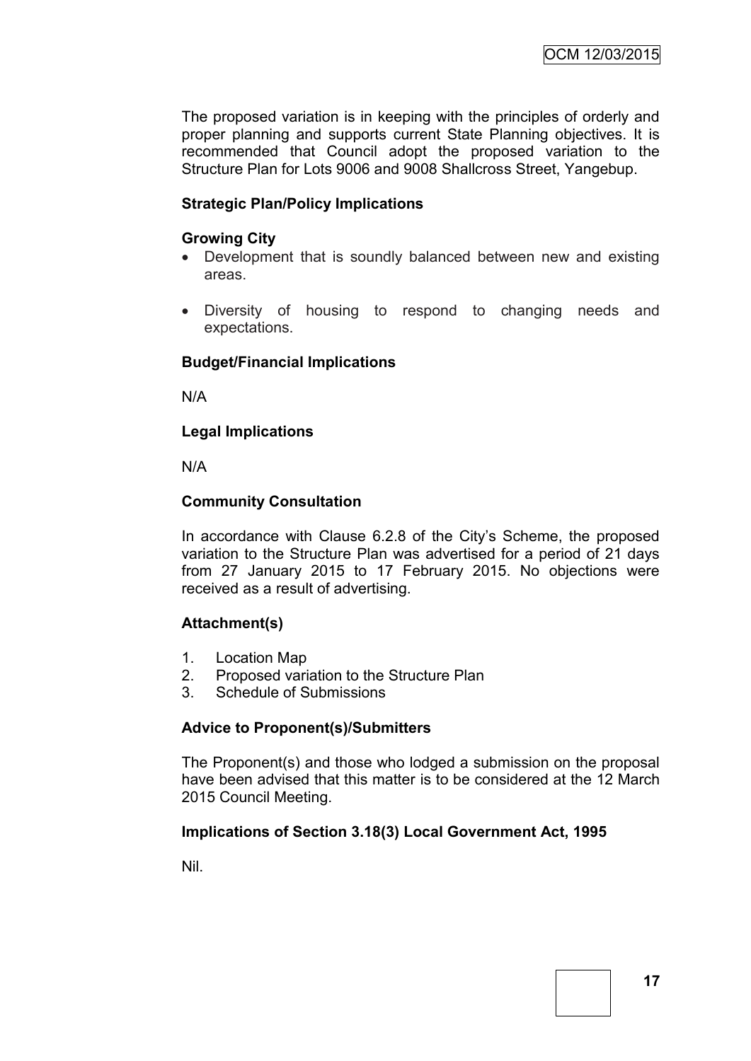The proposed variation is in keeping with the principles of orderly and proper planning and supports current State Planning objectives. It is recommended that Council adopt the proposed variation to the Structure Plan for Lots 9006 and 9008 Shallcross Street, Yangebup.

## **Strategic Plan/Policy Implications**

#### **Growing City**

- Development that is soundly balanced between new and existing areas.
- Diversity of housing to respond to changing needs and expectations.

#### **Budget/Financial Implications**

N/A

## **Legal Implications**

N/A

## **Community Consultation**

In accordance with Clause 6.2.8 of the City's Scheme, the proposed variation to the Structure Plan was advertised for a period of 21 days from 27 January 2015 to 17 February 2015. No objections were received as a result of advertising.

#### **Attachment(s)**

- 1. Location Map
- 2. Proposed variation to the Structure Plan
- 3. Schedule of Submissions

#### **Advice to Proponent(s)/Submitters**

The Proponent(s) and those who lodged a submission on the proposal have been advised that this matter is to be considered at the 12 March 2015 Council Meeting.

#### **Implications of Section 3.18(3) Local Government Act, 1995**

Nil.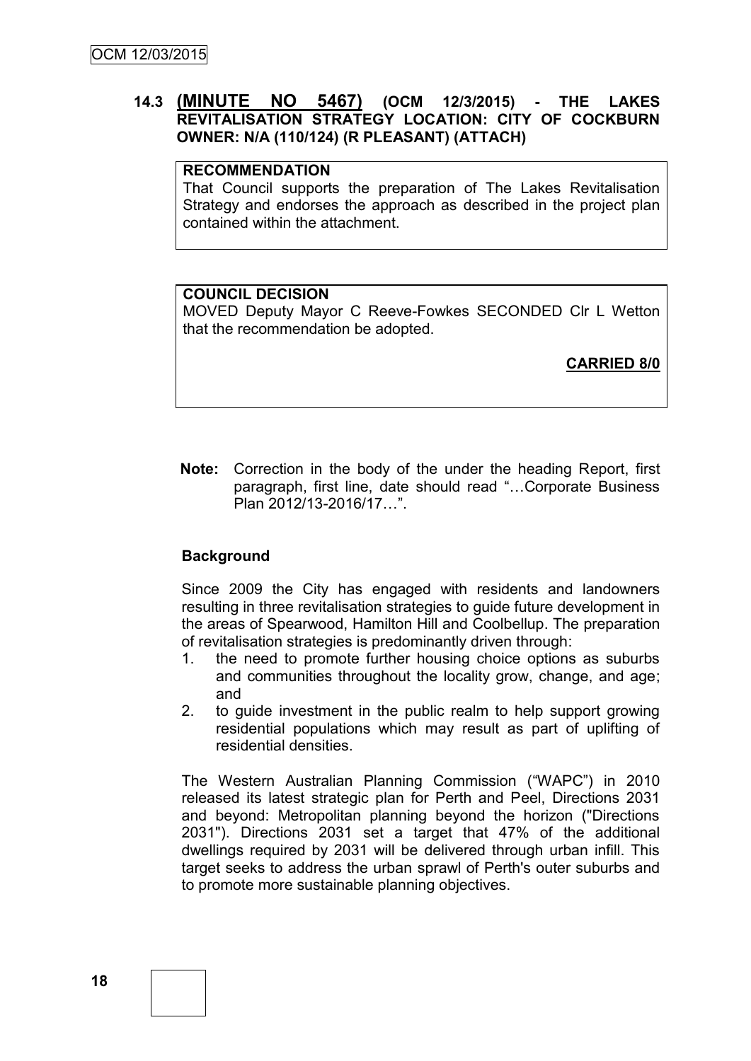## **14.3 (MINUTE NO 5467) (OCM 12/3/2015) - THE LAKES REVITALISATION STRATEGY LOCATION: CITY OF COCKBURN OWNER: N/A (110/124) (R PLEASANT) (ATTACH)**

#### **RECOMMENDATION**

That Council supports the preparation of The Lakes Revitalisation Strategy and endorses the approach as described in the project plan contained within the attachment.

#### **COUNCIL DECISION**

MOVED Deputy Mayor C Reeve-Fowkes SECONDED Clr L Wetton that the recommendation be adopted.

**CARRIED 8/0**

**Note:** Correction in the body of the under the heading Report, first paragraph, first line, date should read "…Corporate Business Plan 2012/13-2016/17…".

#### **Background**

Since 2009 the City has engaged with residents and landowners resulting in three revitalisation strategies to guide future development in the areas of Spearwood, Hamilton Hill and Coolbellup. The preparation of revitalisation strategies is predominantly driven through:

- 1. the need to promote further housing choice options as suburbs and communities throughout the locality grow, change, and age; and
- 2. to guide investment in the public realm to help support growing residential populations which may result as part of uplifting of residential densities.

The Western Australian Planning Commission ("WAPC") in 2010 released its latest strategic plan for Perth and Peel, Directions 2031 and beyond: Metropolitan planning beyond the horizon ("Directions 2031"). Directions 2031 set a target that 47% of the additional dwellings required by 2031 will be delivered through urban infill. This target seeks to address the urban sprawl of Perth's outer suburbs and to promote more sustainable planning objectives.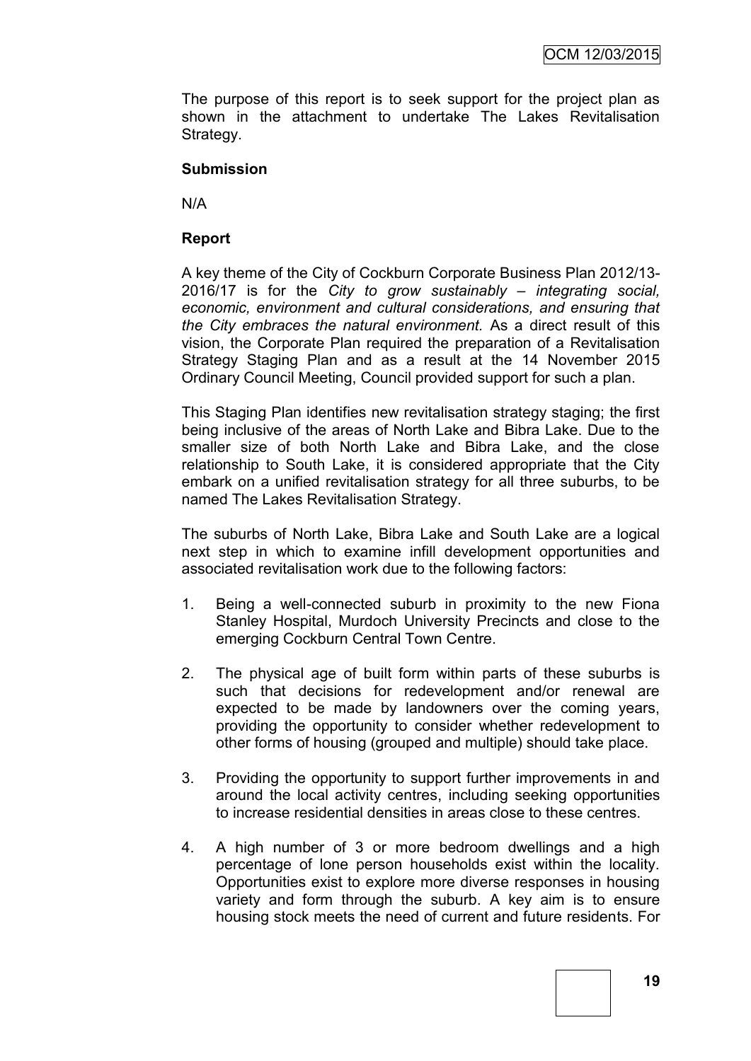The purpose of this report is to seek support for the project plan as shown in the attachment to undertake The Lakes Revitalisation Strategy.

#### **Submission**

N/A

#### **Report**

A key theme of the City of Cockburn Corporate Business Plan 2012/13- 2016/17 is for the *City to grow sustainably – integrating social, economic, environment and cultural considerations, and ensuring that the City embraces the natural environment.* As a direct result of this vision, the Corporate Plan required the preparation of a Revitalisation Strategy Staging Plan and as a result at the 14 November 2015 Ordinary Council Meeting, Council provided support for such a plan.

This Staging Plan identifies new revitalisation strategy staging; the first being inclusive of the areas of North Lake and Bibra Lake. Due to the smaller size of both North Lake and Bibra Lake, and the close relationship to South Lake, it is considered appropriate that the City embark on a unified revitalisation strategy for all three suburbs, to be named The Lakes Revitalisation Strategy.

The suburbs of North Lake, Bibra Lake and South Lake are a logical next step in which to examine infill development opportunities and associated revitalisation work due to the following factors:

- 1. Being a well-connected suburb in proximity to the new Fiona Stanley Hospital, Murdoch University Precincts and close to the emerging Cockburn Central Town Centre.
- 2. The physical age of built form within parts of these suburbs is such that decisions for redevelopment and/or renewal are expected to be made by landowners over the coming years, providing the opportunity to consider whether redevelopment to other forms of housing (grouped and multiple) should take place.
- 3. Providing the opportunity to support further improvements in and around the local activity centres, including seeking opportunities to increase residential densities in areas close to these centres.
- 4. A high number of 3 or more bedroom dwellings and a high percentage of lone person households exist within the locality. Opportunities exist to explore more diverse responses in housing variety and form through the suburb. A key aim is to ensure housing stock meets the need of current and future residents. For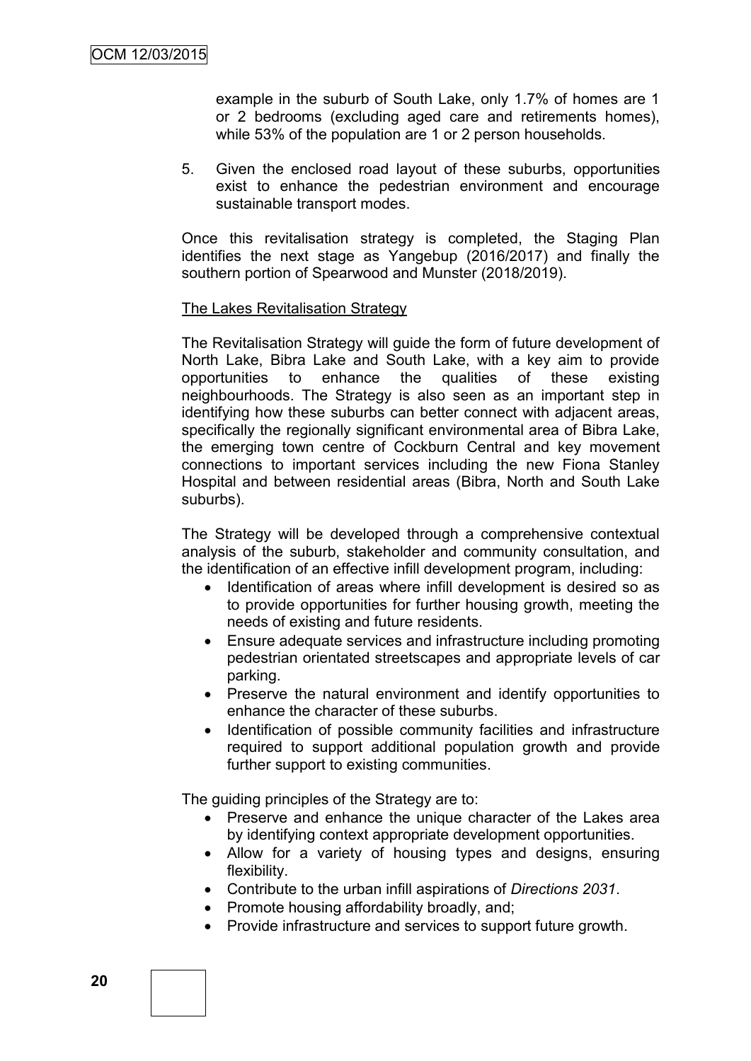example in the suburb of South Lake, only 1.7% of homes are 1 or 2 bedrooms (excluding aged care and retirements homes), while 53% of the population are 1 or 2 person households.

5. Given the enclosed road layout of these suburbs, opportunities exist to enhance the pedestrian environment and encourage sustainable transport modes.

Once this revitalisation strategy is completed, the Staging Plan identifies the next stage as Yangebup (2016/2017) and finally the southern portion of Spearwood and Munster (2018/2019).

#### The Lakes Revitalisation Strategy

The Revitalisation Strategy will guide the form of future development of North Lake, Bibra Lake and South Lake, with a key aim to provide opportunities to enhance the qualities of these existing neighbourhoods. The Strategy is also seen as an important step in identifying how these suburbs can better connect with adjacent areas, specifically the regionally significant environmental area of Bibra Lake, the emerging town centre of Cockburn Central and key movement connections to important services including the new Fiona Stanley Hospital and between residential areas (Bibra, North and South Lake suburbs).

The Strategy will be developed through a comprehensive contextual analysis of the suburb, stakeholder and community consultation, and the identification of an effective infill development program, including:

- Identification of areas where infill development is desired so as to provide opportunities for further housing growth, meeting the needs of existing and future residents.
- Ensure adequate services and infrastructure including promoting pedestrian orientated streetscapes and appropriate levels of car parking.
- Preserve the natural environment and identify opportunities to enhance the character of these suburbs.
- Identification of possible community facilities and infrastructure required to support additional population growth and provide further support to existing communities.

The guiding principles of the Strategy are to:

- Preserve and enhance the unique character of the Lakes area by identifying context appropriate development opportunities.
- Allow for a variety of housing types and designs, ensuring flexibility.
- Contribute to the urban infill aspirations of *Directions 2031*.
- Promote housing affordability broadly, and:
- Provide infrastructure and services to support future growth.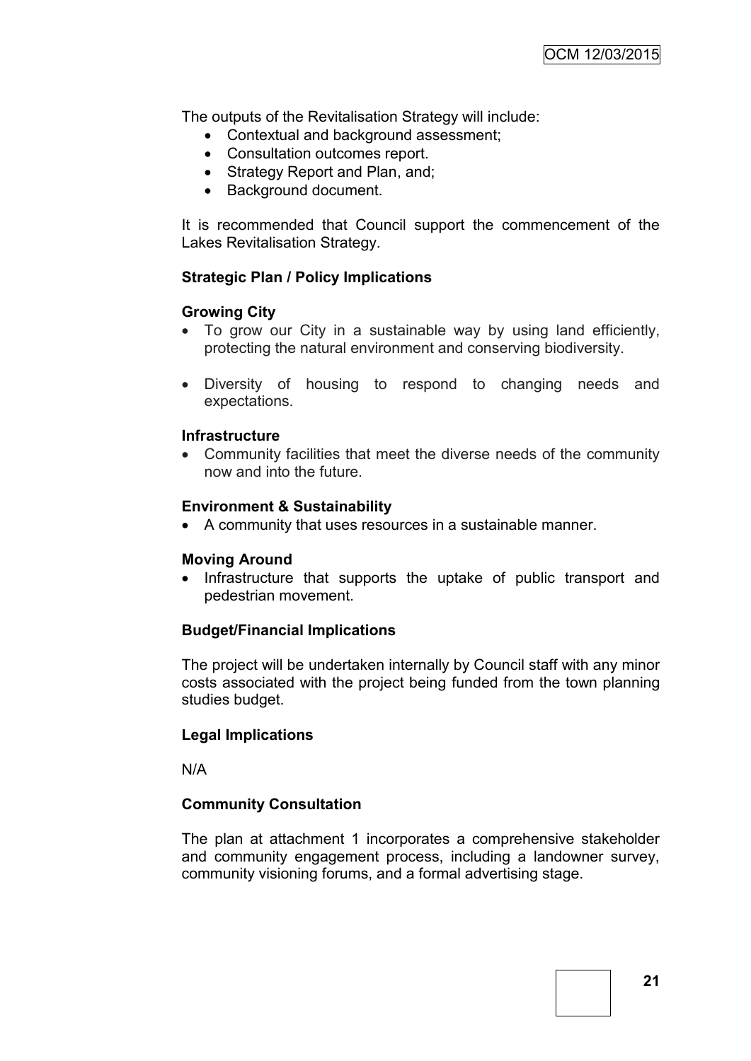The outputs of the Revitalisation Strategy will include:

- Contextual and background assessment;
- Consultation outcomes report.
- Strategy Report and Plan, and;
- Background document.

It is recommended that Council support the commencement of the Lakes Revitalisation Strategy.

#### **Strategic Plan / Policy Implications**

#### **Growing City**

- To grow our City in a sustainable way by using land efficiently, protecting the natural environment and conserving biodiversity.
- Diversity of housing to respond to changing needs and expectations.

#### **Infrastructure**

 Community facilities that meet the diverse needs of the community now and into the future.

#### **Environment & Sustainability**

A community that uses resources in a sustainable manner.

#### **Moving Around**

• Infrastructure that supports the uptake of public transport and pedestrian movement.

#### **Budget/Financial Implications**

The project will be undertaken internally by Council staff with any minor costs associated with the project being funded from the town planning studies budget.

#### **Legal Implications**

N/A

#### **Community Consultation**

The plan at attachment 1 incorporates a comprehensive stakeholder and community engagement process, including a landowner survey, community visioning forums, and a formal advertising stage.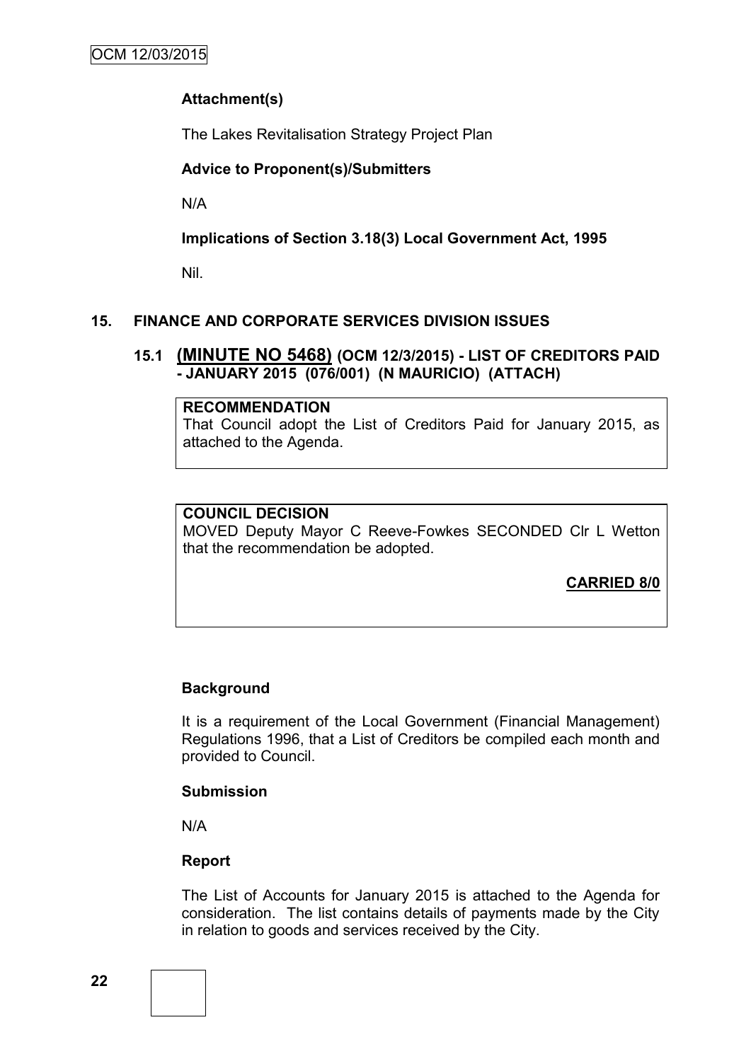## **Attachment(s)**

The Lakes Revitalisation Strategy Project Plan

## **Advice to Proponent(s)/Submitters**

N/A

**Implications of Section 3.18(3) Local Government Act, 1995**

Nil.

## **15. FINANCE AND CORPORATE SERVICES DIVISION ISSUES**

## **15.1 (MINUTE NO 5468) (OCM 12/3/2015) - LIST OF CREDITORS PAID - JANUARY 2015 (076/001) (N MAURICIO) (ATTACH)**

#### **RECOMMENDATION**

That Council adopt the List of Creditors Paid for January 2015, as attached to the Agenda.

#### **COUNCIL DECISION**

MOVED Deputy Mayor C Reeve-Fowkes SECONDED Clr L Wetton that the recommendation be adopted.

**CARRIED 8/0**

## **Background**

It is a requirement of the Local Government (Financial Management) Regulations 1996, that a List of Creditors be compiled each month and provided to Council.

#### **Submission**

N/A

## **Report**

The List of Accounts for January 2015 is attached to the Agenda for consideration. The list contains details of payments made by the City in relation to goods and services received by the City.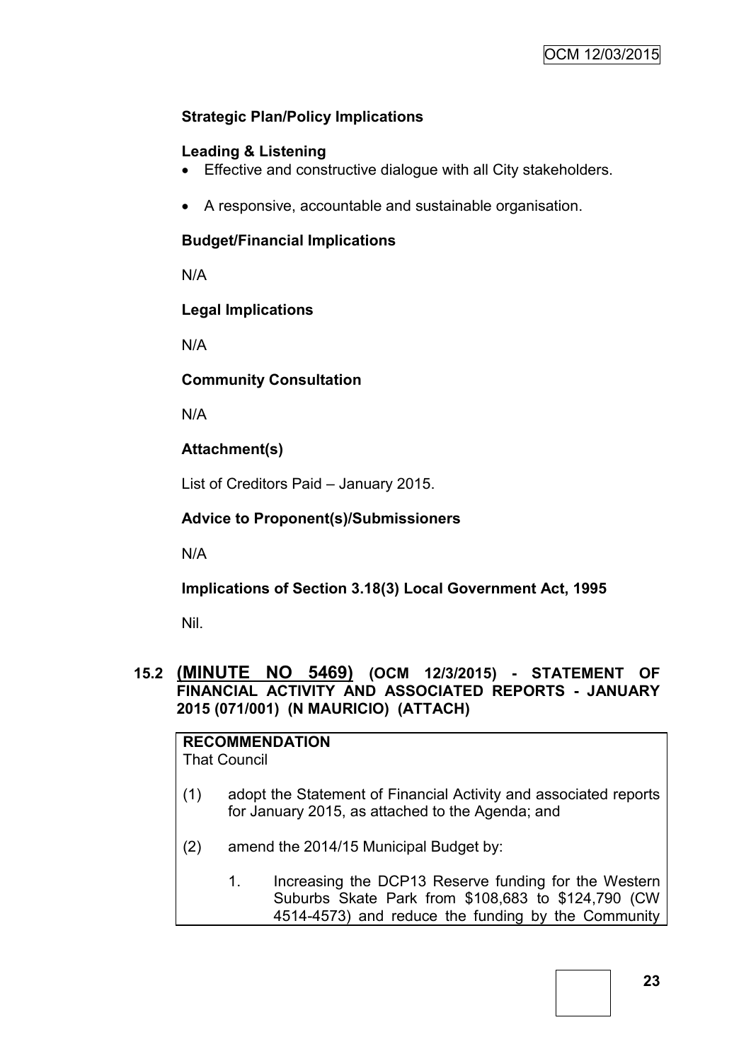## **Strategic Plan/Policy Implications**

## **Leading & Listening**

- Effective and constructive dialogue with all City stakeholders.
- A responsive, accountable and sustainable organisation.

## **Budget/Financial Implications**

N/A

## **Legal Implications**

N/A

## **Community Consultation**

N/A

## **Attachment(s)**

List of Creditors Paid – January 2015.

## **Advice to Proponent(s)/Submissioners**

N/A

**Implications of Section 3.18(3) Local Government Act, 1995**

Nil.

## **15.2 (MINUTE NO 5469) (OCM 12/3/2015) - STATEMENT OF FINANCIAL ACTIVITY AND ASSOCIATED REPORTS - JANUARY 2015 (071/001) (N MAURICIO) (ATTACH)**

**RECOMMENDATION** That Council

- (1) adopt the Statement of Financial Activity and associated reports for January 2015, as attached to the Agenda; and
- (2) amend the 2014/15 Municipal Budget by:
	- 1. Increasing the DCP13 Reserve funding for the Western Suburbs Skate Park from \$108,683 to \$124,790 (CW 4514-4573) and reduce the funding by the Community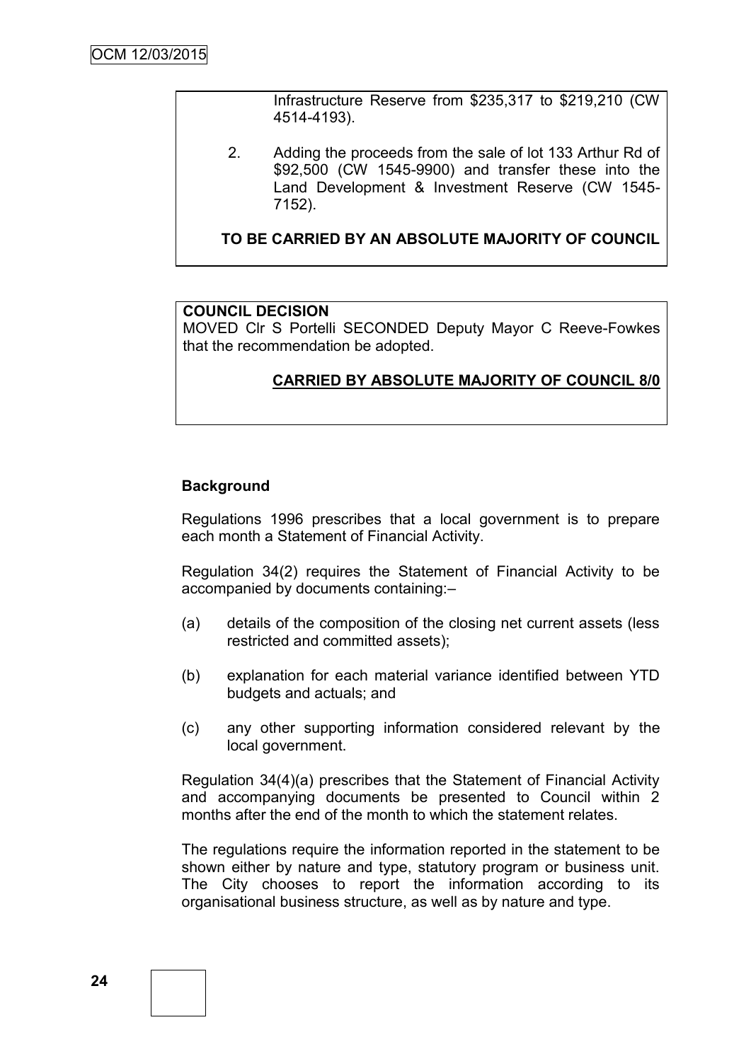Infrastructure Reserve from \$235,317 to \$219,210 (CW 4514-4193).

2. Adding the proceeds from the sale of lot 133 Arthur Rd of \$92,500 (CW 1545-9900) and transfer these into the Land Development & Investment Reserve (CW 1545- 7152).

**TO BE CARRIED BY AN ABSOLUTE MAJORITY OF COUNCIL**

#### **COUNCIL DECISION**

MOVED Clr S Portelli SECONDED Deputy Mayor C Reeve-Fowkes that the recommendation be adopted.

## **CARRIED BY ABSOLUTE MAJORITY OF COUNCIL 8/0**

#### **Background**

Regulations 1996 prescribes that a local government is to prepare each month a Statement of Financial Activity.

Regulation 34(2) requires the Statement of Financial Activity to be accompanied by documents containing:–

- (a) details of the composition of the closing net current assets (less restricted and committed assets);
- (b) explanation for each material variance identified between YTD budgets and actuals; and
- (c) any other supporting information considered relevant by the local government.

Regulation 34(4)(a) prescribes that the Statement of Financial Activity and accompanying documents be presented to Council within 2 months after the end of the month to which the statement relates.

The regulations require the information reported in the statement to be shown either by nature and type, statutory program or business unit. The City chooses to report the information according to its organisational business structure, as well as by nature and type.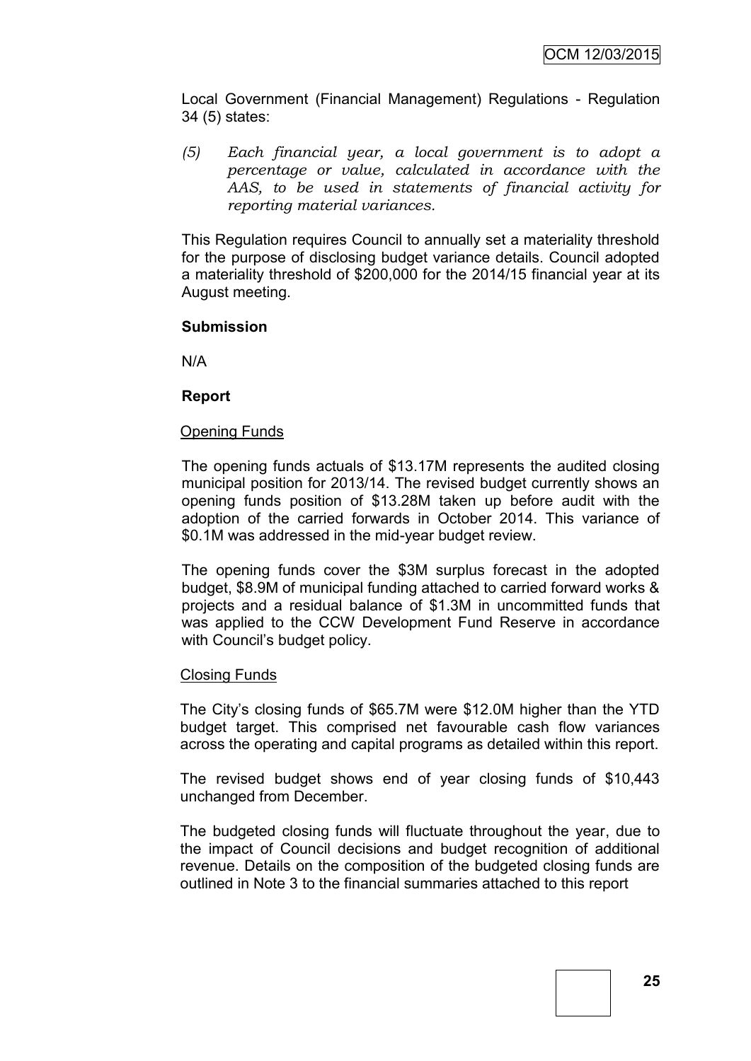Local Government (Financial Management) Regulations - Regulation 34 (5) states:

*(5) Each financial year, a local government is to adopt a percentage or value, calculated in accordance with the AAS, to be used in statements of financial activity for reporting material variances.*

This Regulation requires Council to annually set a materiality threshold for the purpose of disclosing budget variance details. Council adopted a materiality threshold of \$200,000 for the 2014/15 financial year at its August meeting.

#### **Submission**

N/A

#### **Report**

#### Opening Funds

The opening funds actuals of \$13.17M represents the audited closing municipal position for 2013/14. The revised budget currently shows an opening funds position of \$13.28M taken up before audit with the adoption of the carried forwards in October 2014. This variance of \$0.1M was addressed in the mid-year budget review.

The opening funds cover the \$3M surplus forecast in the adopted budget, \$8.9M of municipal funding attached to carried forward works & projects and a residual balance of \$1.3M in uncommitted funds that was applied to the CCW Development Fund Reserve in accordance with Council's budget policy.

#### Closing Funds

The City's closing funds of \$65.7M were \$12.0M higher than the YTD budget target. This comprised net favourable cash flow variances across the operating and capital programs as detailed within this report.

The revised budget shows end of year closing funds of \$10,443 unchanged from December.

The budgeted closing funds will fluctuate throughout the year, due to the impact of Council decisions and budget recognition of additional revenue. Details on the composition of the budgeted closing funds are outlined in Note 3 to the financial summaries attached to this report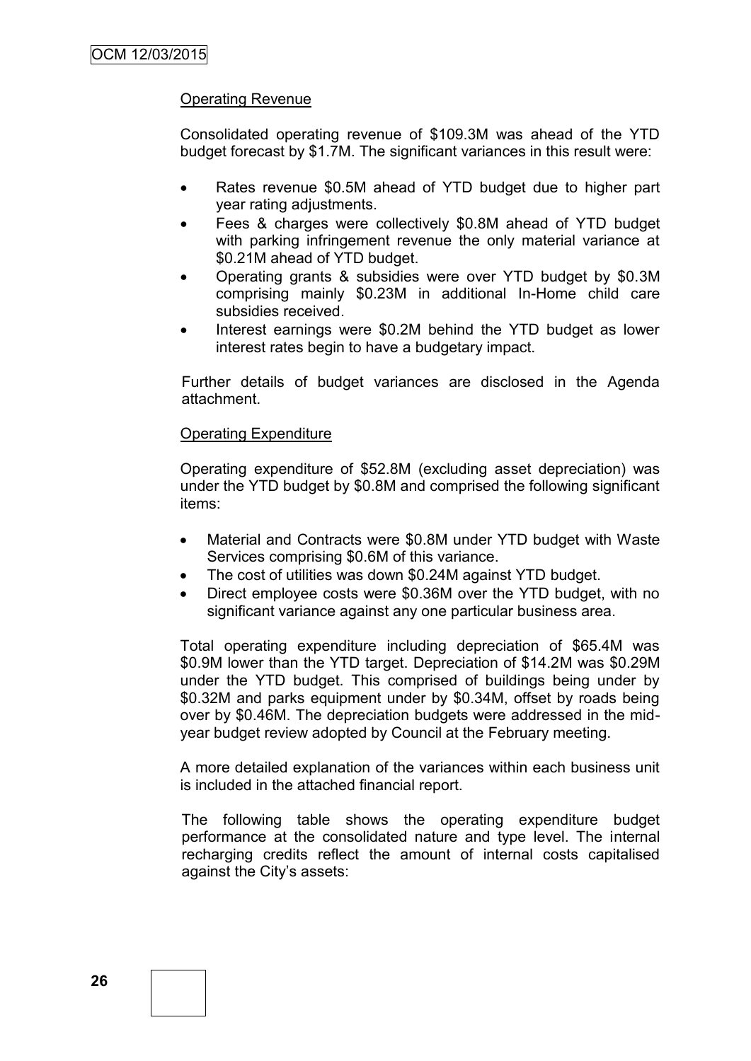## Operating Revenue

Consolidated operating revenue of \$109.3M was ahead of the YTD budget forecast by \$1.7M. The significant variances in this result were:

- Rates revenue \$0.5M ahead of YTD budget due to higher part year rating adjustments.
- Fees & charges were collectively \$0.8M ahead of YTD budget with parking infringement revenue the only material variance at \$0.21M ahead of YTD budget.
- Operating grants & subsidies were over YTD budget by \$0.3M comprising mainly \$0.23M in additional In-Home child care subsidies received.
- Interest earnings were \$0.2M behind the YTD budget as lower interest rates begin to have a budgetary impact.

Further details of budget variances are disclosed in the Agenda attachment.

#### Operating Expenditure

Operating expenditure of \$52.8M (excluding asset depreciation) was under the YTD budget by \$0.8M and comprised the following significant items:

- Material and Contracts were \$0.8M under YTD budget with Waste Services comprising \$0.6M of this variance.
- The cost of utilities was down \$0.24M against YTD budget.
- Direct employee costs were \$0.36M over the YTD budget, with no significant variance against any one particular business area.

Total operating expenditure including depreciation of \$65.4M was \$0.9M lower than the YTD target. Depreciation of \$14.2M was \$0.29M under the YTD budget. This comprised of buildings being under by \$0.32M and parks equipment under by \$0.34M, offset by roads being over by \$0.46M. The depreciation budgets were addressed in the midyear budget review adopted by Council at the February meeting.

A more detailed explanation of the variances within each business unit is included in the attached financial report.

The following table shows the operating expenditure budget performance at the consolidated nature and type level. The internal recharging credits reflect the amount of internal costs capitalised against the City's assets: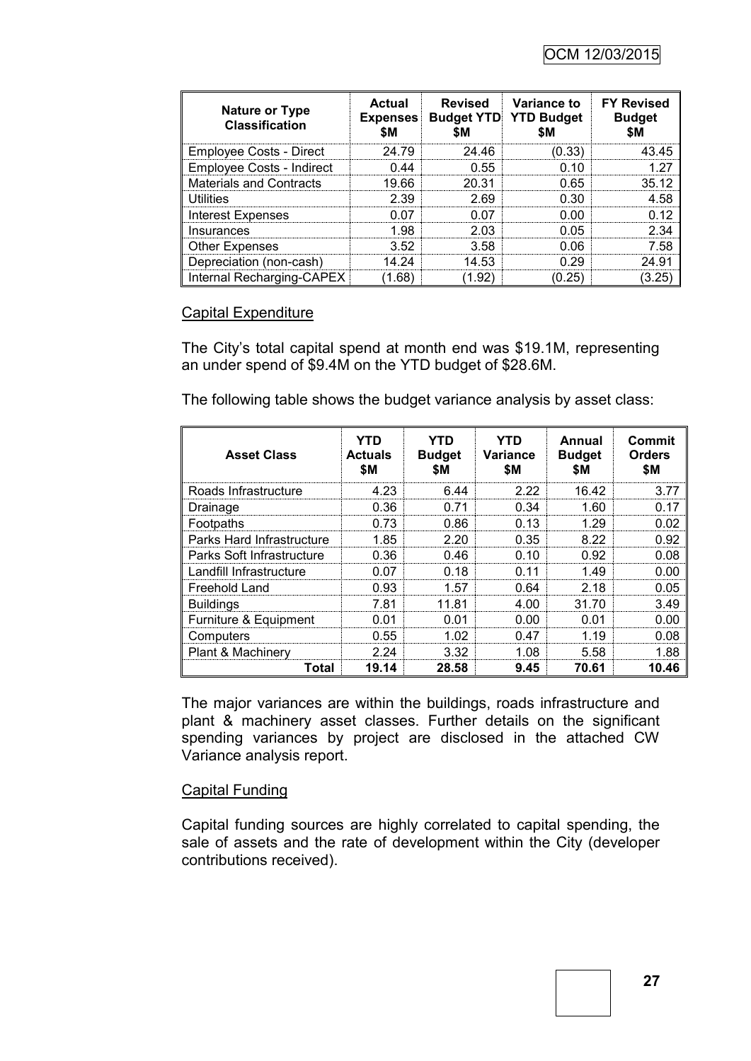| <b>Nature or Type</b><br><b>Classification</b> | Actual | Expenses Budget YTD YTD Budget | <b>Revised</b> Variance to | <b>FY Revised</b><br><b>Budget</b> |
|------------------------------------------------|--------|--------------------------------|----------------------------|------------------------------------|
| Employee Costs - Direct                        | 24.79  | 24 46                          | 0.33                       |                                    |
| Employee Costs - Indirect                      | በ 44   | 0.55                           | በ 1በ                       |                                    |
| <b>Materials and Contracts</b>                 | 19.66  | 20.31                          | 0 65                       | 35.12                              |
| <b>Utilities</b>                               | 2.39   | 2.69                           | በ 30                       |                                    |
| <b>Interest Expenses</b>                       | በ በ7   | በ በ7                           | n nn                       |                                    |
| Insurances                                     | 1.98   | 2 03                           | <u>በ በ5</u>                |                                    |
| <b>Other Expenses</b>                          | 3.52   | 3.58                           | 0 0 G                      |                                    |
| Depreciation (non-cash)                        | 14 24  | 14.53                          | በ 29                       |                                    |
| Internal Recharging-CAPEX                      |        |                                | 25                         |                                    |

#### Capital Expenditure

The City's total capital spend at month end was \$19.1M, representing an under spend of \$9.4M on the YTD budget of \$28.6M.

The following table shows the budget variance analysis by asset class:

| <b>Asset Class</b>        | YTD<br><b>Actuals</b><br>\$M | YTD<br><b>Budget</b><br>SΜ. | YTD<br><b>Variance</b><br>\$M | Annual<br><b>Budget</b><br>SΜ. | Commit<br><b>Orders</b><br>\$M |
|---------------------------|------------------------------|-----------------------------|-------------------------------|--------------------------------|--------------------------------|
| Roads Infrastructure      | 4.23                         | 6.44                        | 2.22                          | 16.42                          | 3.77                           |
| Drainage                  | 0.36                         | 0.71                        | 0.34                          | 1.60                           | 0.17                           |
| Footpaths                 | 0.73                         | 0.86                        | 0.13                          | 1.29                           | 0.02                           |
| Parks Hard Infrastructure | 1.85                         | 2.20                        | 0.35                          | 8.22                           | 0.92                           |
| Parks Soft Infrastructure | 0.36                         | 0.46                        | 0.10                          | 0.92                           | 0.08                           |
| Landfill Infrastructure   | 0.07                         | 0.18                        | 0.11                          | 1.49                           | 0.00                           |
| Freehold Land             | 0.93                         | 1.57                        | 0.64                          | 2.18                           | 0.05                           |
| <b>Buildings</b>          | 7.81                         | 11.81                       | 4.00                          | 31.70                          | 3.49                           |
| Furniture & Equipment     | 0.01                         | 0.01                        | 0.00                          | 0.01                           | 0.00                           |
| Computers                 | 0.55                         | 1.02                        | 0.47                          | 1.19                           | 0.08                           |
| Plant & Machinery         | 2.24                         | 3.32                        | 1.08                          | 5.58                           | 1.88                           |
| Total                     | 19.14                        | 28.58                       | 9.45                          | 70.61                          | 10.46                          |

The major variances are within the buildings, roads infrastructure and plant & machinery asset classes. Further details on the significant spending variances by project are disclosed in the attached CW Variance analysis report.

#### Capital Funding

Capital funding sources are highly correlated to capital spending, the sale of assets and the rate of development within the City (developer contributions received).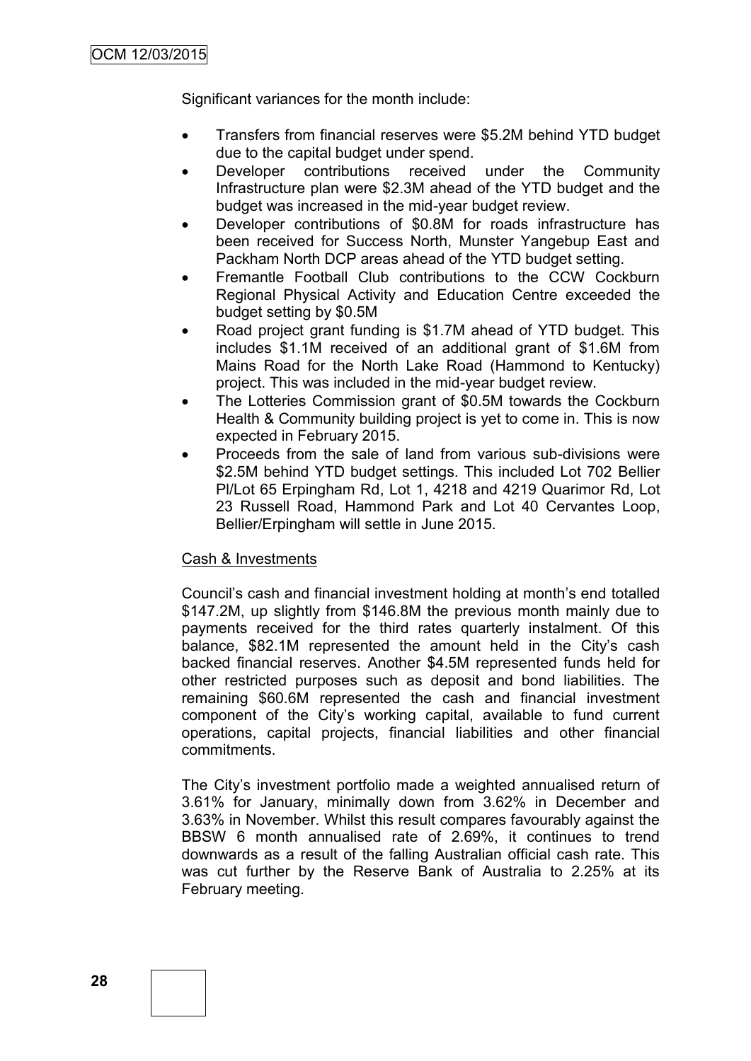Significant variances for the month include:

- Transfers from financial reserves were \$5.2M behind YTD budget due to the capital budget under spend.
- Developer contributions received under the Community Infrastructure plan were \$2.3M ahead of the YTD budget and the budget was increased in the mid-year budget review.
- Developer contributions of \$0.8M for roads infrastructure has been received for Success North, Munster Yangebup East and Packham North DCP areas ahead of the YTD budget setting.
- Fremantle Football Club contributions to the CCW Cockburn Regional Physical Activity and Education Centre exceeded the budget setting by \$0.5M
- Road project grant funding is \$1.7M ahead of YTD budget. This includes \$1.1M received of an additional grant of \$1.6M from Mains Road for the North Lake Road (Hammond to Kentucky) project. This was included in the mid-year budget review.
- The Lotteries Commission grant of \$0.5M towards the Cockburn Health & Community building project is yet to come in. This is now expected in February 2015.
- Proceeds from the sale of land from various sub-divisions were \$2.5M behind YTD budget settings. This included Lot 702 Bellier Pl/Lot 65 Erpingham Rd, Lot 1, 4218 and 4219 Quarimor Rd, Lot 23 Russell Road, Hammond Park and Lot 40 Cervantes Loop, Bellier/Erpingham will settle in June 2015.

#### Cash & Investments

Council's cash and financial investment holding at month's end totalled \$147.2M, up slightly from \$146.8M the previous month mainly due to payments received for the third rates quarterly instalment. Of this balance, \$82.1M represented the amount held in the City's cash backed financial reserves. Another \$4.5M represented funds held for other restricted purposes such as deposit and bond liabilities. The remaining \$60.6M represented the cash and financial investment component of the City's working capital, available to fund current operations, capital projects, financial liabilities and other financial commitments.

The City's investment portfolio made a weighted annualised return of 3.61% for January, minimally down from 3.62% in December and 3.63% in November. Whilst this result compares favourably against the BBSW 6 month annualised rate of 2.69%, it continues to trend downwards as a result of the falling Australian official cash rate. This was cut further by the Reserve Bank of Australia to 2.25% at its February meeting.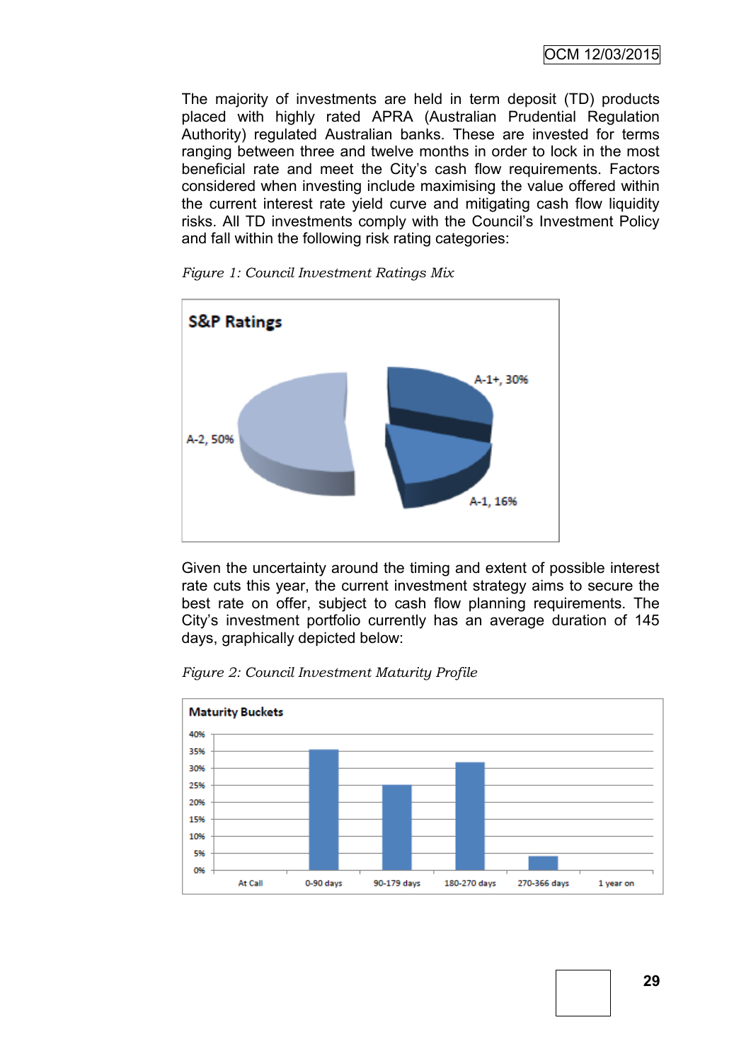OCM 12/03/2015

The majority of investments are held in term deposit (TD) products placed with highly rated APRA (Australian Prudential Regulation Authority) regulated Australian banks. These are invested for terms ranging between three and twelve months in order to lock in the most beneficial rate and meet the City's cash flow requirements. Factors considered when investing include maximising the value offered within the current interest rate yield curve and mitigating cash flow liquidity risks. All TD investments comply with the Council's Investment Policy and fall within the following risk rating categories:



*Figure 1: Council Investment Ratings Mix*

Given the uncertainty around the timing and extent of possible interest rate cuts this year, the current investment strategy aims to secure the best rate on offer, subject to cash flow planning requirements. The City's investment portfolio currently has an average duration of 145 days, graphically depicted below:



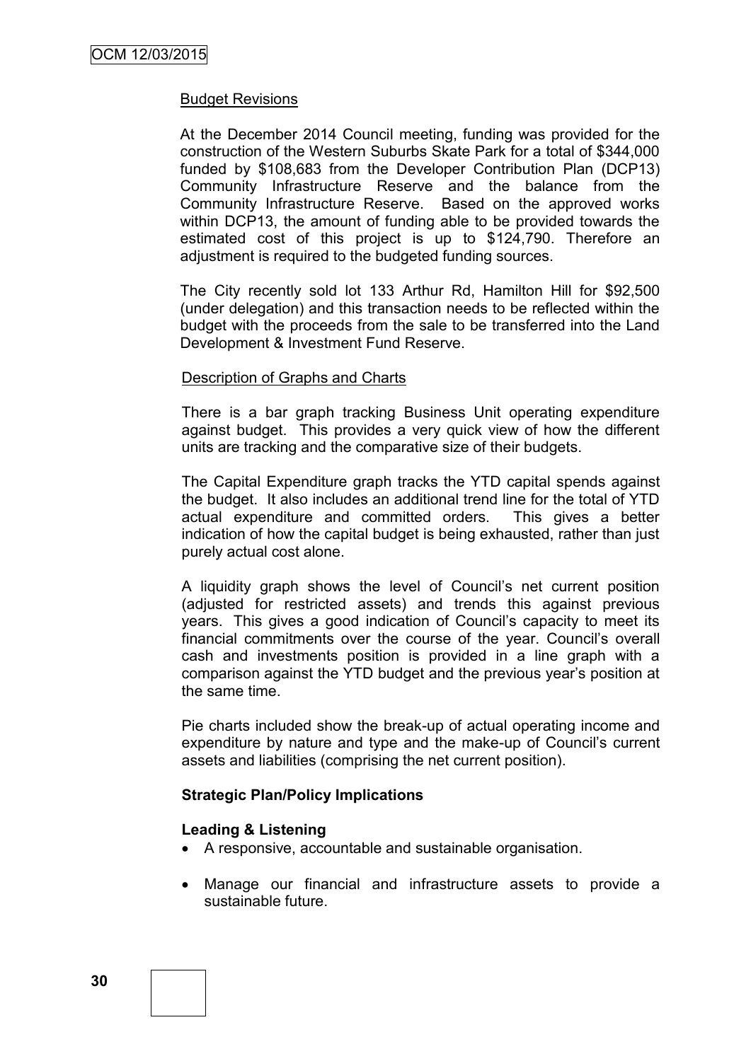#### Budget Revisions

At the December 2014 Council meeting, funding was provided for the construction of the Western Suburbs Skate Park for a total of \$344,000 funded by \$108,683 from the Developer Contribution Plan (DCP13) Community Infrastructure Reserve and the balance from the Community Infrastructure Reserve. Based on the approved works within DCP13, the amount of funding able to be provided towards the estimated cost of this project is up to \$124,790. Therefore an adjustment is required to the budgeted funding sources.

The City recently sold lot 133 Arthur Rd, Hamilton Hill for \$92,500 (under delegation) and this transaction needs to be reflected within the budget with the proceeds from the sale to be transferred into the Land Development & Investment Fund Reserve.

#### Description of Graphs and Charts

There is a bar graph tracking Business Unit operating expenditure against budget. This provides a very quick view of how the different units are tracking and the comparative size of their budgets.

The Capital Expenditure graph tracks the YTD capital spends against the budget. It also includes an additional trend line for the total of YTD actual expenditure and committed orders. This gives a better indication of how the capital budget is being exhausted, rather than just purely actual cost alone.

A liquidity graph shows the level of Council's net current position (adjusted for restricted assets) and trends this against previous years. This gives a good indication of Council's capacity to meet its financial commitments over the course of the year. Council's overall cash and investments position is provided in a line graph with a comparison against the YTD budget and the previous year's position at the same time.

Pie charts included show the break-up of actual operating income and expenditure by nature and type and the make-up of Council's current assets and liabilities (comprising the net current position).

#### **Strategic Plan/Policy Implications**

#### **Leading & Listening**

- A responsive, accountable and sustainable organisation.
- Manage our financial and infrastructure assets to provide a sustainable future.

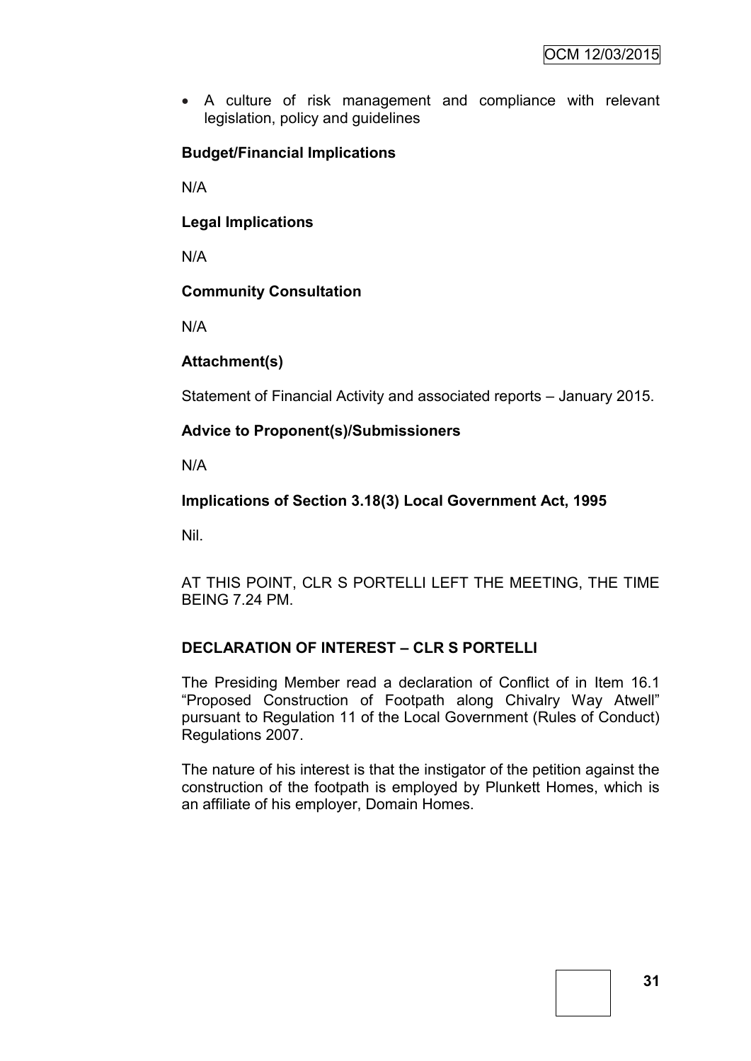A culture of risk management and compliance with relevant legislation, policy and guidelines

## **Budget/Financial Implications**

N/A

**Legal Implications**

N/A

## **Community Consultation**

N/A

#### **Attachment(s)**

Statement of Financial Activity and associated reports – January 2015.

## **Advice to Proponent(s)/Submissioners**

N/A

## **Implications of Section 3.18(3) Local Government Act, 1995**

Nil.

AT THIS POINT, CLR S PORTELLI LEFT THE MEETING, THE TIME BEING 7.24 PM.

#### **DECLARATION OF INTEREST – CLR S PORTELLI**

The Presiding Member read a declaration of Conflict of in Item 16.1 "Proposed Construction of Footpath along Chivalry Way Atwell" pursuant to Regulation 11 of the Local Government (Rules of Conduct) Regulations 2007.

The nature of his interest is that the instigator of the petition against the construction of the footpath is employed by Plunkett Homes, which is an affiliate of his employer, Domain Homes.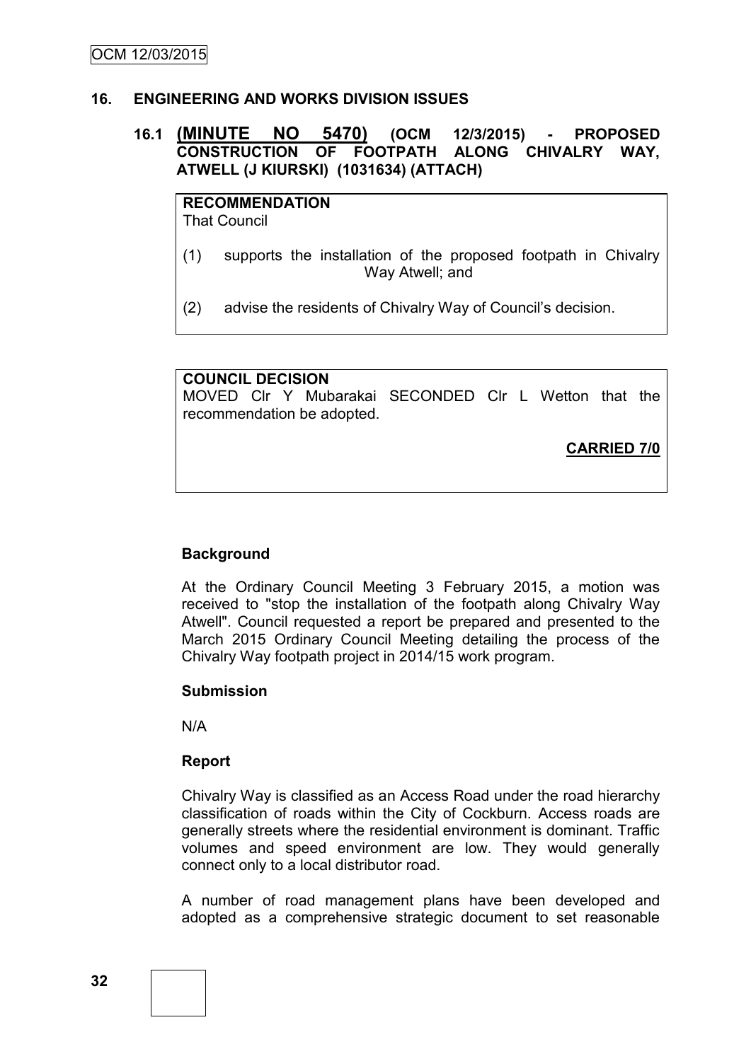#### **16. ENGINEERING AND WORKS DIVISION ISSUES**

## **16.1 (MINUTE NO 5470) (OCM 12/3/2015) - PROPOSED CONSTRUCTION OF FOOTPATH ALONG CHIVALRY WAY, ATWELL (J KIURSKI) (1031634) (ATTACH)**

**RECOMMENDATION** That Council

(1) supports the installation of the proposed footpath in Chivalry Way Atwell; and

(2) advise the residents of Chivalry Way of Council's decision.

#### **COUNCIL DECISION**

MOVED Clr Y Mubarakai SECONDED Clr L Wetton that the recommendation be adopted.

**CARRIED 7/0**

#### **Background**

At the Ordinary Council Meeting 3 February 2015, a motion was received to "stop the installation of the footpath along Chivalry Way Atwell". Council requested a report be prepared and presented to the March 2015 Ordinary Council Meeting detailing the process of the Chivalry Way footpath project in 2014/15 work program.

#### **Submission**

N/A

#### **Report**

Chivalry Way is classified as an Access Road under the road hierarchy classification of roads within the City of Cockburn. Access roads are generally streets where the residential environment is dominant. Traffic volumes and speed environment are low. They would generally connect only to a local distributor road.

A number of road management plans have been developed and adopted as a comprehensive strategic document to set reasonable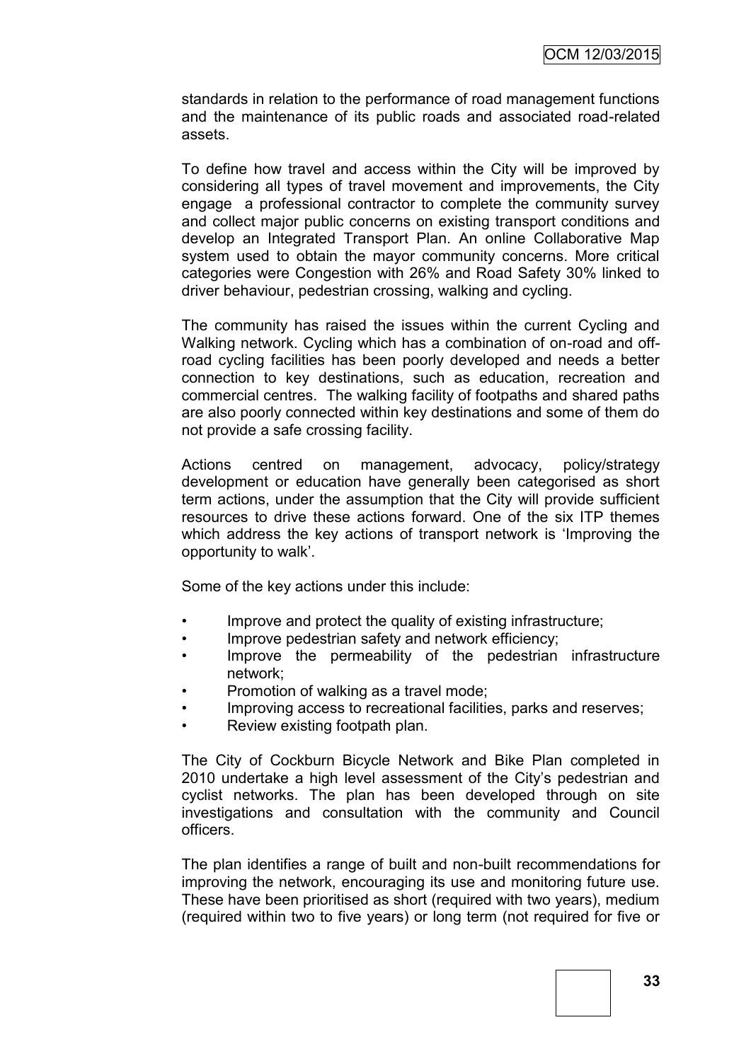standards in relation to the performance of road management functions and the maintenance of its public roads and associated road-related assets.

To define how travel and access within the City will be improved by considering all types of travel movement and improvements, the City engage a professional contractor to complete the community survey and collect major public concerns on existing transport conditions and develop an Integrated Transport Plan. An online Collaborative Map system used to obtain the mayor community concerns. More critical categories were Congestion with 26% and Road Safety 30% linked to driver behaviour, pedestrian crossing, walking and cycling.

The community has raised the issues within the current Cycling and Walking network. Cycling which has a combination of on-road and offroad cycling facilities has been poorly developed and needs a better connection to key destinations, such as education, recreation and commercial centres. The walking facility of footpaths and shared paths are also poorly connected within key destinations and some of them do not provide a safe crossing facility.

Actions centred on management, advocacy, policy/strategy development or education have generally been categorised as short term actions, under the assumption that the City will provide sufficient resources to drive these actions forward. One of the six ITP themes which address the key actions of transport network is 'Improving the opportunity to walk'.

Some of the key actions under this include:

- Improve and protect the quality of existing infrastructure;
- Improve pedestrian safety and network efficiency;
- Improve the permeability of the pedestrian infrastructure network;
- Promotion of walking as a travel mode;
- Improving access to recreational facilities, parks and reserves;
- Review existing footpath plan.

The City of Cockburn Bicycle Network and Bike Plan completed in 2010 undertake a high level assessment of the City's pedestrian and cyclist networks. The plan has been developed through on site investigations and consultation with the community and Council officers.

The plan identifies a range of built and non-built recommendations for improving the network, encouraging its use and monitoring future use. These have been prioritised as short (required with two years), medium (required within two to five years) or long term (not required for five or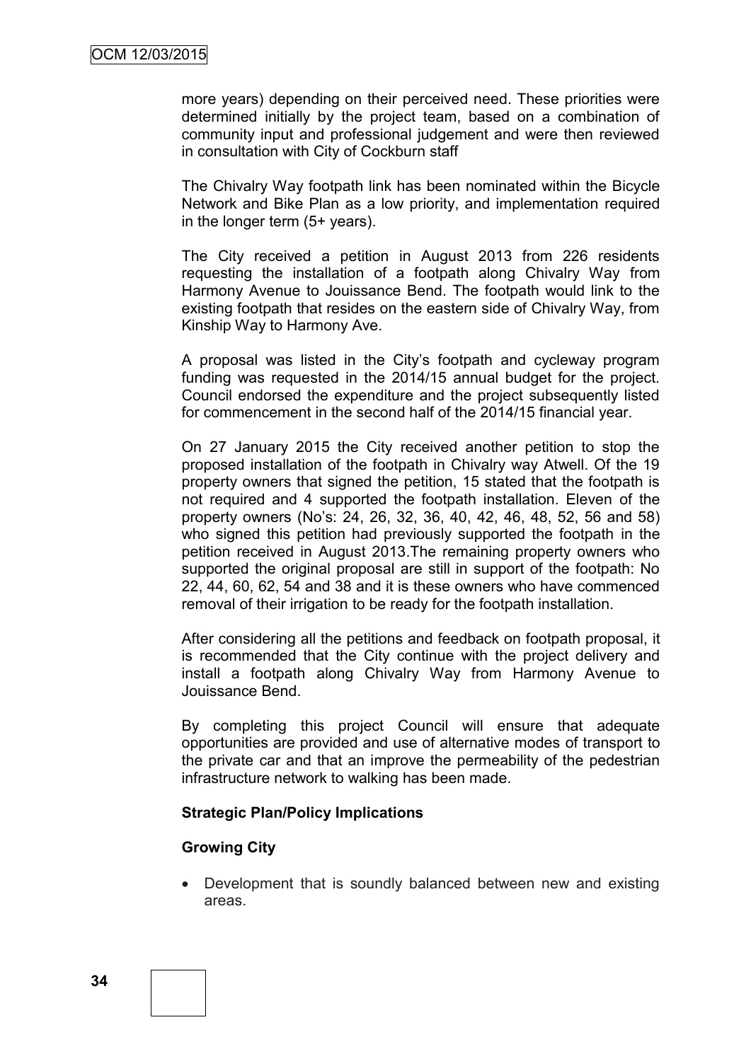more years) depending on their perceived need. These priorities were determined initially by the project team, based on a combination of community input and professional judgement and were then reviewed in consultation with City of Cockburn staff

The Chivalry Way footpath link has been nominated within the Bicycle Network and Bike Plan as a low priority, and implementation required in the longer term (5+ years).

The City received a petition in August 2013 from 226 residents requesting the installation of a footpath along Chivalry Way from Harmony Avenue to Jouissance Bend. The footpath would link to the existing footpath that resides on the eastern side of Chivalry Way, from Kinship Way to Harmony Ave.

A proposal was listed in the City's footpath and cycleway program funding was requested in the 2014/15 annual budget for the project. Council endorsed the expenditure and the project subsequently listed for commencement in the second half of the 2014/15 financial year.

On 27 January 2015 the City received another petition to stop the proposed installation of the footpath in Chivalry way Atwell. Of the 19 property owners that signed the petition, 15 stated that the footpath is not required and 4 supported the footpath installation. Eleven of the property owners (No's: 24, 26, 32, 36, 40, 42, 46, 48, 52, 56 and 58) who signed this petition had previously supported the footpath in the petition received in August 2013.The remaining property owners who supported the original proposal are still in support of the footpath: No 22, 44, 60, 62, 54 and 38 and it is these owners who have commenced removal of their irrigation to be ready for the footpath installation.

After considering all the petitions and feedback on footpath proposal, it is recommended that the City continue with the project delivery and install a footpath along Chivalry Way from Harmony Avenue to Jouissance Bend.

By completing this project Council will ensure that adequate opportunities are provided and use of alternative modes of transport to the private car and that an improve the permeability of the pedestrian infrastructure network to walking has been made.

#### **Strategic Plan/Policy Implications**

#### **Growing City**

 Development that is soundly balanced between new and existing areas.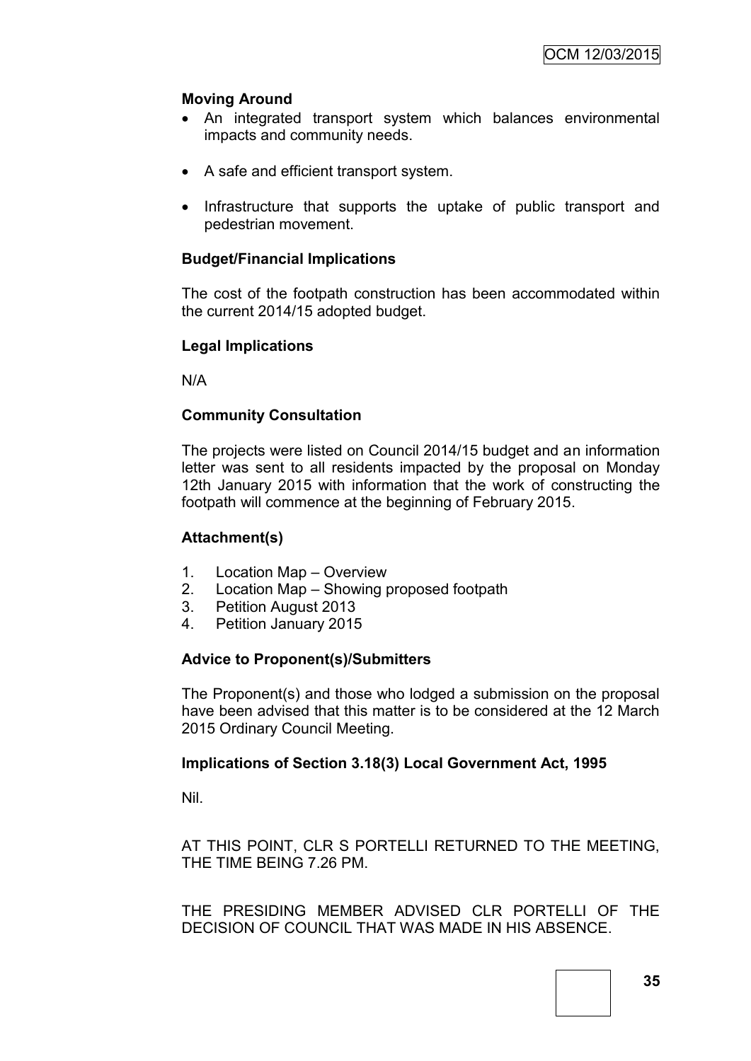## **Moving Around**

- An integrated transport system which balances environmental impacts and community needs.
- A safe and efficient transport system.
- Infrastructure that supports the uptake of public transport and pedestrian movement.

## **Budget/Financial Implications**

The cost of the footpath construction has been accommodated within the current 2014/15 adopted budget.

#### **Legal Implications**

N/A

## **Community Consultation**

The projects were listed on Council 2014/15 budget and an information letter was sent to all residents impacted by the proposal on Monday 12th January 2015 with information that the work of constructing the footpath will commence at the beginning of February 2015.

## **Attachment(s)**

- 1. Location Map Overview
- 2. Location Map Showing proposed footpath
- 3. Petition August 2013
- 4. Petition January 2015

## **Advice to Proponent(s)/Submitters**

The Proponent(s) and those who lodged a submission on the proposal have been advised that this matter is to be considered at the 12 March 2015 Ordinary Council Meeting.

#### **Implications of Section 3.18(3) Local Government Act, 1995**

Nil.

AT THIS POINT, CLR S PORTELLI RETURNED TO THE MEETING, THE TIME BEING 7.26 PM.

THE PRESIDING MEMBER ADVISED CLR PORTELLI OF THE DECISION OF COUNCIL THAT WAS MADE IN HIS ABSENCE.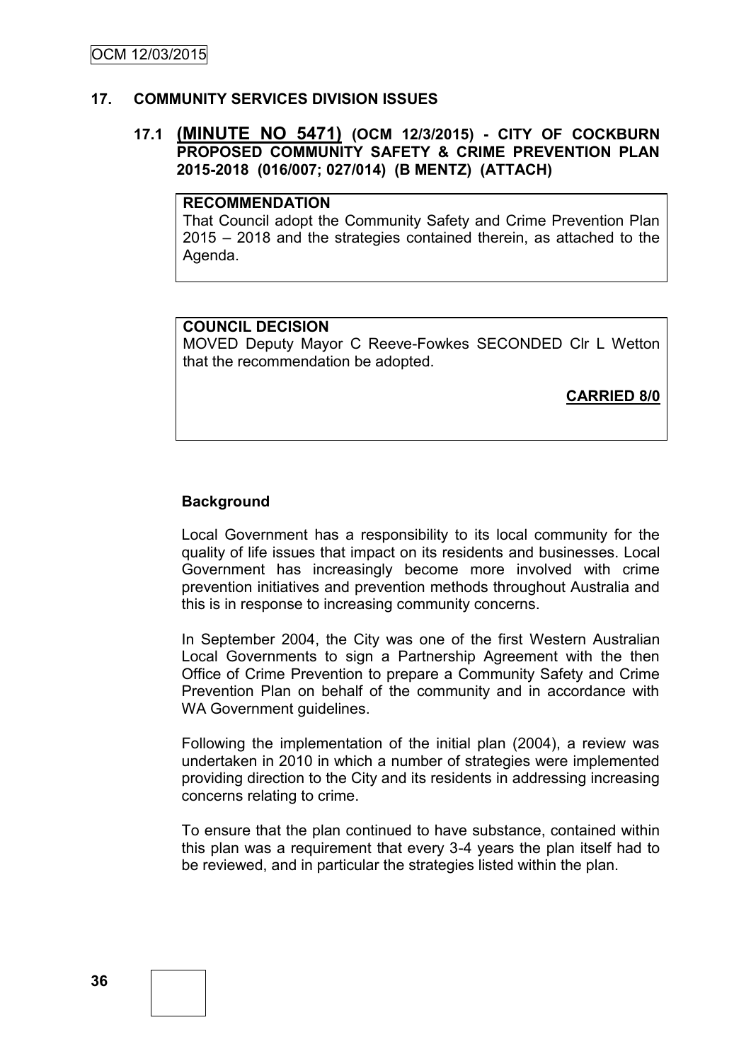#### **17. COMMUNITY SERVICES DIVISION ISSUES**

#### **17.1 (MINUTE NO 5471) (OCM 12/3/2015) - CITY OF COCKBURN PROPOSED COMMUNITY SAFETY & CRIME PREVENTION PLAN 2015-2018 (016/007; 027/014) (B MENTZ) (ATTACH)**

## **RECOMMENDATION**

That Council adopt the Community Safety and Crime Prevention Plan 2015 – 2018 and the strategies contained therein, as attached to the Agenda.

## **COUNCIL DECISION**

MOVED Deputy Mayor C Reeve-Fowkes SECONDED Clr L Wetton that the recommendation be adopted.

**CARRIED 8/0**

#### **Background**

Local Government has a responsibility to its local community for the quality of life issues that impact on its residents and businesses. Local Government has increasingly become more involved with crime prevention initiatives and prevention methods throughout Australia and this is in response to increasing community concerns.

In September 2004, the City was one of the first Western Australian Local Governments to sign a Partnership Agreement with the then Office of Crime Prevention to prepare a Community Safety and Crime Prevention Plan on behalf of the community and in accordance with WA Government guidelines.

Following the implementation of the initial plan (2004), a review was undertaken in 2010 in which a number of strategies were implemented providing direction to the City and its residents in addressing increasing concerns relating to crime.

To ensure that the plan continued to have substance, contained within this plan was a requirement that every 3-4 years the plan itself had to be reviewed, and in particular the strategies listed within the plan.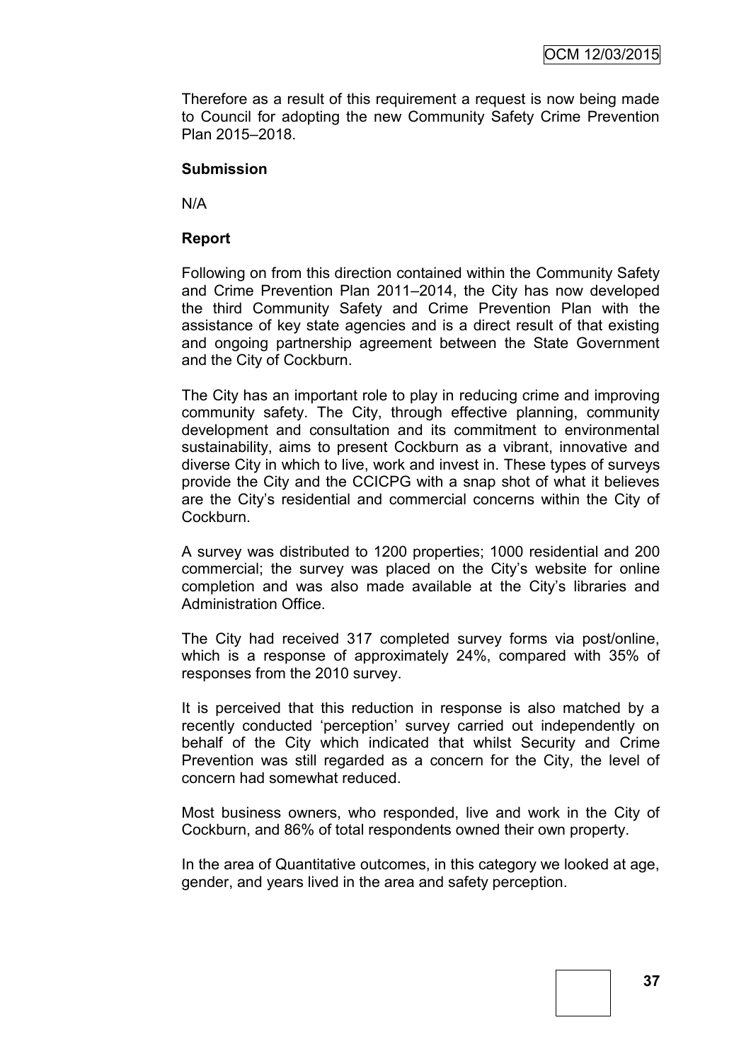Therefore as a result of this requirement a request is now being made to Council for adopting the new Community Safety Crime Prevention Plan 2015–2018.

#### **Submission**

N/A

#### **Report**

Following on from this direction contained within the Community Safety and Crime Prevention Plan 2011–2014, the City has now developed the third Community Safety and Crime Prevention Plan with the assistance of key state agencies and is a direct result of that existing and ongoing partnership agreement between the State Government and the City of Cockburn.

The City has an important role to play in reducing crime and improving community safety. The City, through effective planning, community development and consultation and its commitment to environmental sustainability, aims to present Cockburn as a vibrant, innovative and diverse City in which to live, work and invest in. These types of surveys provide the City and the CCICPG with a snap shot of what it believes are the City's residential and commercial concerns within the City of Cockburn.

A survey was distributed to 1200 properties; 1000 residential and 200 commercial; the survey was placed on the City's website for online completion and was also made available at the City's libraries and Administration Office.

The City had received 317 completed survey forms via post/online, which is a response of approximately 24%, compared with 35% of responses from the 2010 survey.

It is perceived that this reduction in response is also matched by a recently conducted 'perception' survey carried out independently on behalf of the City which indicated that whilst Security and Crime Prevention was still regarded as a concern for the City, the level of concern had somewhat reduced.

Most business owners, who responded, live and work in the City of Cockburn, and 86% of total respondents owned their own property.

In the area of Quantitative outcomes, in this category we looked at age, gender, and years lived in the area and safety perception.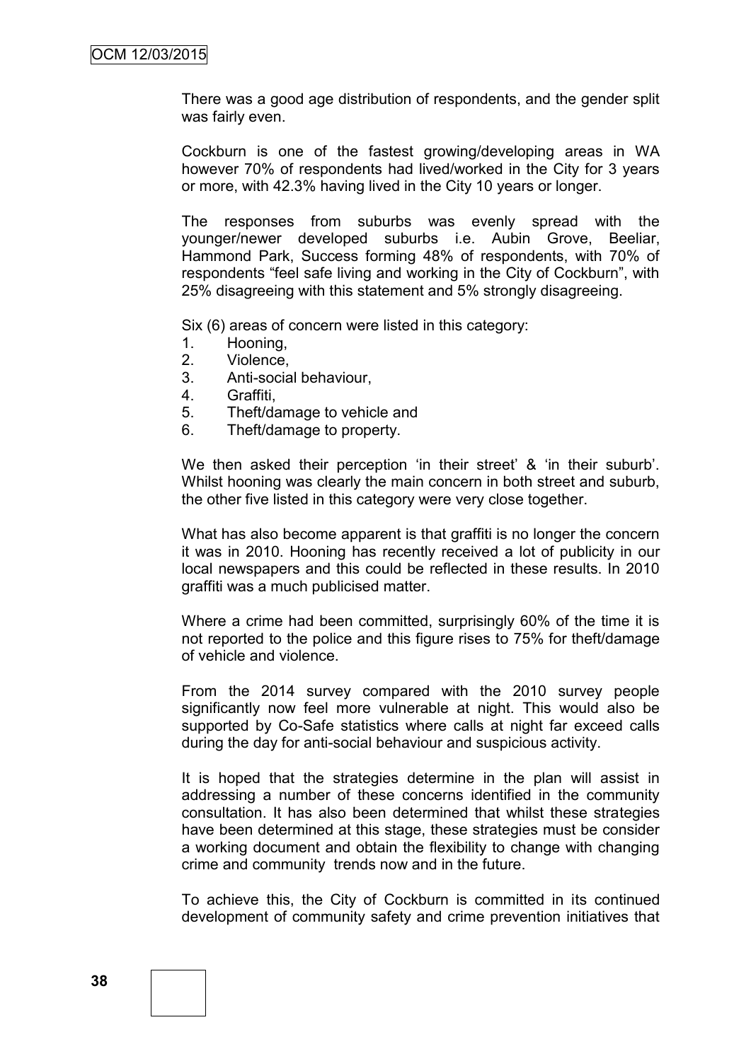There was a good age distribution of respondents, and the gender split was fairly even.

Cockburn is one of the fastest growing/developing areas in WA however 70% of respondents had lived/worked in the City for 3 years or more, with 42.3% having lived in the City 10 years or longer.

The responses from suburbs was evenly spread with the younger/newer developed suburbs i.e. Aubin Grove, Beeliar, Hammond Park, Success forming 48% of respondents, with 70% of respondents "feel safe living and working in the City of Cockburn", with 25% disagreeing with this statement and 5% strongly disagreeing.

Six (6) areas of concern were listed in this category:

- 1. Hooning,
- 2. Violence,
- 3. Anti-social behaviour,
- 4. Graffiti,
- 5. Theft/damage to vehicle and
- 6. Theft/damage to property.

We then asked their perception 'in their street' & 'in their suburb'. Whilst hooning was clearly the main concern in both street and suburb, the other five listed in this category were very close together.

What has also become apparent is that graffiti is no longer the concern it was in 2010. Hooning has recently received a lot of publicity in our local newspapers and this could be reflected in these results. In 2010 graffiti was a much publicised matter.

Where a crime had been committed, surprisingly 60% of the time it is not reported to the police and this figure rises to 75% for theft/damage of vehicle and violence.

From the 2014 survey compared with the 2010 survey people significantly now feel more vulnerable at night. This would also be supported by Co-Safe statistics where calls at night far exceed calls during the day for anti-social behaviour and suspicious activity.

It is hoped that the strategies determine in the plan will assist in addressing a number of these concerns identified in the community consultation. It has also been determined that whilst these strategies have been determined at this stage, these strategies must be consider a working document and obtain the flexibility to change with changing crime and community trends now and in the future.

To achieve this, the City of Cockburn is committed in its continued development of community safety and crime prevention initiatives that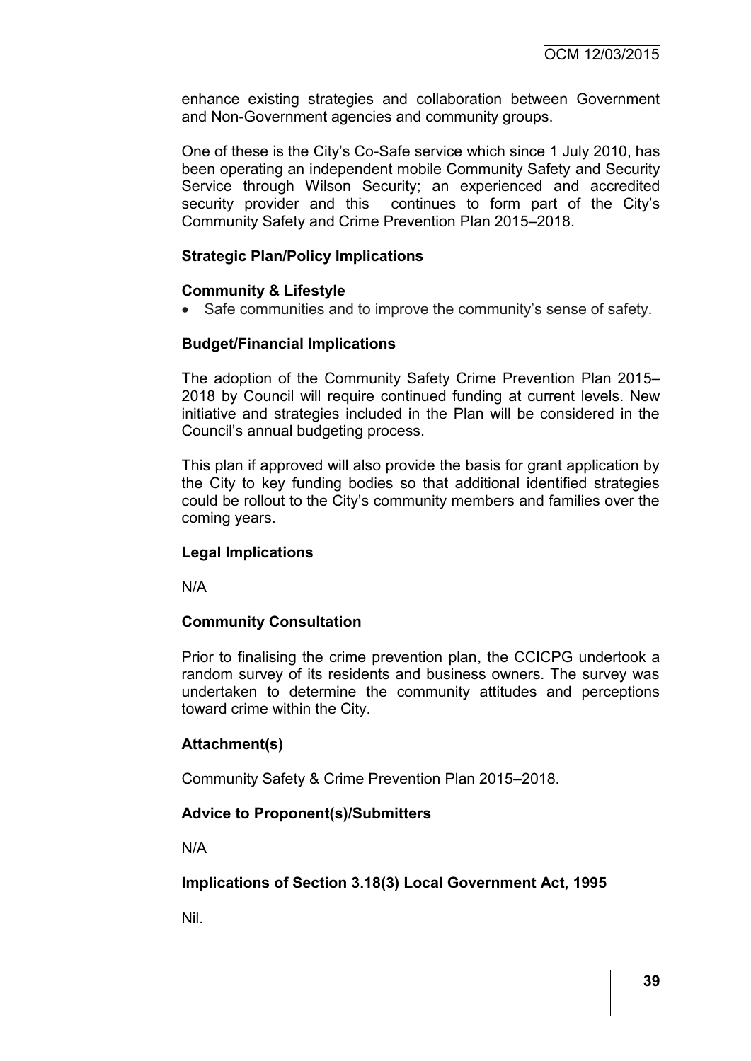enhance existing strategies and collaboration between Government and Non-Government agencies and community groups.

One of these is the City's Co-Safe service which since 1 July 2010, has been operating an independent mobile Community Safety and Security Service through Wilson Security; an experienced and accredited security provider and this continues to form part of the City's Community Safety and Crime Prevention Plan 2015–2018.

## **Strategic Plan/Policy Implications**

#### **Community & Lifestyle**

• Safe communities and to improve the community's sense of safety.

#### **Budget/Financial Implications**

The adoption of the Community Safety Crime Prevention Plan 2015– 2018 by Council will require continued funding at current levels. New initiative and strategies included in the Plan will be considered in the Council's annual budgeting process.

This plan if approved will also provide the basis for grant application by the City to key funding bodies so that additional identified strategies could be rollout to the City's community members and families over the coming years.

#### **Legal Implications**

N/A

#### **Community Consultation**

Prior to finalising the crime prevention plan, the CCICPG undertook a random survey of its residents and business owners. The survey was undertaken to determine the community attitudes and perceptions toward crime within the City.

#### **Attachment(s)**

Community Safety & Crime Prevention Plan 2015–2018.

#### **Advice to Proponent(s)/Submitters**

N/A

#### **Implications of Section 3.18(3) Local Government Act, 1995**

Nil.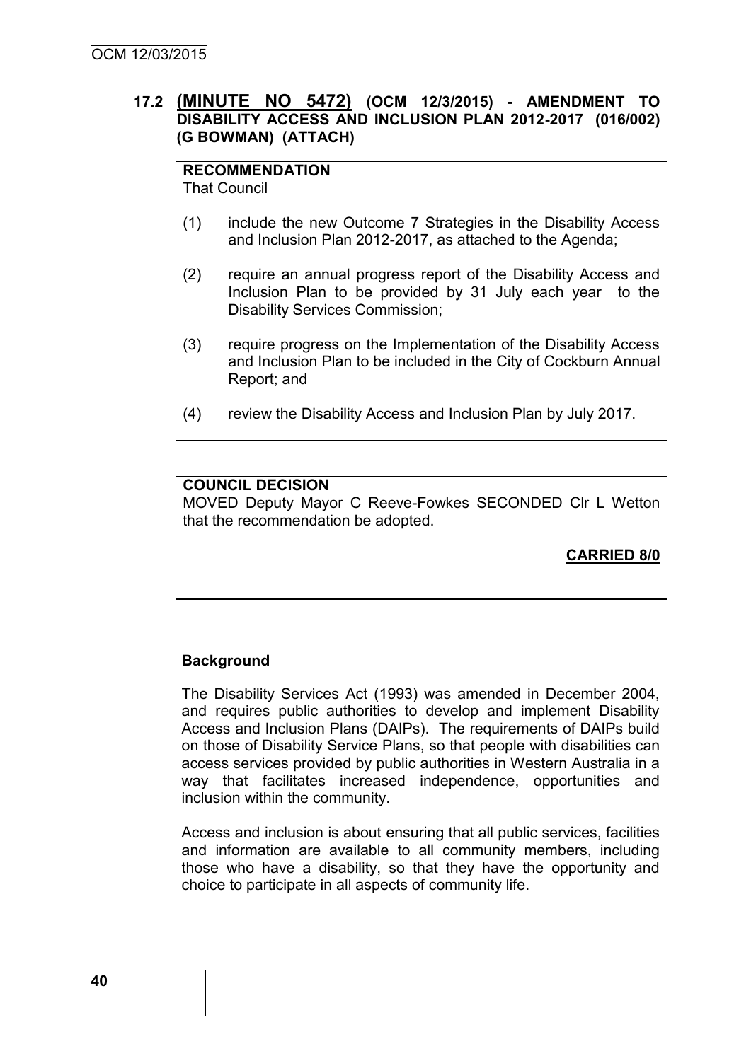## **17.2 (MINUTE NO 5472) (OCM 12/3/2015) - AMENDMENT TO DISABILITY ACCESS AND INCLUSION PLAN 2012-2017 (016/002) (G BOWMAN) (ATTACH)**

## **RECOMMENDATION**

That Council

- (1) include the new Outcome 7 Strategies in the Disability Access and Inclusion Plan 2012-2017, as attached to the Agenda;
- (2) require an annual progress report of the Disability Access and Inclusion Plan to be provided by 31 July each year to the Disability Services Commission;
- (3) require progress on the Implementation of the Disability Access and Inclusion Plan to be included in the City of Cockburn Annual Report; and
- (4) review the Disability Access and Inclusion Plan by July 2017.

## **COUNCIL DECISION**

MOVED Deputy Mayor C Reeve-Fowkes SECONDED Clr L Wetton that the recommendation be adopted.

**CARRIED 8/0**

#### **Background**

The Disability Services Act (1993) was amended in December 2004, and requires public authorities to develop and implement Disability Access and Inclusion Plans (DAIPs). The requirements of DAIPs build on those of Disability Service Plans, so that people with disabilities can access services provided by public authorities in Western Australia in a way that facilitates increased independence, opportunities and inclusion within the community.

Access and inclusion is about ensuring that all public services, facilities and information are available to all community members, including those who have a disability, so that they have the opportunity and choice to participate in all aspects of community life.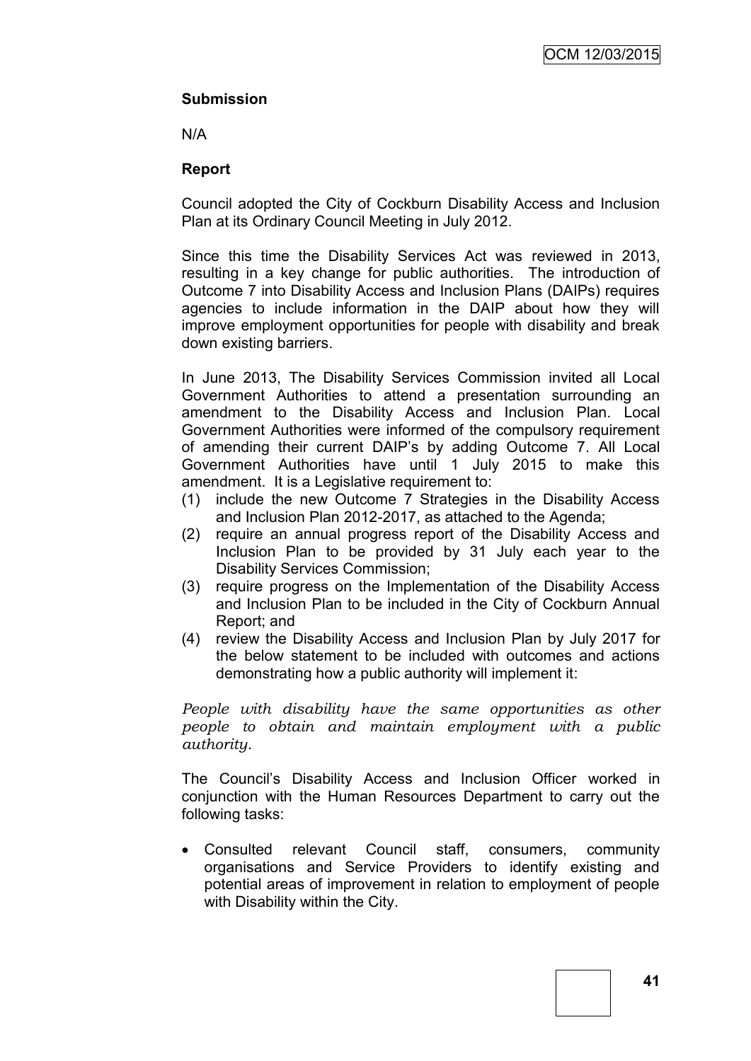## **Submission**

N/A

## **Report**

Council adopted the City of Cockburn Disability Access and Inclusion Plan at its Ordinary Council Meeting in July 2012.

Since this time the Disability Services Act was reviewed in 2013, resulting in a key change for public authorities. The introduction of Outcome 7 into Disability Access and Inclusion Plans (DAIPs) requires agencies to include information in the DAIP about how they will improve employment opportunities for people with disability and break down existing barriers.

In June 2013, The Disability Services Commission invited all Local Government Authorities to attend a presentation surrounding an amendment to the Disability Access and Inclusion Plan. Local Government Authorities were informed of the compulsory requirement of amending their current DAIP's by adding Outcome 7. All Local Government Authorities have until 1 July 2015 to make this amendment. It is a Legislative requirement to:

- (1) include the new Outcome 7 Strategies in the Disability Access and Inclusion Plan 2012-2017, as attached to the Agenda;
- (2) require an annual progress report of the Disability Access and Inclusion Plan to be provided by 31 July each year to the Disability Services Commission;
- (3) require progress on the Implementation of the Disability Access and Inclusion Plan to be included in the City of Cockburn Annual Report; and
- (4) review the Disability Access and Inclusion Plan by July 2017 for the below statement to be included with outcomes and actions demonstrating how a public authority will implement it:

*People with disability have the same opportunities as other people to obtain and maintain employment with a public authority.*

The Council's Disability Access and Inclusion Officer worked in conjunction with the Human Resources Department to carry out the following tasks:

 Consulted relevant Council staff, consumers, community organisations and Service Providers to identify existing and potential areas of improvement in relation to employment of people with Disability within the City.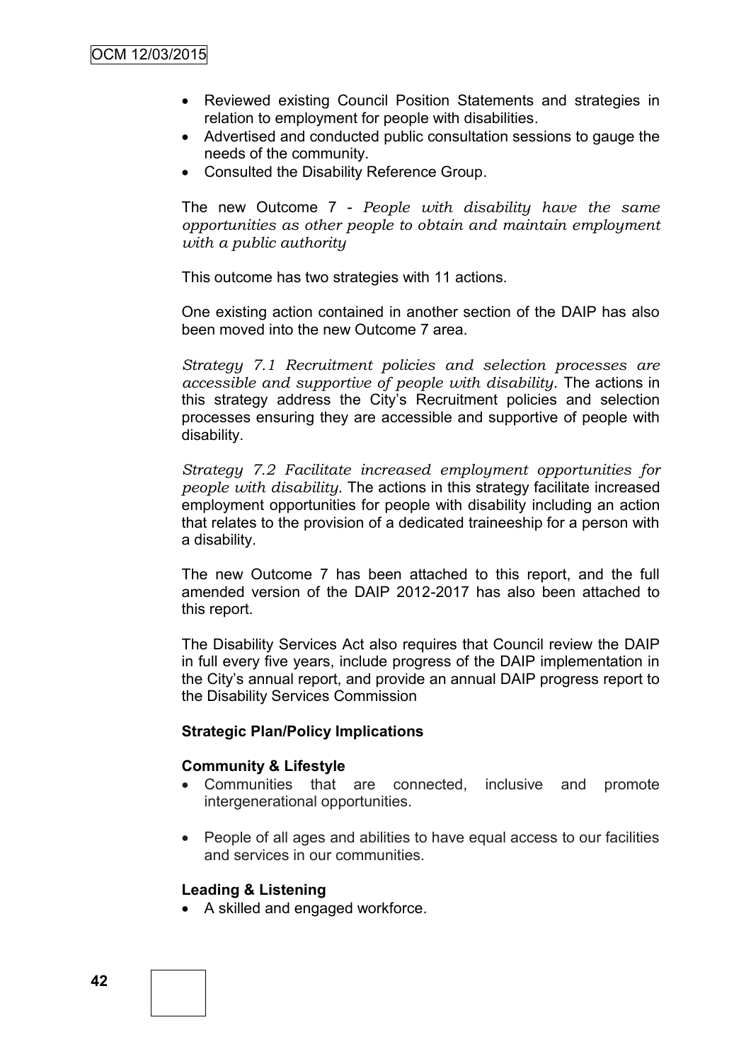- Reviewed existing Council Position Statements and strategies in relation to employment for people with disabilities.
- Advertised and conducted public consultation sessions to gauge the needs of the community.
- Consulted the Disability Reference Group.

The new Outcome 7 - *People with disability have the same opportunities as other people to obtain and maintain employment with a public authority*

This outcome has two strategies with 11 actions.

One existing action contained in another section of the DAIP has also been moved into the new Outcome 7 area.

*Strategy 7.1 Recruitment policies and selection processes are accessible and supportive of people with disability.* The actions in this strategy address the City's Recruitment policies and selection processes ensuring they are accessible and supportive of people with disability.

*Strategy 7.2 Facilitate increased employment opportunities for people with disability.* The actions in this strategy facilitate increased employment opportunities for people with disability including an action that relates to the provision of a dedicated traineeship for a person with a disability.

The new Outcome 7 has been attached to this report, and the full amended version of the DAIP 2012-2017 has also been attached to this report.

The Disability Services Act also requires that Council review the DAIP in full every five years, include progress of the DAIP implementation in the City's annual report, and provide an annual DAIP progress report to the Disability Services Commission

#### **Strategic Plan/Policy Implications**

#### **Community & Lifestyle**

- Communities that are connected, inclusive and promote intergenerational opportunities.
- People of all ages and abilities to have equal access to our facilities and services in our communities.

#### **Leading & Listening**

A skilled and engaged workforce.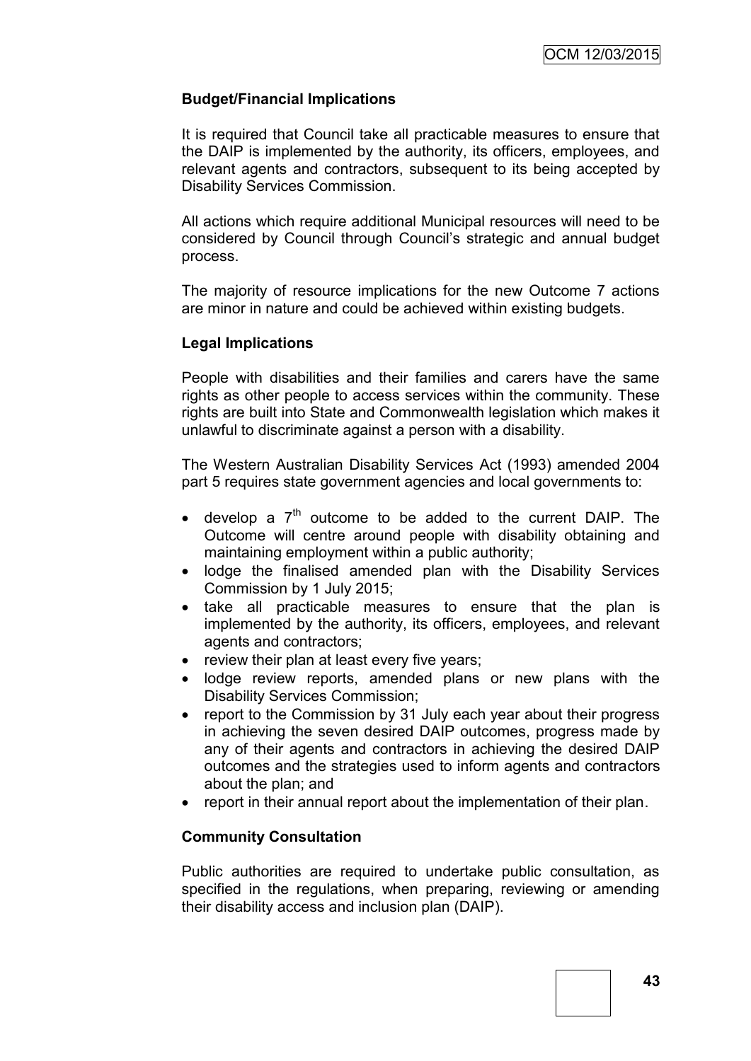## **Budget/Financial Implications**

It is required that Council take all practicable measures to ensure that the DAIP is implemented by the authority, its officers, employees, and relevant agents and contractors, subsequent to its being accepted by Disability Services Commission.

All actions which require additional Municipal resources will need to be considered by Council through Council's strategic and annual budget process.

The majority of resource implications for the new Outcome 7 actions are minor in nature and could be achieved within existing budgets.

#### **Legal Implications**

People with disabilities and their families and carers have the same rights as other people to access services within the community. These rights are built into State and Commonwealth legislation which makes it unlawful to discriminate against a person with a disability.

The Western Australian Disability Services Act (1993) amended 2004 part 5 requires state government agencies and local governments to:

- $\bullet$  develop a  $7<sup>th</sup>$  outcome to be added to the current DAIP. The Outcome will centre around people with disability obtaining and maintaining employment within a public authority;
- lodge the finalised amended plan with the Disability Services Commission by 1 July 2015;
- take all practicable measures to ensure that the plan is implemented by the authority, its officers, employees, and relevant agents and contractors;
- review their plan at least every five years;
- lodge review reports, amended plans or new plans with the Disability Services Commission;
- report to the Commission by 31 July each year about their progress in achieving the seven desired DAIP outcomes, progress made by any of their agents and contractors in achieving the desired DAIP outcomes and the strategies used to inform agents and contractors about the plan; and
- report in their annual report about the implementation of their plan.

#### **Community Consultation**

Public authorities are required to undertake public consultation, as specified in the regulations, when preparing, reviewing or amending their disability access and inclusion plan (DAIP).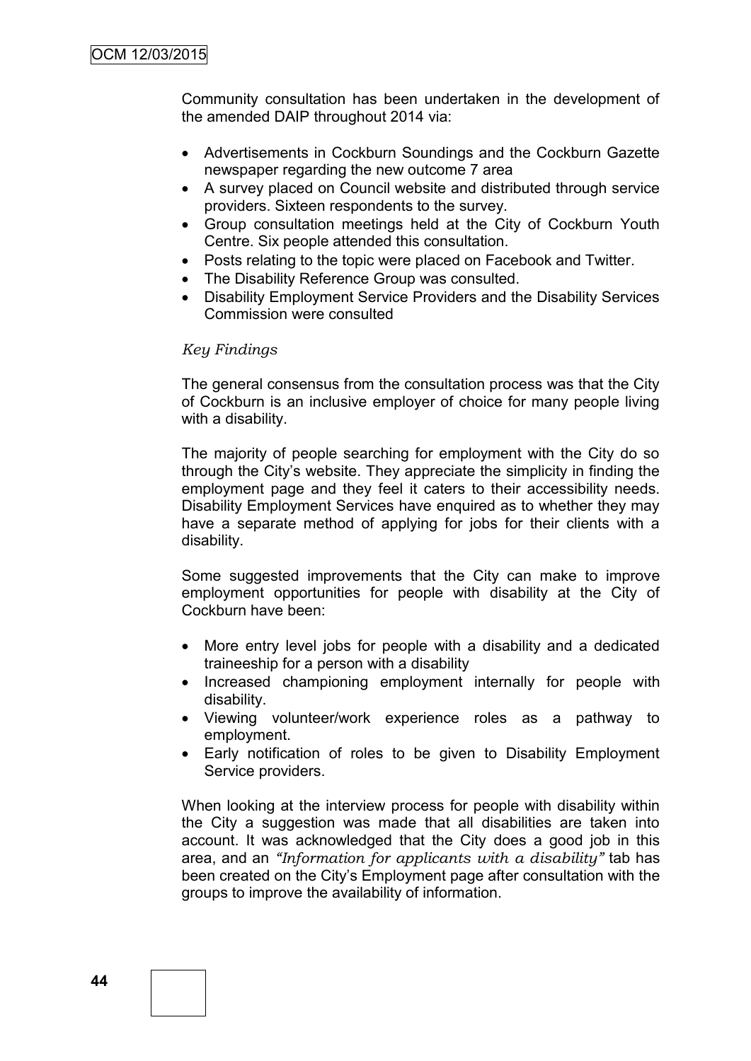Community consultation has been undertaken in the development of the amended DAIP throughout 2014 via:

- Advertisements in Cockburn Soundings and the Cockburn Gazette newspaper regarding the new outcome 7 area
- A survey placed on Council website and distributed through service providers. Sixteen respondents to the survey.
- Group consultation meetings held at the City of Cockburn Youth Centre. Six people attended this consultation.
- Posts relating to the topic were placed on Facebook and Twitter.
- The Disability Reference Group was consulted.
- Disability Employment Service Providers and the Disability Services Commission were consulted

#### *Key Findings*

The general consensus from the consultation process was that the City of Cockburn is an inclusive employer of choice for many people living with a disability.

The majority of people searching for employment with the City do so through the City's website. They appreciate the simplicity in finding the employment page and they feel it caters to their accessibility needs. Disability Employment Services have enquired as to whether they may have a separate method of applying for jobs for their clients with a disability.

Some suggested improvements that the City can make to improve employment opportunities for people with disability at the City of Cockburn have been:

- More entry level jobs for people with a disability and a dedicated traineeship for a person with a disability
- Increased championing employment internally for people with disability.
- Viewing volunteer/work experience roles as a pathway to employment.
- Early notification of roles to be given to Disability Employment Service providers.

When looking at the interview process for people with disability within the City a suggestion was made that all disabilities are taken into account. It was acknowledged that the City does a good job in this area, and an *"Information for applicants with a disability"* tab has been created on the City's Employment page after consultation with the groups to improve the availability of information.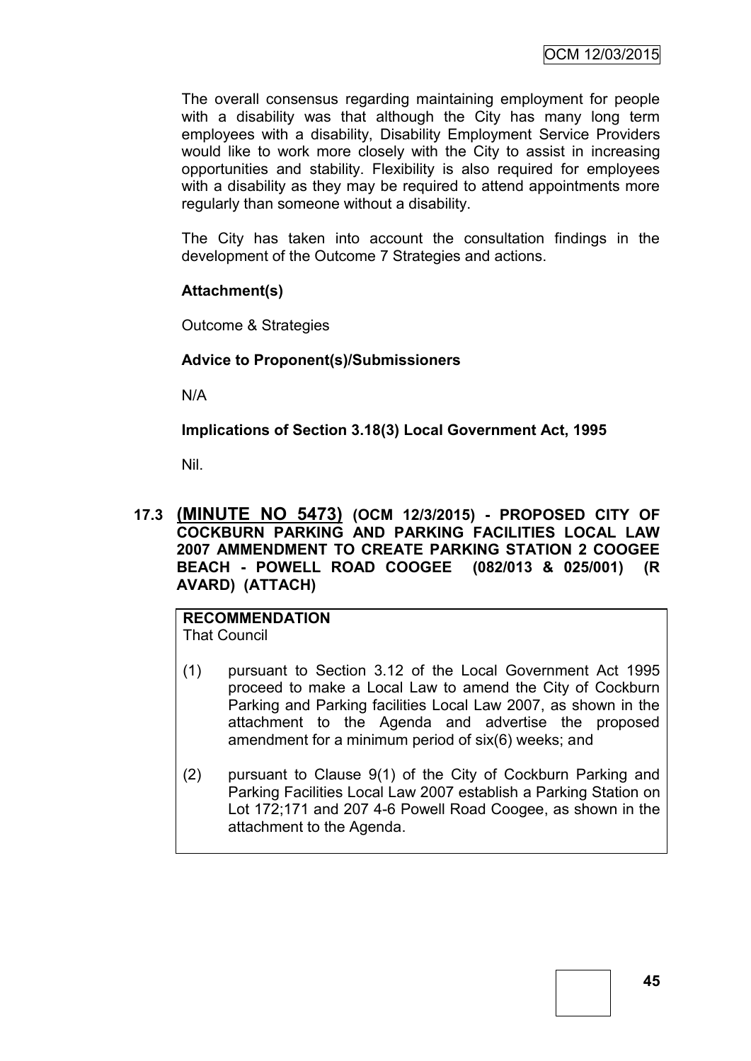The overall consensus regarding maintaining employment for people with a disability was that although the City has many long term employees with a disability, Disability Employment Service Providers would like to work more closely with the City to assist in increasing opportunities and stability. Flexibility is also required for employees with a disability as they may be required to attend appointments more regularly than someone without a disability.

The City has taken into account the consultation findings in the development of the Outcome 7 Strategies and actions.

#### **Attachment(s)**

Outcome & Strategies

#### **Advice to Proponent(s)/Submissioners**

N/A

**Implications of Section 3.18(3) Local Government Act, 1995**

Nil.

**17.3 (MINUTE NO 5473) (OCM 12/3/2015) - PROPOSED CITY OF COCKBURN PARKING AND PARKING FACILITIES LOCAL LAW 2007 AMMENDMENT TO CREATE PARKING STATION 2 COOGEE BEACH - POWELL ROAD COOGEE (082/013 & 025/001) (R AVARD) (ATTACH)**

**RECOMMENDATION** That Council

- (1) pursuant to Section 3.12 of the Local Government Act 1995 proceed to make a Local Law to amend the City of Cockburn Parking and Parking facilities Local Law 2007, as shown in the attachment to the Agenda and advertise the proposed amendment for a minimum period of six(6) weeks; and
- (2) pursuant to Clause 9(1) of the City of Cockburn Parking and Parking Facilities Local Law 2007 establish a Parking Station on Lot 172;171 and 207 4-6 Powell Road Coogee, as shown in the attachment to the Agenda.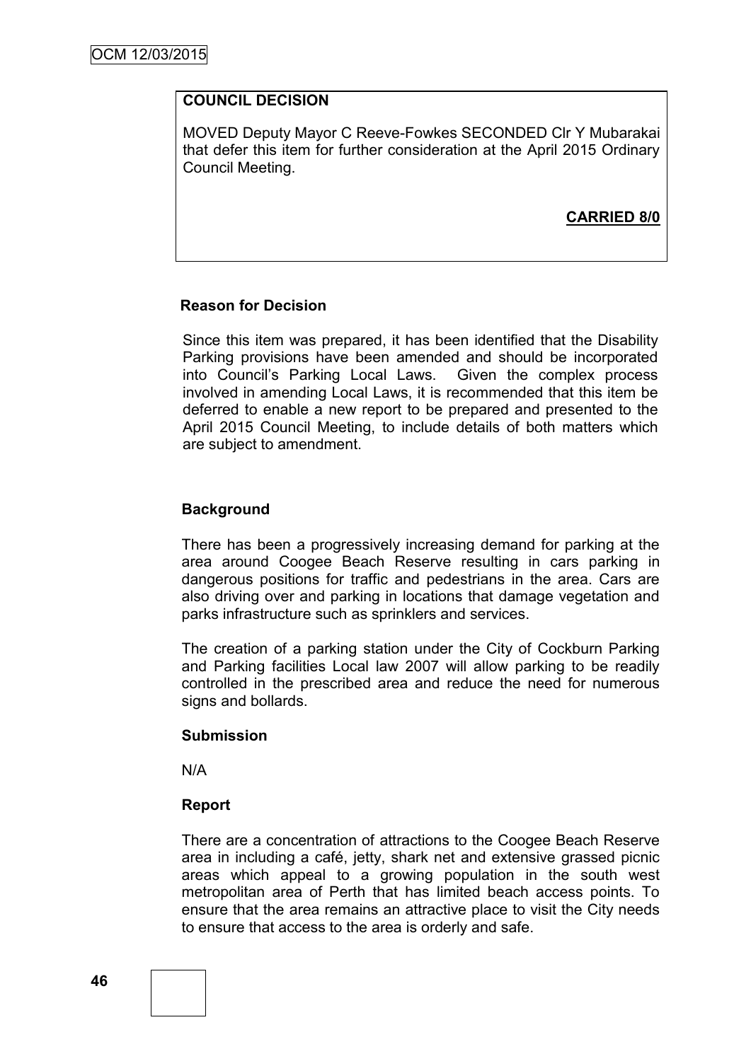#### **COUNCIL DECISION**

MOVED Deputy Mayor C Reeve-Fowkes SECONDED Clr Y Mubarakai that defer this item for further consideration at the April 2015 Ordinary Council Meeting.

**CARRIED 8/0**

#### **Reason for Decision**

Since this item was prepared, it has been identified that the Disability Parking provisions have been amended and should be incorporated into Council's Parking Local Laws. Given the complex process involved in amending Local Laws, it is recommended that this item be deferred to enable a new report to be prepared and presented to the April 2015 Council Meeting, to include details of both matters which are subject to amendment.

#### **Background**

There has been a progressively increasing demand for parking at the area around Coogee Beach Reserve resulting in cars parking in dangerous positions for traffic and pedestrians in the area. Cars are also driving over and parking in locations that damage vegetation and parks infrastructure such as sprinklers and services.

The creation of a parking station under the City of Cockburn Parking and Parking facilities Local law 2007 will allow parking to be readily controlled in the prescribed area and reduce the need for numerous signs and bollards.

#### **Submission**

N/A

#### **Report**

There are a concentration of attractions to the Coogee Beach Reserve area in including a café, jetty, shark net and extensive grassed picnic areas which appeal to a growing population in the south west metropolitan area of Perth that has limited beach access points. To ensure that the area remains an attractive place to visit the City needs to ensure that access to the area is orderly and safe.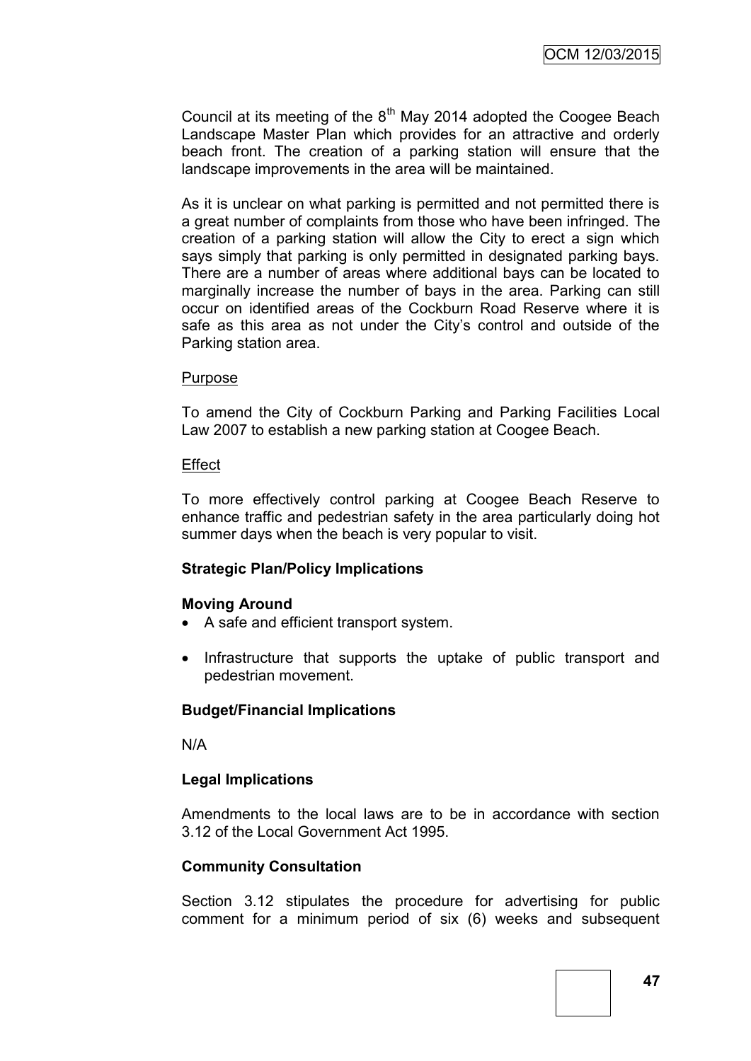Council at its meeting of the  $8<sup>th</sup>$  May 2014 adopted the Coogee Beach Landscape Master Plan which provides for an attractive and orderly beach front. The creation of a parking station will ensure that the landscape improvements in the area will be maintained.

As it is unclear on what parking is permitted and not permitted there is a great number of complaints from those who have been infringed. The creation of a parking station will allow the City to erect a sign which says simply that parking is only permitted in designated parking bays. There are a number of areas where additional bays can be located to marginally increase the number of bays in the area. Parking can still occur on identified areas of the Cockburn Road Reserve where it is safe as this area as not under the City's control and outside of the Parking station area.

#### Purpose

To amend the City of Cockburn Parking and Parking Facilities Local Law 2007 to establish a new parking station at Coogee Beach.

#### **Effect**

To more effectively control parking at Coogee Beach Reserve to enhance traffic and pedestrian safety in the area particularly doing hot summer days when the beach is very popular to visit.

#### **Strategic Plan/Policy Implications**

#### **Moving Around**

- A safe and efficient transport system.
- Infrastructure that supports the uptake of public transport and pedestrian movement.

#### **Budget/Financial Implications**

N/A

#### **Legal Implications**

Amendments to the local laws are to be in accordance with section 3.12 of the Local Government Act 1995.

#### **Community Consultation**

Section 3.12 stipulates the procedure for advertising for public comment for a minimum period of six (6) weeks and subsequent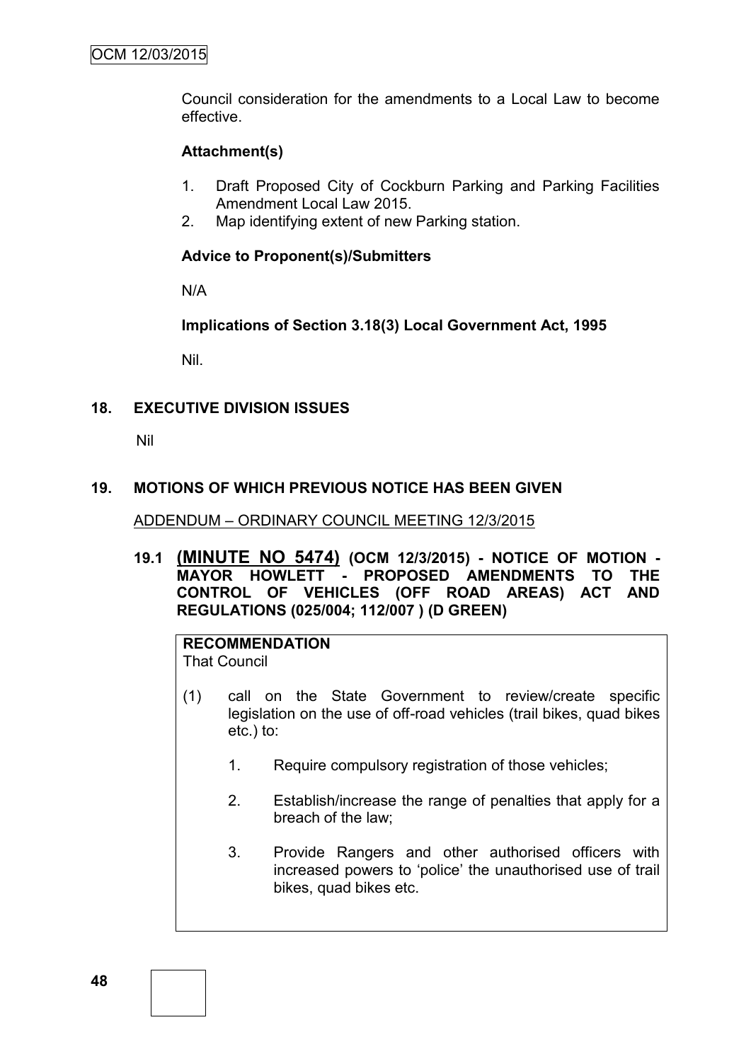Council consideration for the amendments to a Local Law to become effective.

## **Attachment(s)**

- 1. Draft Proposed City of Cockburn Parking and Parking Facilities Amendment Local Law 2015.
- 2. Map identifying extent of new Parking station.

## **Advice to Proponent(s)/Submitters**

N/A

**Implications of Section 3.18(3) Local Government Act, 1995**

Nil.

## **18. EXECUTIVE DIVISION ISSUES**

Nil

## **19. MOTIONS OF WHICH PREVIOUS NOTICE HAS BEEN GIVEN**

#### ADDENDUM – ORDINARY COUNCIL MEETING 12/3/2015

**19.1 (MINUTE NO 5474) (OCM 12/3/2015) - NOTICE OF MOTION - MAYOR HOWLETT - PROPOSED AMENDMENTS TO THE CONTROL OF VEHICLES (OFF ROAD AREAS) ACT AND REGULATIONS (025/004; 112/007 ) (D GREEN)**

#### **RECOMMENDATION** That Council

- (1) call on the State Government to review/create specific legislation on the use of off-road vehicles (trail bikes, quad bikes etc.) to:
	- 1. Require compulsory registration of those vehicles;
	- 2. Establish/increase the range of penalties that apply for a breach of the law;
	- 3. Provide Rangers and other authorised officers with increased powers to 'police' the unauthorised use of trail bikes, quad bikes etc.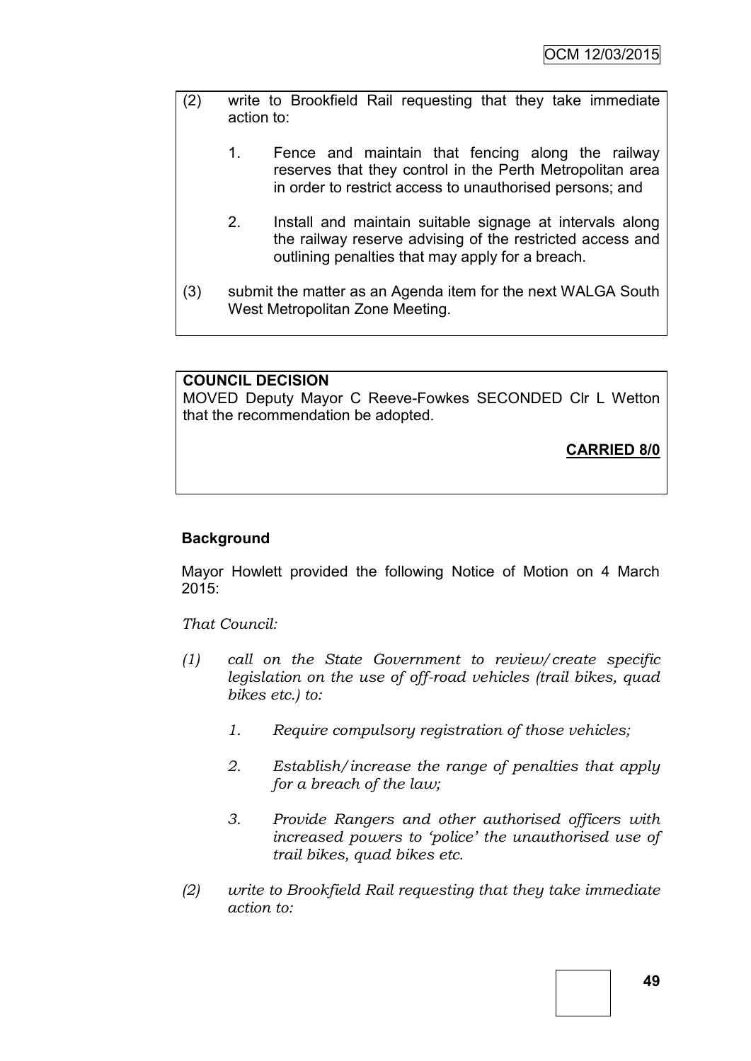| (2) | write to Brookfield Rail requesting that they take immediate<br>action to: |                                                                                                                                                                            |  |  |  |
|-----|----------------------------------------------------------------------------|----------------------------------------------------------------------------------------------------------------------------------------------------------------------------|--|--|--|
|     | $1_{-}$                                                                    | Fence and maintain that fencing along the railway<br>reserves that they control in the Perth Metropolitan area<br>in order to restrict access to unauthorised persons; and |  |  |  |
|     | 2.                                                                         | Install and maintain suitable signage at intervals along<br>the railway reserve advising of the restricted access and<br>outlining penalties that may apply for a breach.  |  |  |  |
| (3) |                                                                            | submit the matter as an Agenda item for the next WALGA South<br>West Metropolitan Zone Meeting.                                                                            |  |  |  |

## **COUNCIL DECISION**

MOVED Deputy Mayor C Reeve-Fowkes SECONDED Clr L Wetton that the recommendation be adopted.

**CARRIED 8/0**

## **Background**

Mayor Howlett provided the following Notice of Motion on 4 March 2015:

*That Council:*

- *(1) call on the State Government to review/create specific legislation on the use of off-road vehicles (trail bikes, quad bikes etc.) to:*
	- *1. Require compulsory registration of those vehicles;*
	- *2. Establish/increase the range of penalties that apply for a breach of the law;*
	- *3. Provide Rangers and other authorised officers with increased powers to 'police' the unauthorised use of trail bikes, quad bikes etc.*
- *(2) write to Brookfield Rail requesting that they take immediate action to:*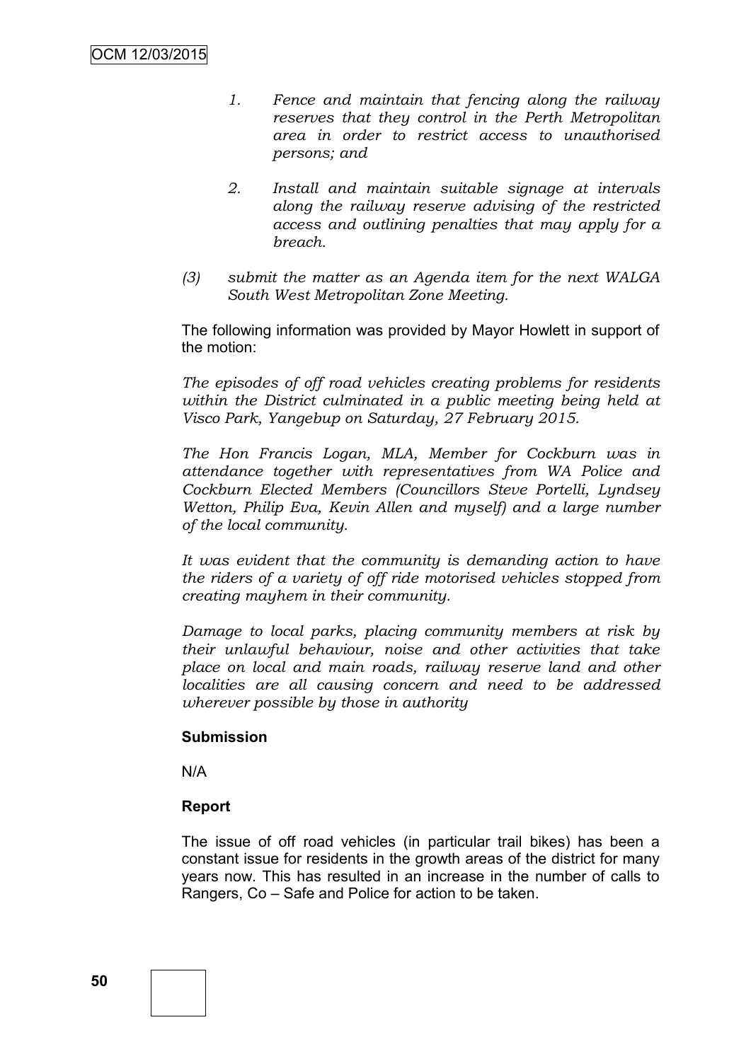- *1. Fence and maintain that fencing along the railway reserves that they control in the Perth Metropolitan area in order to restrict access to unauthorised persons; and*
- *2. Install and maintain suitable signage at intervals along the railway reserve advising of the restricted access and outlining penalties that may apply for a breach.*
- *(3) submit the matter as an Agenda item for the next WALGA South West Metropolitan Zone Meeting.*

The following information was provided by Mayor Howlett in support of the motion:

*The episodes of off road vehicles creating problems for residents within the District culminated in a public meeting being held at Visco Park, Yangebup on Saturday, 27 February 2015.*

*The Hon Francis Logan, MLA, Member for Cockburn was in attendance together with representatives from WA Police and Cockburn Elected Members (Councillors Steve Portelli, Lyndsey Wetton, Philip Eva, Kevin Allen and myself) and a large number of the local community.*

*It was evident that the community is demanding action to have the riders of a variety of off ride motorised vehicles stopped from creating mayhem in their community.*

*Damage to local parks, placing community members at risk by their unlawful behaviour, noise and other activities that take place on local and main roads, railway reserve land and other localities are all causing concern and need to be addressed wherever possible by those in authority*

#### **Submission**

N/A

#### **Report**

The issue of off road vehicles (in particular trail bikes) has been a constant issue for residents in the growth areas of the district for many years now. This has resulted in an increase in the number of calls to Rangers, Co – Safe and Police for action to be taken.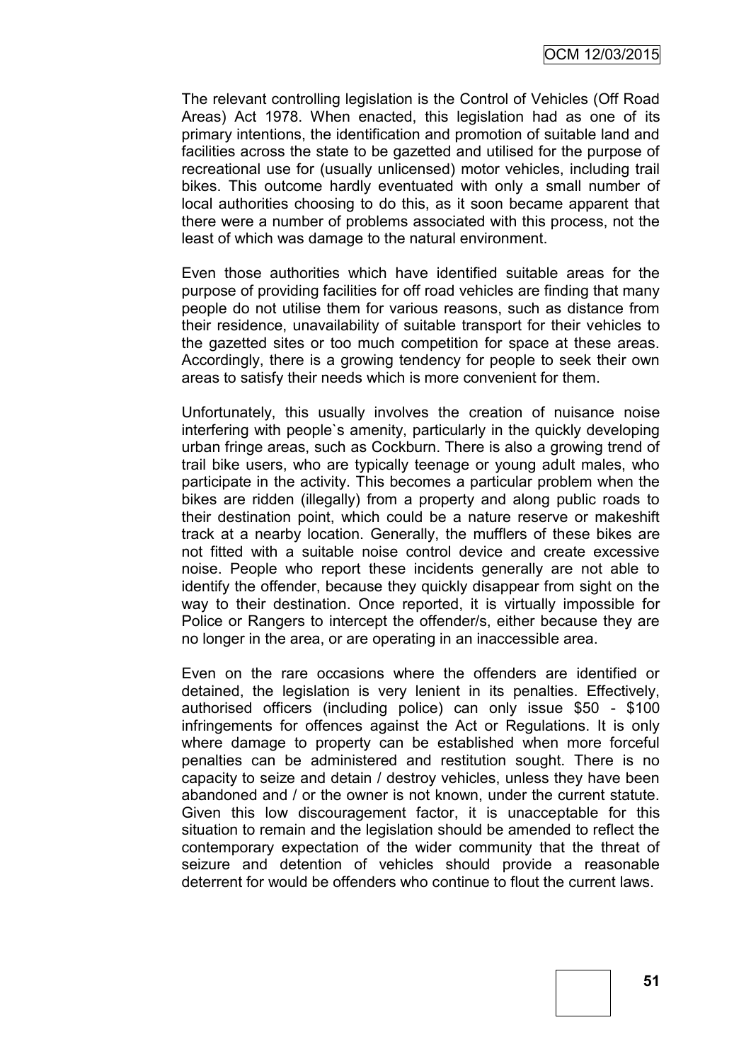The relevant controlling legislation is the Control of Vehicles (Off Road Areas) Act 1978. When enacted, this legislation had as one of its primary intentions, the identification and promotion of suitable land and facilities across the state to be gazetted and utilised for the purpose of recreational use for (usually unlicensed) motor vehicles, including trail bikes. This outcome hardly eventuated with only a small number of local authorities choosing to do this, as it soon became apparent that there were a number of problems associated with this process, not the least of which was damage to the natural environment.

Even those authorities which have identified suitable areas for the purpose of providing facilities for off road vehicles are finding that many people do not utilise them for various reasons, such as distance from their residence, unavailability of suitable transport for their vehicles to the gazetted sites or too much competition for space at these areas. Accordingly, there is a growing tendency for people to seek their own areas to satisfy their needs which is more convenient for them.

Unfortunately, this usually involves the creation of nuisance noise interfering with people`s amenity, particularly in the quickly developing urban fringe areas, such as Cockburn. There is also a growing trend of trail bike users, who are typically teenage or young adult males, who participate in the activity. This becomes a particular problem when the bikes are ridden (illegally) from a property and along public roads to their destination point, which could be a nature reserve or makeshift track at a nearby location. Generally, the mufflers of these bikes are not fitted with a suitable noise control device and create excessive noise. People who report these incidents generally are not able to identify the offender, because they quickly disappear from sight on the way to their destination. Once reported, it is virtually impossible for Police or Rangers to intercept the offender/s, either because they are no longer in the area, or are operating in an inaccessible area.

Even on the rare occasions where the offenders are identified or detained, the legislation is very lenient in its penalties. Effectively, authorised officers (including police) can only issue \$50 - \$100 infringements for offences against the Act or Regulations. It is only where damage to property can be established when more forceful penalties can be administered and restitution sought. There is no capacity to seize and detain / destroy vehicles, unless they have been abandoned and / or the owner is not known, under the current statute. Given this low discouragement factor, it is unacceptable for this situation to remain and the legislation should be amended to reflect the contemporary expectation of the wider community that the threat of seizure and detention of vehicles should provide a reasonable deterrent for would be offenders who continue to flout the current laws.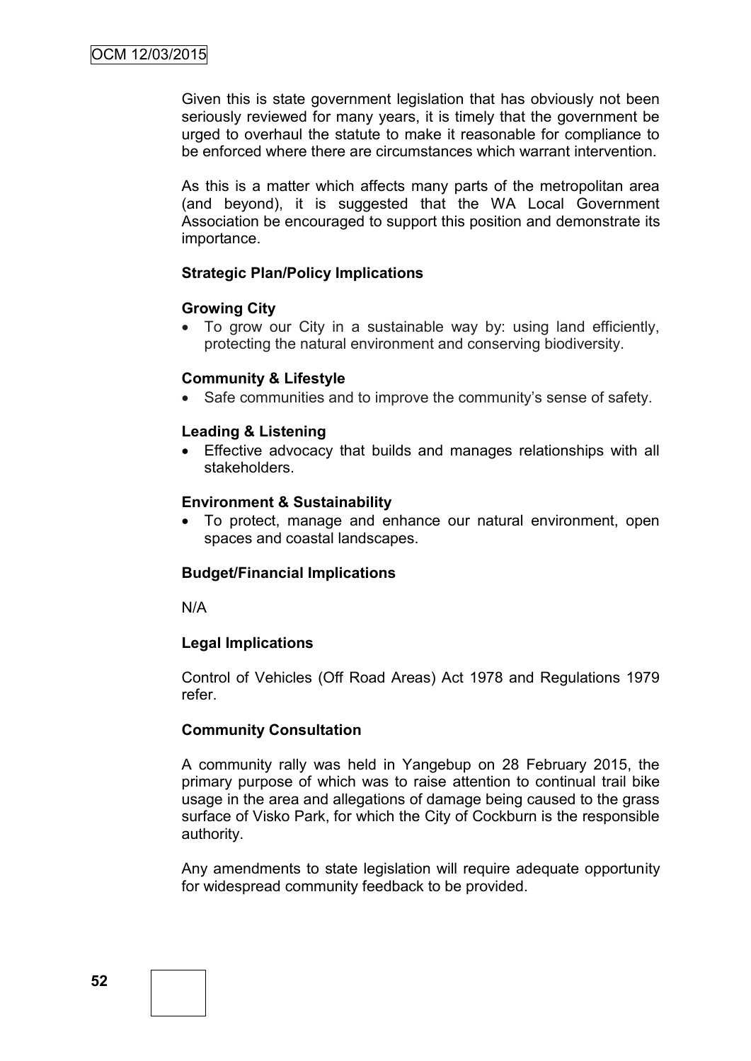Given this is state government legislation that has obviously not been seriously reviewed for many years, it is timely that the government be urged to overhaul the statute to make it reasonable for compliance to be enforced where there are circumstances which warrant intervention.

As this is a matter which affects many parts of the metropolitan area (and beyond), it is suggested that the WA Local Government Association be encouraged to support this position and demonstrate its importance.

#### **Strategic Plan/Policy Implications**

#### **Growing City**

 To grow our City in a sustainable way by: using land efficiently, protecting the natural environment and conserving biodiversity.

#### **Community & Lifestyle**

• Safe communities and to improve the community's sense of safety.

#### **Leading & Listening**

 Effective advocacy that builds and manages relationships with all stakeholders.

#### **Environment & Sustainability**

 To protect, manage and enhance our natural environment, open spaces and coastal landscapes.

#### **Budget/Financial Implications**

N/A

#### **Legal Implications**

Control of Vehicles (Off Road Areas) Act 1978 and Regulations 1979 refer.

#### **Community Consultation**

A community rally was held in Yangebup on 28 February 2015, the primary purpose of which was to raise attention to continual trail bike usage in the area and allegations of damage being caused to the grass surface of Visko Park, for which the City of Cockburn is the responsible authority.

Any amendments to state legislation will require adequate opportunity for widespread community feedback to be provided.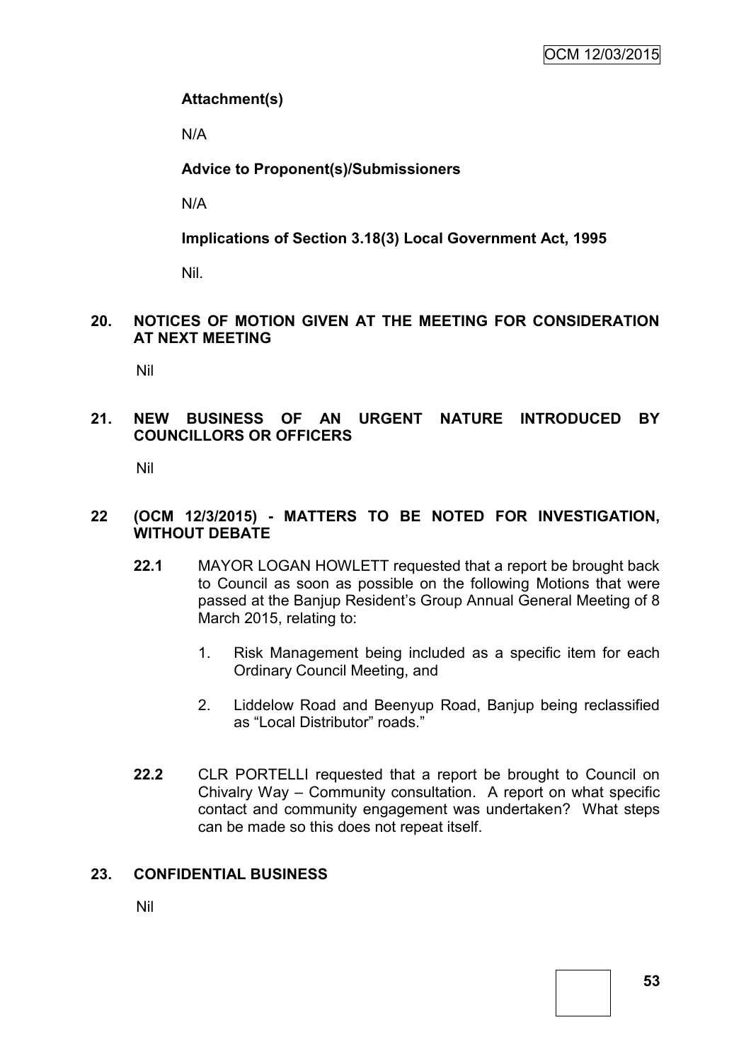## **Attachment(s)**

N/A

## **Advice to Proponent(s)/Submissioners**

N/A

**Implications of Section 3.18(3) Local Government Act, 1995**

Nil.

## **20. NOTICES OF MOTION GIVEN AT THE MEETING FOR CONSIDERATION AT NEXT MEETING**

Nil

## **21. NEW BUSINESS OF AN URGENT NATURE INTRODUCED BY COUNCILLORS OR OFFICERS**

Nil

#### **22 (OCM 12/3/2015) - MATTERS TO BE NOTED FOR INVESTIGATION, WITHOUT DEBATE**

- **22.1** MAYOR LOGAN HOWLETT requested that a report be brought back to Council as soon as possible on the following Motions that were passed at the Banjup Resident's Group Annual General Meeting of 8 March 2015, relating to:
	- 1. Risk Management being included as a specific item for each Ordinary Council Meeting, and
	- 2. Liddelow Road and Beenyup Road, Banjup being reclassified as "Local Distributor" roads."
- **22.2** CLR PORTELLI requested that a report be brought to Council on Chivalry Way – Community consultation. A report on what specific contact and community engagement was undertaken? What steps can be made so this does not repeat itself.

## **23. CONFIDENTIAL BUSINESS**

Nil